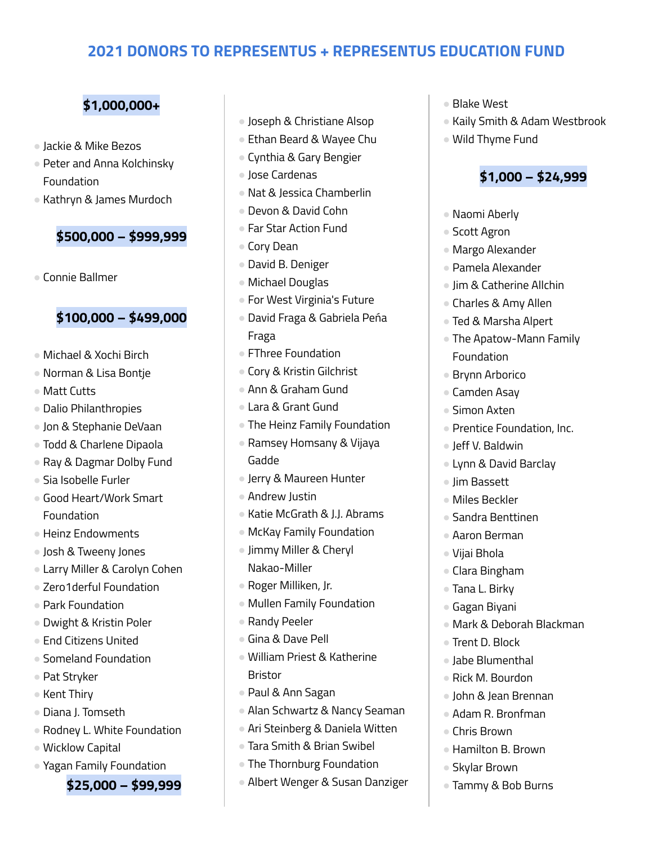#### **\$1,000,000+**

- Jackie & Mike Bezos
- Peter and Anna Kolchinsky Foundation
- Kathryn & James Murdoch

#### **\$500,000 – \$999,999**

● Connie Ballmer

#### **\$100,000 – \$499,000**

- Michael & Xochi Birch
- Norman & Lisa Bontje
- Matt Cutts
- Dalio Philanthropies
- Jon & Stephanie DeVaan
- Todd & Charlene Dipaola
- Ray & Dagmar Dolby Fund
- Sia Isobelle Furler
- Good Heart/Work Smart Foundation
- Heinz Endowments
- Josh & Tweeny Jones
- Larry Miller & Carolyn Cohen
- Zero1derful Foundation
- Park Foundation
- Dwight & Kristin Poler
- End Citizens United
- Someland Foundation
- Pat Stryker
- Kent Thiry
- Diana J. Tomseth
- Rodney L. White Foundation
- Wicklow Capital
- Yagan Family Foundation

#### **\$25,000 – \$99,999**

- Joseph & Christiane Alsop
- Ethan Beard & Wayee Chu
- Cynthia & Gary Bengier
- Jose Cardenas
- Nat & Jessica Chamberlin
- Devon & David Cohn
- Far Star Action Fund
- Cory Dean
- David B. Deniger
- Michael Douglas
- For West Virginia's Future
- David Fraga & Gabriela Peńa Fraga
- FThree Foundation
- Cory & Kristin Gilchrist
- Ann & Graham Gund
- Lara & Grant Gund
- The Heinz Family Foundation
- Ramsey Homsany & Vijaya Gadde
- Jerry & Maureen Hunter
- Andrew Justin
- Katie McGrath & J.J. Abrams
- McKay Family Foundation
- Jimmy Miller & Cheryl Nakao-Miller
- Roger Milliken, Jr.
- Mullen Family Foundation
- Randy Peeler
- Gina & Dave Pell
- William Priest & Katherine Bristor
- Paul & Ann Sagan
- Alan Schwartz & Nancy Seaman
- Ari Steinberg & Daniela Witten
- Tara Smith & Brian Swibel
- The Thornburg Foundation
- Albert Wenger & Susan Danziger
- Blake West
- Kaily Smith & Adam Westbrook
- Wild Thyme Fund

#### **\$1,000 – \$24,999**

- Naomi Aberly
- Scott Agron
- Margo Alexander
- Pamela Alexander
- Jim & Catherine Allchin
- Charles & Amy Allen
- Ted & Marsha Alpert
- The Apatow-Mann Family Foundation
- Brynn Arborico
- Camden Asay
- Simon Axten
- Prentice Foundation, Inc.
- Jeff V. Baldwin
- Lynn & David Barclay
- Jim Bassett
- Miles Beckler
- Sandra Benttinen
- Aaron Berman
- Vijai Bhola
- Clara Bingham
- Tana L. Birky
- Gagan Biyani
- Mark & Deborah Blackman
- Trent D. Block
- Jabe Blumenthal
- Rick M. Bourdon
- John & Jean Brennan
- Adam R. Bronfman
- Chris Brown

● Skylar Brown

● Hamilton B. Brown

● Tammy & Bob Burns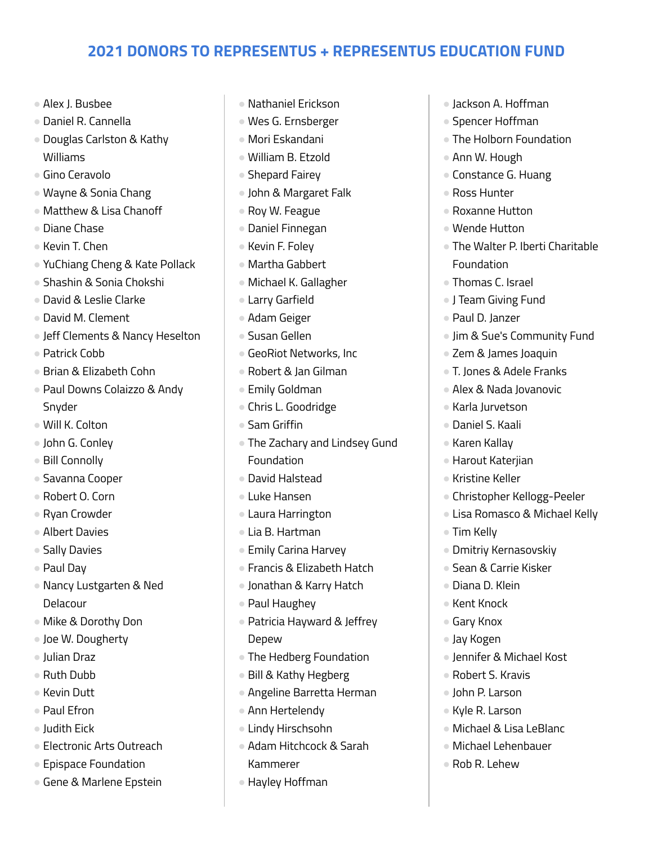- Alex J. Busbee
- Daniel R. Cannella
- Douglas Carlston & Kathy Williams
- Gino Ceravolo
- Wayne & Sonia Chang
- Matthew & Lisa Chanoff
- Diane Chase
- Kevin T. Chen
- YuChiang Cheng & Kate Pollack
- Shashin & Sonia Chokshi
- David & Leslie Clarke
- David M. Clement
- Jeff Clements & Nancy Heselton
- Patrick Cobb
- Brian & Elizabeth Cohn
- Paul Downs Colaizzo & Andy Snyder
- Will K. Colton
- John G. Conley
- Bill Connolly
- Savanna Cooper
- Robert O. Corn
- Ryan Crowder
- Albert Davies
- Sally Davies
- Paul Day
- Nancy Lustgarten & Ned Delacour
- Mike & Dorothy Don
- Joe W. Dougherty
- Julian Draz
- Ruth Dubb
- Kevin Dutt
- Paul Efron
- Judith Eick
- Electronic Arts Outreach
- Epispace Foundation
- Gene & Marlene Epstein
- Nathaniel Erickson
- Wes G. Ernsberger
- Mori Eskandani
- William B. Etzold
- Shepard Fairey
- John & Margaret Falk
- Roy W. Feague
- Daniel Finnegan
- Kevin F. Foley
- Martha Gabbert
- Michael K. Gallagher
- Larry Garfield
- Adam Geiger
- Susan Gellen
- GeoRiot Networks, Inc
- Robert & Jan Gilman
- Emily Goldman
- Chris L. Goodridge
- Sam Griffin
- The Zachary and Lindsey Gund Foundation
- David Halstead
- Luke Hansen
- Laura Harrington
- Lia B. Hartman
- Emily Carina Harvey
- Francis & Elizabeth Hatch
- Jonathan & Karry Hatch
- Paul Haughey
- Patricia Hayward & Jeffrey Depew
- The Hedberg Foundation
- Bill & Kathy Hegberg
- Angeline Barretta Herman
- Ann Hertelendy
- Lindy Hirschsohn
- Adam Hitchcock & Sarah Kammerer
- Hayley Hoffman
- Jackson A. Hoffman
- Spencer Hoffman
- The Holborn Foundation
- Ann W. Hough
- Constance G. Huang
- Ross Hunter
- Roxanne Hutton
- Wende Hutton
- The Walter P. Iberti Charitable Foundation
- Thomas C. Israel
- J Team Giving Fund
- Paul D. Janzer
- Jim & Sue's Community Fund
- Zem & James Joaquin
- T. Jones & Adele Franks
- Alex & Nada Jovanovic
- Karla Jurvetson
- Daniel S. Kaali
- Karen Kallay
- Harout Katerjian
- Kristine Keller
- Christopher Kellogg-Peeler
- Lisa Romasco & Michael Kelly
- Tim Kelly
- Dmitriy Kernasovskiy
- Sean & Carrie Kisker

● Jennifer & Michael Kost

● Michael & Lisa LeBlanc ● Michael Lehenbauer

● Robert S. Kravis ● John P. Larson ● Kyle R. Larson

● Rob R. Lehew

● Diana D. Klein ● Kent Knock

● Gary Knox ● Jay Kogen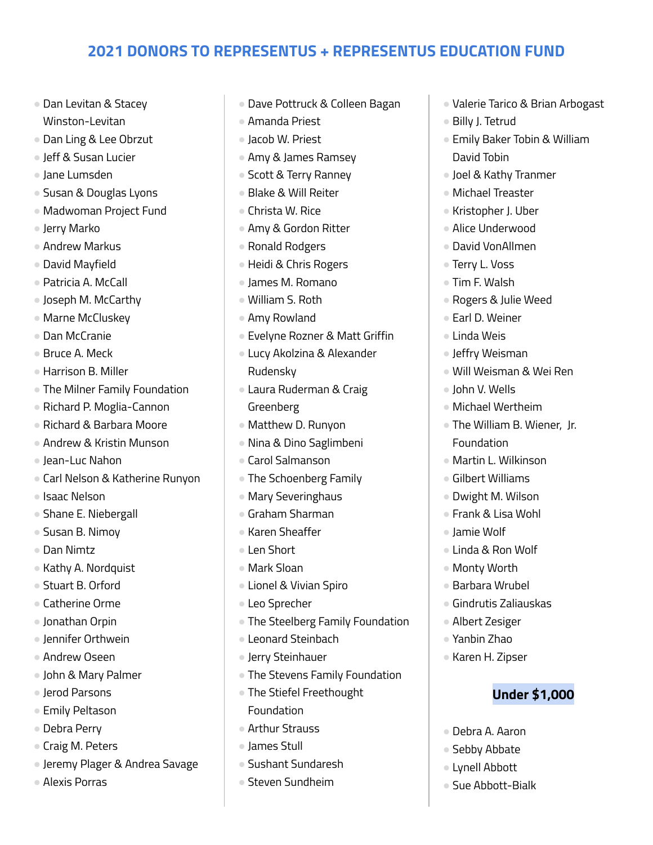- Dan Levitan & Stacey Winston-Levitan
- Dan Ling & Lee Obrzut
- Jeff & Susan Lucier
- Jane Lumsden
- Susan & Douglas Lyons
- Madwoman Project Fund
- Jerry Marko
- Andrew Markus
- David Mayfield
- Patricia A. McCall
- Joseph M. McCarthy
- Marne McCluskey
- Dan McCranie
- Bruce A. Meck
- Harrison B. Miller
- The Milner Family Foundation
- Richard P. Moglia-Cannon
- Richard & Barbara Moore
- Andrew & Kristin Munson
- Jean-Luc Nahon
- Carl Nelson & Katherine Runyon
- Isaac Nelson
- Shane E. Niebergall
- Susan B. Nimoy
- Dan Nimtz
- Kathy A. Nordquist
- Stuart B. Orford
- Catherine Orme
- Jonathan Orpin
- Jennifer Orthwein
- Andrew Oseen
- John & Mary Palmer
- Jerod Parsons
- Emily Peltason
- Debra Perry
- Craig M. Peters
- Jeremy Plager & Andrea Savage
- Alexis Porras
- Dave Pottruck & Colleen Bagan
- Amanda Priest
- Jacob W. Priest
- Amy & James Ramsey
- Scott & Terry Ranney
- Blake & Will Reiter
- Christa W. Rice
- Amy & Gordon Ritter
- Ronald Rodgers
- Heidi & Chris Rogers
- James M. Romano
- William S. Roth
- Amy Rowland
- Evelyne Rozner & Matt Griffin
- Lucy Akolzina & Alexander Rudensky
- Laura Ruderman & Craig Greenberg
- Matthew D. Runyon
- Nina & Dino Saglimbeni
- Carol Salmanson
- The Schoenberg Family
- Mary Severinghaus
- Graham Sharman
- Karen Sheaffer
- Len Short
- Mark Sloan
- Lionel & Vivian Spiro
- Leo Sprecher
- The Steelberg Family Foundation
- Leonard Steinbach
- Jerry Steinhauer
- The Stevens Family Foundation
- The Stiefel Freethought Foundation
- Arthur Strauss
- James Stull
- Sushant Sundaresh
- Steven Sundheim
- Valerie Tarico & Brian Arbogast
- Billy J. Tetrud
- Emily Baker Tobin & William David Tobin
- Joel & Kathy Tranmer
- Michael Treaster
- Kristopher J. Uber
- Alice Underwood
- David VonAllmen
- Terry L. Voss
- Tim F. Walsh
- Rogers & Julie Weed
- Earl D. Weiner
- Linda Weis
- Jeffry Weisman
- Will Weisman & Wei Ren
- John V. Wells
- Michael Wertheim
- The William B. Wiener, Jr. Foundation
- Martin L. Wilkinson
- Gilbert Williams
- Dwight M. Wilson
- Frank & Lisa Wohl
- Jamie Wolf
- Linda & Ron Wolf

● Barbara Wrubel ● Gindrutis Zaliauskas

● Albert Zesiger ● Yanbin Zhao ● Karen H. Zipser

● Debra A. Aaron ● Sebby Abbate ● Lynell Abbott ● Sue Abbott-Bialk

**Under \$1,000**

● Monty Worth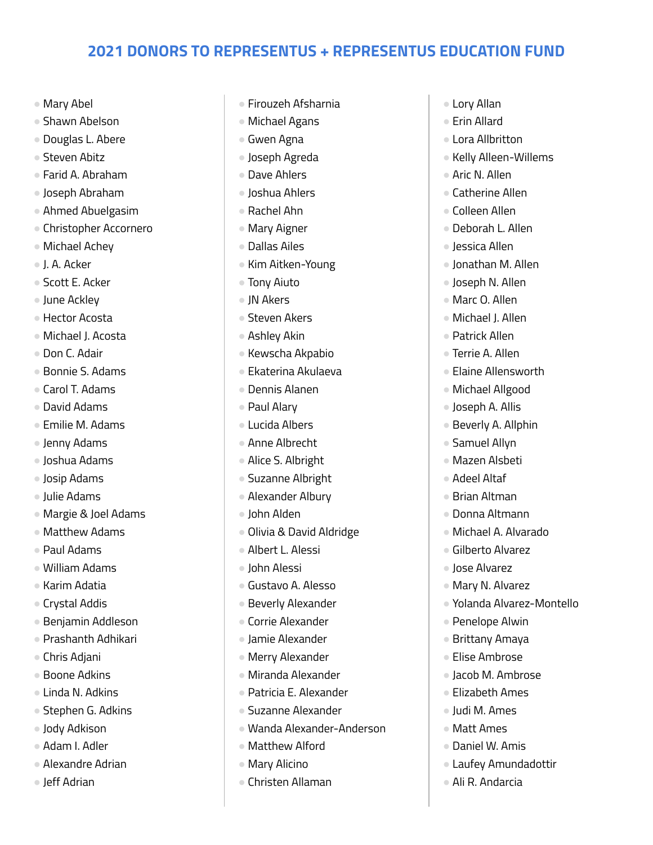- Mary Abel
- Shawn Abelson
- Douglas L. Abere
- Steven Abitz
- Farid A. Abraham
- Joseph Abraham
- Ahmed Abuelgasim
- Christopher Accornero
- Michael Achey
- J. A. Acker
- Scott E. Acker
- June Ackley
- Hector Acosta
- Michael J. Acosta
- Don C. Adair
- Bonnie S. Adams
- Carol T. Adams
- David Adams
- Emilie M. Adams
- Jenny Adams
- Joshua Adams
- Josip Adams
- Julie Adams
- Margie & Joel Adams
- Matthew Adams
- Paul Adams
- William Adams
- Karim Adatia
- Crystal Addis
- Benjamin Addleson
- Prashanth Adhikari
- Chris Adjani
- Boone Adkins
- Linda N. Adkins
- Stephen G. Adkins
- Jody Adkison
- Adam I. Adler
- Alexandre Adrian
- Jeff Adrian
- Firouzeh Afsharnia
- Michael Agans
- Gwen Agna
- Joseph Agreda
- Dave Ahlers
- Joshua Ahlers
- Rachel Ahn
- Mary Aigner
- Dallas Ailes
- Kim Aitken-Young
- Tony Aiuto
- JN Akers
- Steven Akers
- Ashley Akin
- Kewscha Akpabio
- Ekaterina Akulaeva
- Dennis Alanen
- Paul Alary
- Lucida Albers
- Anne Albrecht
- Alice S. Albright
- Suzanne Albright
- Alexander Albury
- John Alden
- Olivia & David Aldridge
- Albert L. Alessi
- John Alessi
- Gustavo A. Alesso
- Beverly Alexander
- Corrie Alexander
- Jamie Alexander
- Merry Alexander
- Miranda Alexander
- Patricia E. Alexander
- Suzanne Alexander
- Wanda Alexander-Anderson
- Matthew Alford
- Mary Alicino
- Christen Allaman
- Lory Allan
- Frin Allard
- Lora Allbritton
- Kelly Alleen-Willems
- Aric N. Allen
- Catherine Allen
- Colleen Allen
- Deborah L. Allen
- Jessica Allen
- Jonathan M. Allen
- Joseph N. Allen
- Marc O. Allen
- Michael J. Allen
- Patrick Allen
- Terrie A. Allen
- Elaine Allensworth
- Michael Allgood
- Joseph A. Allis
- Beverly A. Allphin
- Samuel Allyn
- Mazen Alsbeti ● Adeel Altaf

● Brian Altman ● Donna Altmann ● Michael A. Alvarado ● Gilberto Alvarez ● Jose Alvarez ● Mary N. Alvarez

● Yolanda Alvarez-Montello

● Penelope Alwin ● Brittany Amaya ● Elise Ambrose ● Jacob M. Ambrose ● Elizabeth Ames ● Judi M. Ames ● Matt Ames ● Daniel W. Amis

● Laufey Amundadottir

● Ali R. Andarcia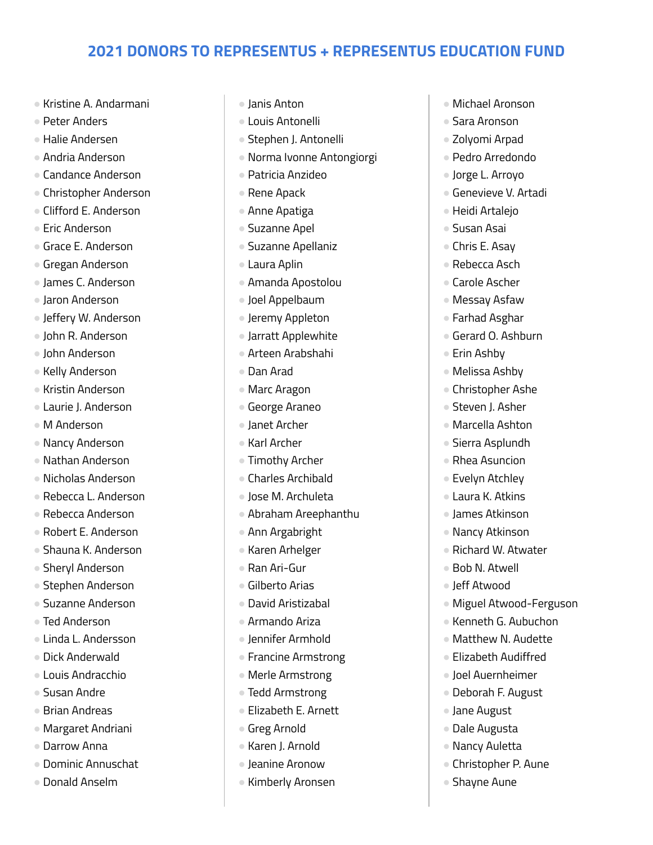- Kristine A. Andarmani
- Peter Anders
- Halie Andersen
- Andria Anderson
- Candance Anderson
- Christopher Anderson
- Clifford E. Anderson
- Eric Anderson
- Grace E. Anderson
- Gregan Anderson
- James C. Anderson
- Jaron Anderson
- Jeffery W. Anderson
- John R. Anderson
- John Anderson
- Kelly Anderson
- Kristin Anderson
- Laurie J. Anderson
- M Anderson
- Nancy Anderson
- Nathan Anderson
- Nicholas Anderson
- Rebecca L. Anderson
- Rebecca Anderson
- Robert E. Anderson
- Shauna K. Anderson
- Sheryl Anderson
- Stephen Anderson
- Suzanne Anderson
- Ted Anderson
- Linda L. Andersson
- Dick Anderwald
- Louis Andracchio
- Susan Andre
- Brian Andreas
- Margaret Andriani
- Darrow Anna
- Dominic Annuschat
- Donald Anselm
- Janis Anton
- Louis Antonelli
- Stephen J. Antonelli
- Norma Ivonne Antongiorgi
- Patricia Anzideo
- Rene Apack
- Anne Apatiga
- Suzanne Apel
- Suzanne Apellaniz
- Laura Aplin
- Amanda Apostolou
- Joel Appelbaum
- Jeremy Appleton
- Jarratt Applewhite
- Arteen Arabshahi
- Dan Arad
- Marc Aragon
- George Araneo
- Janet Archer
- Karl Archer
- Timothy Archer
- Charles Archibald
- Jose M. Archuleta
- Abraham Areephanthu
- Ann Argabright
- Karen Arhelger
- Ran Ari-Gur
- Gilberto Arias
- David Aristizabal
- Armando Ariza
- Jennifer Armhold
- Francine Armstrong
- Merle Armstrong
- Tedd Armstrong
- Elizabeth E. Arnett
- Greg Arnold
- Karen J. Arnold
- Jeanine Aronow
- Kimberly Aronsen
- Michael Aronson
- Sara Aronson
- Zolyomi Arpad
- Pedro Arredondo
- Jorge L. Arroyo
- **Genevieve V. Artadi**
- Heidi Artalejo
- Susan Asai
- Chris E. Asay
- Rebecca Asch
- Carole Ascher
- Messay Asfaw
- Farhad Asghar
- Gerard O. Ashburn
- Erin Ashbv
- Melissa Ashby
- Christopher Ashe
- Steven J. Asher
- Marcella Ashton
- Sierra Asplundh
- Rhea Asuncion ● Evelyn Atchley

● Laura K. Atkins ● James Atkinson ● Nancy Atkinson ● Richard W. Atwater

● Bob N. Atwell ● Jeff Atwood

● Jane August ● Dale Augusta ● Nancy Auletta

● Shayne Aune

● Christopher P. Aune

● Miguel Atwood-Ferguson ● Kenneth G. Aubuchon ● Matthew N. Audette ● Elizabeth Audiffred ● Joel Auernheimer ● Deborah F. August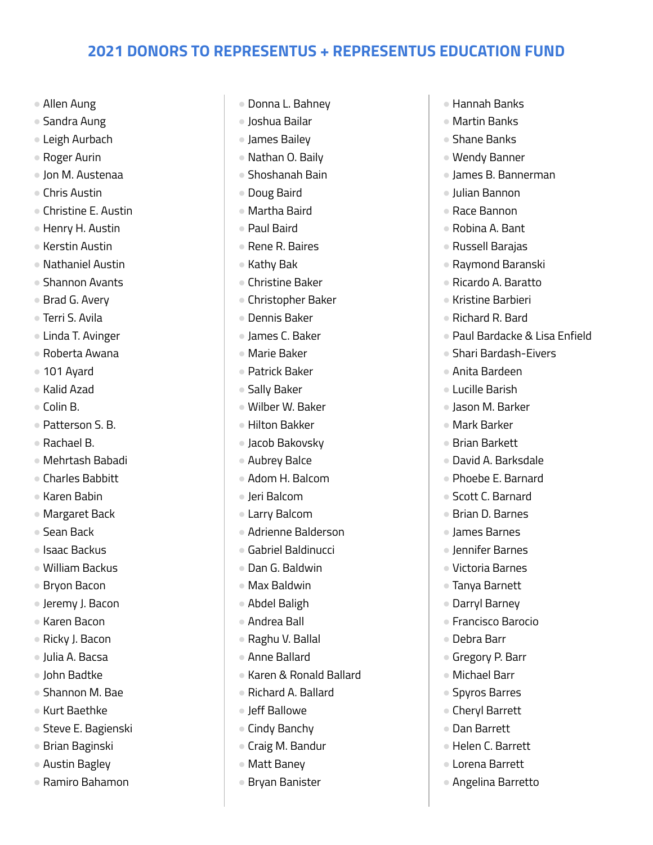- Allen Aung
- Sandra Aung
- Leigh Aurbach
- Roger Aurin
- Jon M. Austenaa
- Chris Austin
- Christine E. Austin
- Henry H. Austin
- Kerstin Austin
- Nathaniel Austin
- Shannon Avants
- Brad G. Avery
- Terri S. Avila
- Linda T. Avinger
- Roberta Awana
- 101 Ayard
- Kalid Azad
- Colin B.
- Patterson S. B.
- Rachael B.
- Mehrtash Babadi
- Charles Babbitt
- Karen Babin
- Margaret Back
- Sean Back
- Isaac Backus
- William Backus
- Bryon Bacon
- Jeremy J. Bacon
- Karen Bacon
- Ricky J. Bacon
- Julia A. Bacsa
- John Badtke
- Shannon M. Bae
- Kurt Baethke
- Steve E. Bagienski
- Brian Baginski
- Austin Bagley
- Ramiro Bahamon
- Donna L. Bahney
- Joshua Bailar
- James Bailey
- Nathan O. Baily
- Shoshanah Bain
- Doug Baird
- Martha Baird
- Paul Baird
- Rene R. Baires
- Kathy Bak
- Christine Baker
- Christopher Baker
- Dennis Baker
- James C. Baker
- Marie Baker
- Patrick Baker
- Sally Baker
- Wilber W. Baker
- Hilton Bakker
- Jacob Bakovsky
- Aubrey Balce
- Adom H. Balcom
- Jeri Balcom
- Larry Balcom
- Adrienne Balderson
- Gabriel Baldinucci
- Dan G. Baldwin
- Max Baldwin
- Abdel Baligh
- Andrea Ball
- Raghu V. Ballal
- Anne Ballard
- Karen & Ronald Ballard
- Richard A. Ballard
- Jeff Ballowe
- Cindy Banchy
- Craig M. Bandur
- Matt Baney
- Bryan Banister
- Hannah Banks
- Martin Banks
- Shane Banks
- Wendy Banner
- James B. Bannerman
- Julian Bannon
- Race Bannon
- Robina A. Bant
- Russell Barajas
- Raymond Baranski
- Ricardo A. Baratto
- Kristine Barbieri
- Richard R. Bard
- Paul Bardacke & Lisa Enfield
- Shari Bardash-Eivers
- Anita Bardeen
- Lucille Barish
- Jason M. Barker
- Mark Barker
- Brian Barkett
- David A. Barksdale ● Phoebe E. Barnard

● Scott C. Barnard ● Brian D. Barnes ● James Barnes ● Jennifer Barnes ● Victoria Barnes ● Tanya Barnett ● Darryl Barney ● Francisco Barocio

● Debra Barr

● Gregory P. Barr ● Michael Barr ● Spyros Barres ● Cheryl Barrett ● Dan Barrett

● Helen C. Barrett ● Lorena Barrett ● Angelina Barretto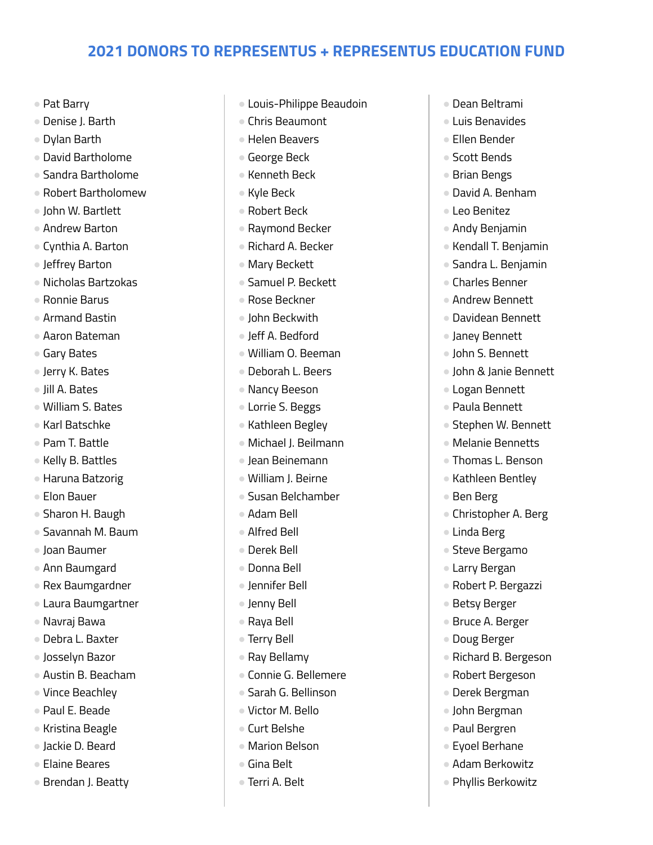- Pat Barry
- Denise J. Barth
- Dylan Barth
- David Bartholome
- Sandra Bartholome
- Robert Bartholomew
- John W. Bartlett
- Andrew Barton
- Cynthia A. Barton
- Jeffrey Barton
- Nicholas Bartzokas
- Ronnie Barus
- Armand Bastin
- Aaron Bateman
- Gary Bates
- Jerry K. Bates
- Jill A. Bates
- William S. Bates
- Karl Batschke
- Pam T. Battle
- Kelly B. Battles
- Haruna Batzorig
- Elon Bauer
- Sharon H. Baugh
- Savannah M. Baum
- Joan Baumer
- Ann Baumgard
- Rex Baumgardner
- Laura Baumgartner
- Navraj Bawa
- Debra L. Baxter
- Josselyn Bazor
- Austin B. Beacham
- Vince Beachley
- Paul E. Beade
- Kristina Beagle
- Jackie D. Beard
- Elaine Beares
- Brendan J. Beatty
- Louis-Philippe Beaudoin
- Chris Beaumont
- Helen Beavers
- George Beck
- Kenneth Beck
- Kyle Beck
- Robert Beck
- Raymond Becker
- Richard A. Becker
- Mary Beckett
- Samuel P. Beckett
- Rose Beckner
- John Beckwith
- Jeff A. Bedford
- William O. Beeman
- Deborah L. Beers
- Nancy Beeson
- Lorrie S. Beggs
- Kathleen Begley
- Michael J. Beilmann
- Jean Beinemann
- William J. Beirne
- Susan Belchamber
- Adam Bell
- Alfred Bell
- Derek Bell
- Donna Bell
- Jennifer Bell
- Jenny Bell
- Raya Bell
- Terry Bell
- Ray Bellamy
- Connie G. Bellemere
- Sarah G. Bellinson
- Victor M. Bello
- Curt Belshe
- Marion Belson
- Gina Belt
- Terri A. Belt
- Dean Beltrami
- Luis Benavides
- Ellen Bender
- Scott Bends
- Brian Bengs
- David A. Benham
- Leo Benitez
- Andy Benjamin
- Kendall T. Benjamin
- Sandra L. Benjamin
- Charles Benner
- Andrew Bennett
- Davidean Bennett
- Janey Bennett
- John S. Bennett
- John & Janie Bennett
- Logan Bennett
- Paula Bennett
- Stephen W. Bennett
- Melanie Bennetts
- Thomas L. Benson ● Kathleen Bentley

● Christopher A. Berg

● Robert P. Bergazzi

● Richard B. Bergeson ● Robert Bergeson ● Derek Bergman ● John Bergman ● Paul Bergren ● Eyoel Berhane ● Adam Berkowitz ● Phyllis Berkowitz

● Betsy Berger ● Bruce A. Berger ● Doug Berger

● Ben Berg

● Linda Berg ● Steve Bergamo ● Larry Bergan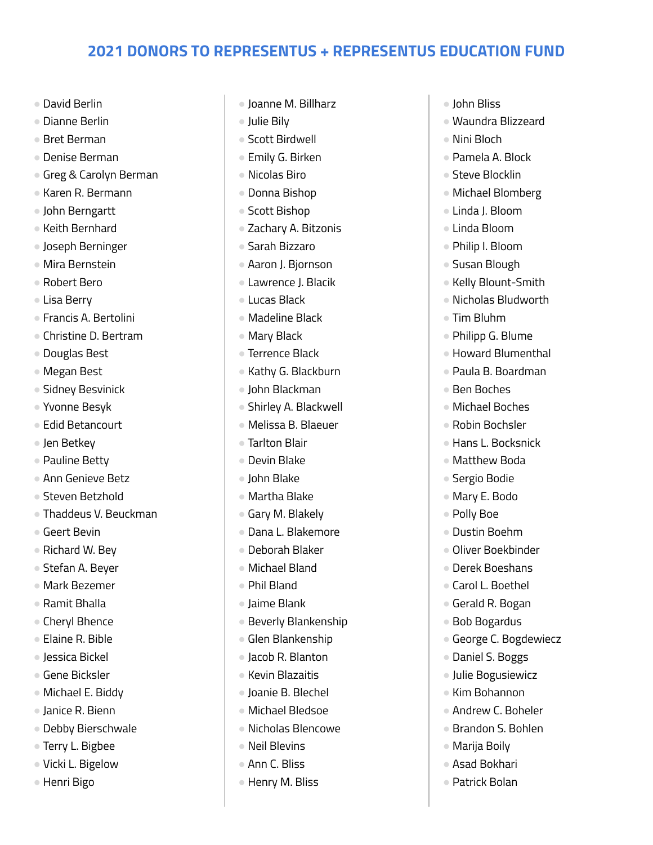- David Berlin
- Dianne Berlin
- Bret Berman
- Denise Berman
- Greg & Carolyn Berman
- Karen R. Bermann
- John Berngartt
- Keith Bernhard
- Joseph Berninger
- Mira Bernstein
- Robert Bero
- Lisa Berry
- Francis A. Bertolini
- Christine D. Bertram
- Douglas Best
- Megan Best
- Sidney Besvinick
- Yvonne Besyk
- Edid Betancourt
- Jen Betkey
- Pauline Betty
- Ann Genieve Betz
- Steven Betzhold
- Thaddeus V. Beuckman
- Geert Bevin
- Richard W. Bey
- Stefan A. Beyer
- Mark Bezemer
- Ramit Bhalla
- Cheryl Bhence
- Elaine R. Bible
- Jessica Bickel
- Gene Bicksler
- Michael E. Biddy
- Janice R. Bienn
- Debby Bierschwale
- Terry L. Bigbee
- Vicki L. Bigelow
- Henri Bigo
- Joanne M. Billharz
- Julie Bily
- Scott Birdwell
- Emily G. Birken
- Nicolas Biro
- Donna Bishop
- Scott Bishop
- Zachary A. Bitzonis
- Sarah Bizzaro
- Aaron J. Bjornson
- Lawrence J. Blacik
- Lucas Black
- Madeline Black
- Mary Black
- Terrence Black
- Kathy G. Blackburn
- John Blackman
- Shirley A. Blackwell
- Melissa B. Blaeuer
- Tarlton Blair
- Devin Blake
- John Blake
- Martha Blake
- Gary M. Blakely
- Dana L. Blakemore
- Deborah Blaker
- Michael Bland
- Phil Bland
- Jaime Blank
- Beverly Blankenship
- Glen Blankenship
- Jacob R. Blanton
- Kevin Blazaitis
- Joanie B. Blechel
- Michael Bledsoe
- Nicholas Blencowe
- Neil Blevins
- Ann C. Bliss
- Henry M. Bliss
- John Bliss
- Waundra Blizzeard
- Nini Bloch
- Pamela A. Block
- Steve Blocklin
- Michael Blomberg
- Linda J. Bloom
- Linda Bloom
- Philip I. Bloom
- Susan Blough
- Kelly Blount-Smith
- Nicholas Bludworth
- Tim Bluhm
- Philipp G. Blume
- Howard Blumenthal
- Paula B. Boardman
- Ben Boches
- Michael Boches
- Robin Bochsler
- Hans L. Bocksnick

● George C. Bogdewiecz

● Daniel S. Boggs ● Julie Bogusiewicz ● Kim Bohannon ● Andrew C. Boheler ● Brandon S. Bohlen

● Marija Boily ● Asad Bokhari ● Patrick Bolan

● Matthew Boda ● Sergio Bodie

● Mary E. Bodo ● Polly Boe ● Dustin Boehm ● Oliver Boekbinder ● Derek Boeshans ● Carol L. Boethel ● Gerald R. Bogan ● Bob Bogardus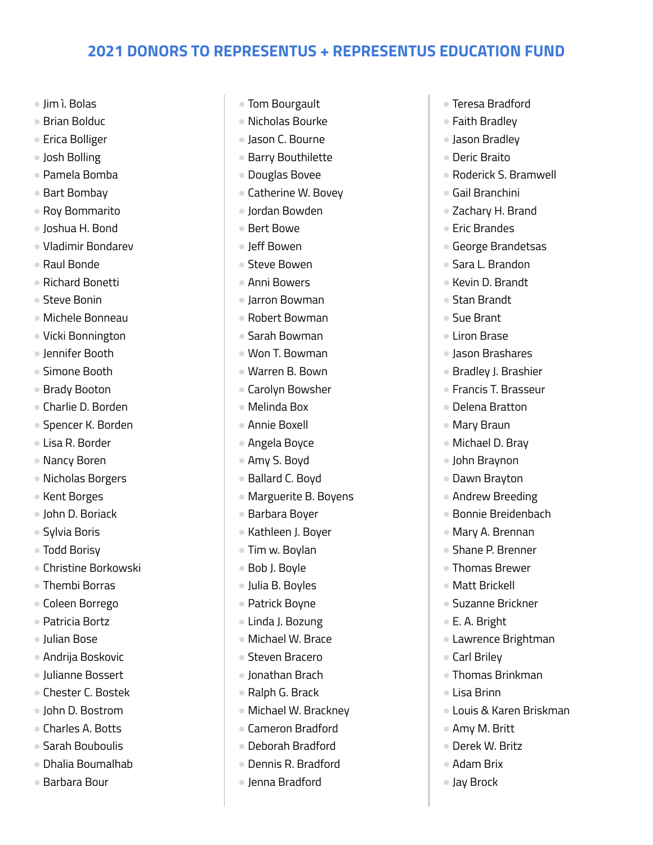- Jim ì. Bolas
- Brian Bolduc
- Erica Bolliger
- Josh Bolling
- Pamela Bomba
- Bart Bombav
- Roy Bommarito
- Joshua H. Bond
- Vladimir Bondarev
- Raul Bonde
- Richard Bonetti
- Steve Bonin
- Michele Bonneau
- Vicki Bonnington
- Jennifer Booth
- Simone Booth
- Brady Booton
- Charlie D. Borden
- Spencer K. Borden
- Lisa R. Border
- Nancy Boren
- Nicholas Borgers
- Kent Borges
- John D. Boriack
- Sylvia Boris
- Todd Borisy
- Christine Borkowski
- Thembi Borras
- Coleen Borrego
- Patricia Bortz
- Julian Bose
- Andrija Boskovic
- Julianne Bossert
- Chester C. Bostek
- John D. Bostrom
- Charles A. Botts
- Sarah Bouboulis
- Dhalia Boumalhab
- Barbara Bour
- Tom Bourgault
- Nicholas Bourke
- Jason C. Bourne
- Barry Bouthilette
- Douglas Bovee
- Catherine W. Bovey
- Jordan Bowden
- Bert Bowe
- Jeff Bowen
- Steve Bowen
- Anni Bowers
- Jarron Bowman
- Robert Bowman
- Sarah Bowman
- Won T. Bowman
- Warren B. Bown
- Carolyn Bowsher
- Melinda Box
- Annie Boxell
- Angela Boyce
- Amy S. Boyd
- Ballard C. Boyd
- Marguerite B. Boyens
- Barbara Boyer
- Kathleen J. Boyer
- Tim w. Boylan
- Bob J. Boyle
- Julia B. Boyles
- Patrick Boyne
- Linda J. Bozung
- Michael W. Brace
- Steven Bracero
- Jonathan Brach
- Ralph G. Brack
- Michael W. Brackney
- Cameron Bradford
- Deborah Bradford
- Dennis R. Bradford
- Jenna Bradford
- Teresa Bradford
- Faith Bradley
- Jason Bradley
- Deric Braito
- Roderick S. Bramwell
- Gail Branchini
- Zachary H. Brand
- Eric Brandes
- George Brandetsas
- Sara L. Brandon
- Kevin D. Brandt
- Stan Brandt
- Sue Brant
- Liron Brase
- Jason Brashares
- Bradley J. Brashier
- Francis T. Brasseur
- Delena Bratton
- Mary Braun
- Michael D. Bray

● Andrew Breeding ● Bonnie Breidenbach ● Mary A. Brennan ● Shane P. Brenner ● Thomas Brewer ● Matt Brickell ● Suzanne Brickner

● John Braynon ● Dawn Brayton

● E. A. Bright

● Carl Briley

● Lisa Brinn

● Amy M. Britt ● Derek W. Britz ● Adam Brix ● Jay Brock

● Lawrence Brightman

● Thomas Brinkman

● Louis & Karen Briskman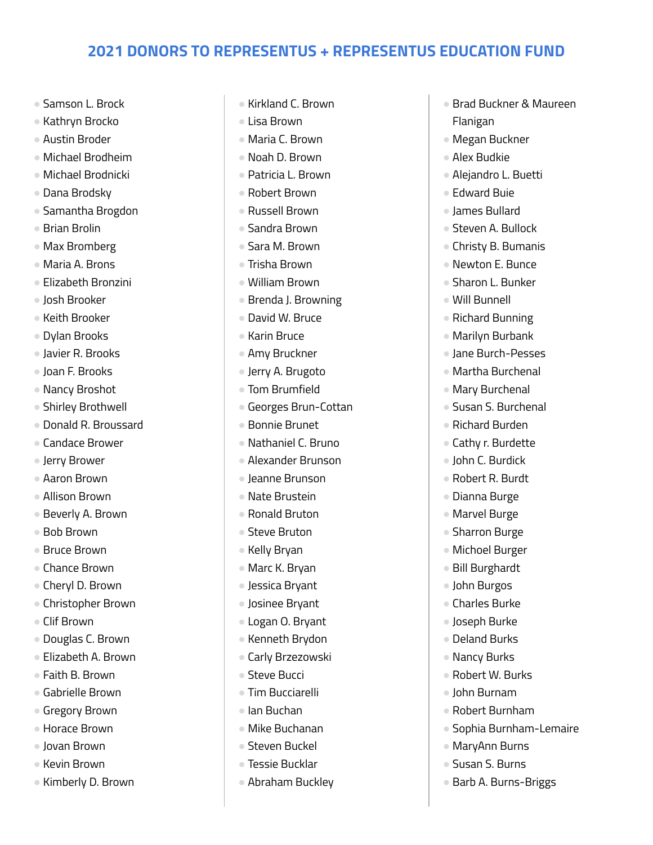- Samson L. Brock
- Kathryn Brocko
- Austin Broder
- Michael Brodheim
- Michael Brodnicki
- Dana Brodsky
- Samantha Brogdon
- Brian Brolin
- Max Bromberg
- Maria A. Brons
- Elizabeth Bronzini
- Josh Brooker
- Keith Brooker
- Dylan Brooks
- Javier R. Brooks
- Joan F. Brooks
- Nancy Broshot
- Shirley Brothwell
- Donald R. Broussard
- Candace Brower
- Jerry Brower
- Aaron Brown
- Allison Brown
- Beverly A. Brown
- Bob Brown
- Bruce Brown
- Chance Brown
- Cheryl D. Brown
- Christopher Brown
- Clif Brown
- Douglas C. Brown
- Elizabeth A. Brown
- Faith B. Brown
- Gabrielle Brown
- Gregory Brown
- Horace Brown
- Jovan Brown
- Kevin Brown
- Kimberly D. Brown
- Kirkland C. Brown
- Lisa Brown
- Maria C. Brown
- Noah D. Brown
- Patricia L. Brown
- Robert Brown
- Russell Brown
- Sandra Brown
- Sara M. Brown
- Trisha Brown
- William Brown
- Brenda J. Browning
- David W. Bruce
- Karin Bruce
- Amy Bruckner
- Jerry A. Brugoto
- Tom Brumfield
- Georges Brun-Cottan
- Bonnie Brunet
- Nathaniel C. Bruno
- Alexander Brunson
- Jeanne Brunson
- Nate Brustein
- Ronald Bruton
- Steve Bruton
- Kelly Bryan
- Marc K. Bryan
- Jessica Bryant
- Josinee Bryant
- Logan O. Bryant
- Kenneth Brydon
- Carly Brzezowski
- Steve Bucci
- Tim Bucciarelli
- Ian Buchan
- Mike Buchanan
- Steven Buckel
- Tessie Bucklar
- Abraham Buckley
- Brad Buckner & Maureen Flanigan
- Megan Buckner
- Alex Budkie
- Alejandro L. Buetti
- Edward Buie
- James Bullard
- Steven A. Bullock
- Christy B. Bumanis
- Newton E. Bunce
- Sharon L. Bunker
- Will Bunnell
- Richard Bunning
- Marilyn Burbank
- Jane Burch-Pesses
- Martha Burchenal
- Mary Burchenal
- Susan S. Burchenal
- Richard Burden
- Cathy r. Burdette
- John C. Burdick
- Robert R. Burdt ● Dianna Burge

● Marvel Burge ● Sharron Burge ● Michoel Burger ● Bill Burghardt ● John Burgos ● Charles Burke ● Joseph Burke ● Deland Burks ● Nancy Burks ● Robert W. Burks ● John Burnam ● Robert Burnham

● Sophia Burnham-Lemaire

● MaryAnn Burns ● Susan S. Burns

● Barb A. Burns-Briggs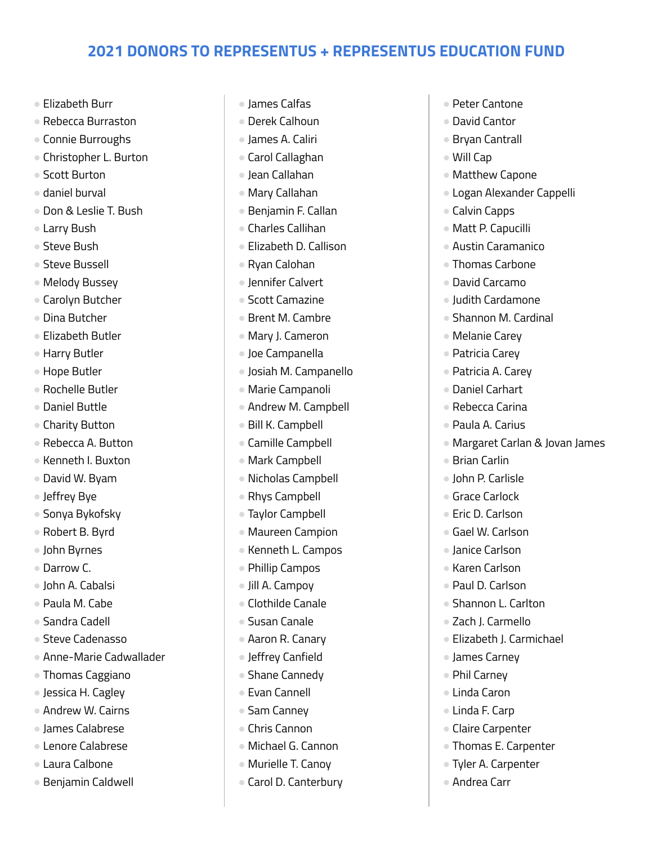- Elizabeth Burr
- Rebecca Burraston
- Connie Burroughs
- Christopher L. Burton
- Scott Burton
- daniel burval
- Don & Leslie T. Bush
- Larry Bush
- Steve Bush
- Steve Bussell
- Melody Bussey
- Carolyn Butcher
- Dina Butcher
- Elizabeth Butler
- Harry Butler
- Hope Butler
- Rochelle Butler
- Daniel Buttle
- Charity Button
- Rebecca A. Button
- Kenneth I. Buxton
- David W. Byam
- Jeffrey Bye
- Sonya Bykofsky
- Robert B. Byrd
- John Byrnes
- Darrow C.
- John A. Cabalsi
- Paula M. Cabe
- Sandra Cadell
- Steve Cadenasso
- Anne-Marie Cadwallader
- Thomas Caggiano
- Jessica H. Cagley
- Andrew W. Cairns
- James Calabrese
- Lenore Calabrese
- Laura Calbone
- Benjamin Caldwell
- James Calfas
- Derek Calhoun
- James A. Caliri
- Carol Callaghan
- Jean Callahan
- Mary Callahan
- Benjamin F. Callan
- Charles Callihan
- Elizabeth D. Callison
- Ryan Calohan
- Jennifer Calvert
- Scott Camazine
- Brent M. Cambre
- Mary J. Cameron
- Joe Campanella
- Josiah M. Campanello
- Marie Campanoli
- Andrew M. Campbell
- Bill K. Campbell
- Camille Campbell
- Mark Campbell
- Nicholas Campbell
- Rhys Campbell
- Taylor Campbell
- Maureen Campion
- Kenneth L. Campos
- Phillip Campos
- Jill A. Campoy
- Clothilde Canale
- Susan Canale
- Aaron R. Canary
- Jeffrey Canfield
- Shane Cannedy
- Evan Cannell
- Sam Canney
- Chris Cannon
- Michael G. Cannon
- Murielle T. Canoy
- Carol D. Canterbury
- Peter Cantone
- David Cantor
- Bryan Cantrall
- Will Cap
- Matthew Capone
- Logan Alexander Cappelli
- Calvin Capps
- Matt P. Capucilli
- Austin Caramanico
- Thomas Carbone
- David Carcamo
- Judith Cardamone
- Shannon M. Cardinal
- Melanie Carey
- Patricia Carey
- Patricia A. Carev
- Daniel Carhart
- Rebecca Carina
- Paula A. Carius

● John P. Carlisle ● Grace Carlock ● Eric D. Carlson ● Gael W. Carlson ● Janice Carlson ● Karen Carlson ● Paul D. Carlson ● Shannon L. Carlton ● Zach J. Carmello

● Elizabeth J. Carmichael

● James Carney ● Phil Carney ● Linda Caron ● Linda F. Carp ● Claire Carpenter ● Thomas E. Carpenter ● Tyler A. Carpenter

● Andrea Carr

- Margaret Carlan & Jovan James
- Brian Carlin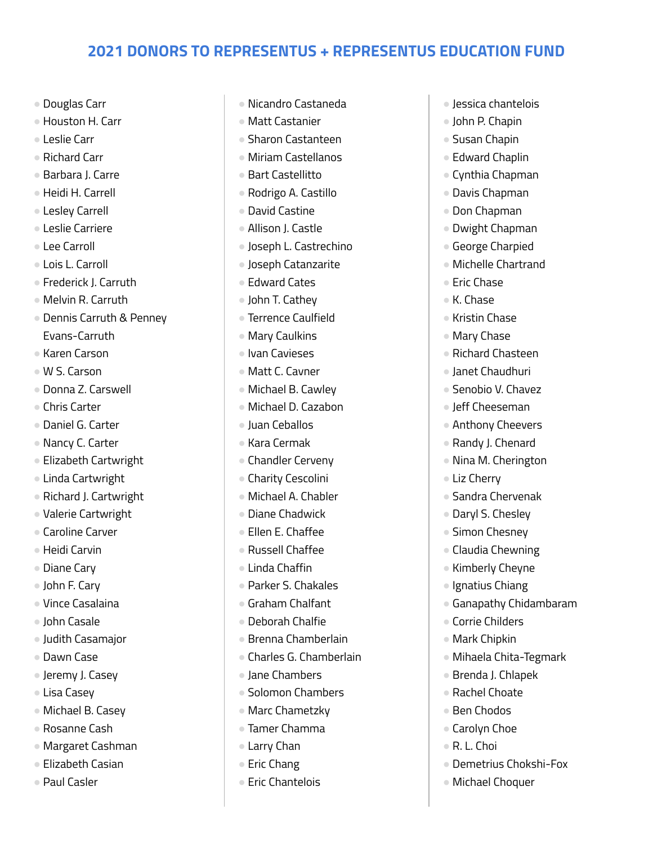- Douglas Carr
- Houston H. Carr
- Leslie Carr
- Richard Carr
- Barbara J. Carre
- Heidi H. Carrell
- Lesley Carrell
- Leslie Carriere
- Lee Carroll
- Lois L. Carroll
- Frederick J. Carruth
- Melvin R. Carruth
- Dennis Carruth & Penney Evans-Carruth
- Karen Carson
- W S. Carson
- Donna Z. Carswell
- Chris Carter
- Daniel G. Carter
- Nancy C. Carter
- Elizabeth Cartwright
- Linda Cartwright
- Richard J. Cartwright
- Valerie Cartwright
- Caroline Carver
- Heidi Carvin
- Diane Cary
- John F. Cary
- Vince Casalaina
- John Casale
- Judith Casamajor
- Dawn Case
- Jeremy J. Casey
- Lisa Casey
- Michael B. Casey
- Rosanne Cash
- Margaret Cashman
- Elizabeth Casian
- Paul Casler
- Nicandro Castaneda
- Matt Castanier
- Sharon Castanteen
- Miriam Castellanos
- Bart Castellitto
- Rodrigo A. Castillo
- David Castine
- Allison J. Castle
- Joseph L. Castrechino
- Joseph Catanzarite
- Edward Cates
- John T. Cathey
- Terrence Caulfield
- Mary Caulkins
- Ivan Cavieses
- Matt C. Cavner
- Michael B. Cawley
- Michael D. Cazabon
- Juan Ceballos
- Kara Cermak
- Chandler Cerveny
- Charity Cescolini
- Michael A. Chabler
- Diane Chadwick
- Ellen E. Chaffee
- Russell Chaffee
- Linda Chaffin
- Parker S. Chakales
- Graham Chalfant
- Deborah Chalfie
- Brenna Chamberlain
- Charles G. Chamberlain
- Jane Chambers
- Solomon Chambers
- Marc Chametzky
- Tamer Chamma
- Larry Chan
- Eric Chang
- Eric Chantelois
- Jessica chantelois
- John P. Chapin
- Susan Chapin
- Edward Chaplin
- Cynthia Chapman
- Davis Chapman
- Don Chapman
- Dwight Chapman
- George Charpied
- Michelle Chartrand
- Eric Chase
- K. Chase
- Kristin Chase
- Mary Chase
- Richard Chasteen
- Janet Chaudhuri
- Senobio V. Chavez
- Jeff Cheeseman
- Anthony Cheevers
- Randy J. Chenard
- Nina M. Cherington

● Sandra Chervenak ● Daryl S. Chesley ● Simon Chesney ● Claudia Chewning ● Kimberly Cheyne ● Ignatius Chiang

● Ganapathy Chidambaram

● Mihaela Chita-Tegmark

● Demetrius Chokshi-Fox

● Michael Choquer

● Brenda J. Chlapek ● Rachel Choate ● Ben Chodos ● Carolyn Choe ● R. L. Choi

● Corrie Childers ● Mark Chipkin

● Liz Cherry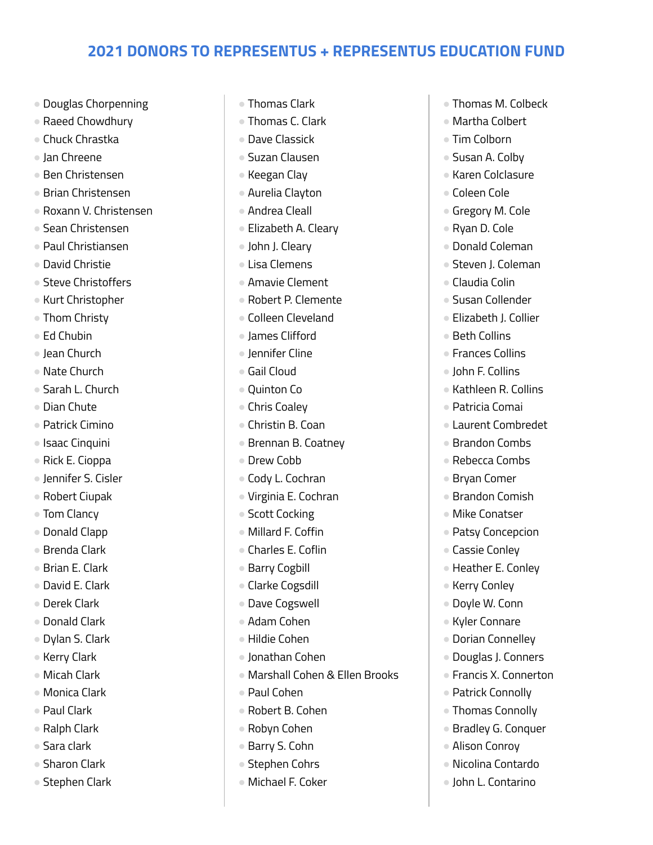- Douglas Chorpenning
- Raeed Chowdhury
- Chuck Chrastka
- Jan Chreene
- Ben Christensen
- Brian Christensen
- Roxann V. Christensen
- Sean Christensen
- Paul Christiansen
- David Christie
- Steve Christoffers
- Kurt Christopher
- Thom Christy
- Ed Chubin
- Jean Church
- Nate Church
- Sarah L. Church
- Dian Chute
- Patrick Cimino
- Isaac Cinquini
- Rick E. Cioppa
- Jennifer S. Cisler
- Robert Ciupak
- Tom Clancy
- Donald Clapp
- Brenda Clark
- Brian E. Clark
- David E. Clark
- Derek Clark
- Donald Clark
- Dylan S. Clark
- Kerry Clark
- Micah Clark
- Monica Clark
- Paul Clark
- Ralph Clark
- Sara clark
- Sharon Clark
- Stephen Clark
- Thomas Clark
- Thomas C. Clark
- Dave Classick
- Suzan Clausen
- Keegan Clay
- Aurelia Clayton
- Andrea Cleall
- Elizabeth A. Cleary
- John J. Cleary
- Lisa Clemens
- Amavie Clement
- Robert P. Clemente
- Colleen Cleveland
- James Clifford
- Jennifer Cline
- Gail Cloud
- Quinton Co
- Chris Coaley
- Christin B. Coan
- Brennan B. Coatney
- Drew Cobb
- Cody L. Cochran
- Virginia E. Cochran
- Scott Cocking
- Millard F. Coffin
- Charles E. Coflin
- Barry Cogbill
- Clarke Cogsdill
- Dave Cogswell
- Adam Cohen
- Hildie Cohen
- Jonathan Cohen
- Marshall Cohen & Ellen Brooks
- Paul Cohen
- Robert B. Cohen
- Robyn Cohen
- Barry S. Cohn
- Stephen Cohrs
- Michael F. Coker
- Thomas M. Colbeck
- Martha Colbert
- Tim Colborn
- Susan A. Colby
- Karen Colclasure
- Coleen Cole
- Gregory M. Cole
- Ryan D. Cole
- Donald Coleman
- Steven J. Coleman
- Claudia Colin
- Susan Collender
- Elizabeth J. Collier
- Beth Collins
- Frances Collins
- John F. Collins
- Kathleen R. Collins
- Patricia Comai
- Laurent Combredet
- Brandon Combs
- Rebecca Combs ● Bryan Comer

● Brandon Comish ● Mike Conatser ● Patsy Concepcion ● Cassie Conley ● Heather E. Conley

● Kerry Conley ● Doyle W. Conn ● Kyler Connare ● Dorian Connelley ● Douglas J. Conners ● Francis X. Connerton

● Patrick Connolly ● Thomas Connolly ● Bradley G. Conquer

● Alison Conrov ● Nicolina Contardo ● John L. Contarino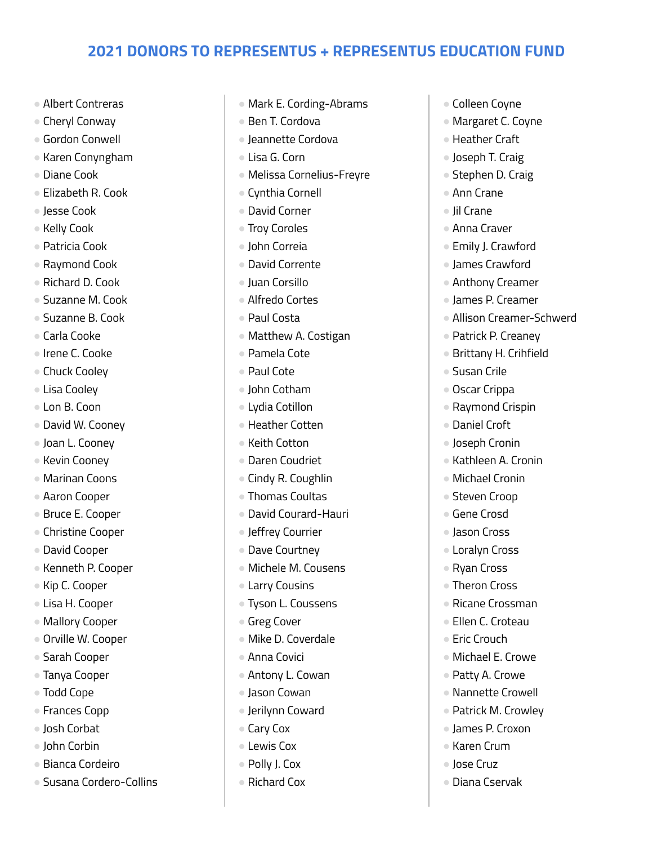- Albert Contreras
- Cheryl Conway
- Gordon Conwell
- Karen Conyngham
- Diane Cook
- Elizabeth R. Cook
- Jesse Cook
- Kelly Cook
- Patricia Cook
- Raymond Cook
- Richard D. Cook
- Suzanne M. Cook
- Suzanne B. Cook
- Carla Cooke
- Irene C. Cooke
- Chuck Coolev
- Lisa Cooley
- Lon B. Coon
- David W. Cooney
- Joan L. Cooney
- Kevin Coonev
- Marinan Coons
- Aaron Cooper
- Bruce E. Cooper
- Christine Cooper
- David Cooper
- Kenneth P. Cooper
- Kip C. Cooper
- Lisa H. Cooper
- Mallory Cooper
- Orville W. Cooper
- Sarah Cooper
- Tanya Cooper
- Todd Cope
- Frances Copp
- Josh Corbat
- John Corbin
- Bianca Cordeiro
- Susana Cordero-Collins
- Mark E. Cording-Abrams
- Ben T. Cordova
- Jeannette Cordova
- Lisa G. Corn
- Melissa Cornelius-Freyre
- Cynthia Cornell
- David Corner
- Troy Coroles
- John Correia
- David Corrente
- Juan Corsillo
- Alfredo Cortes
- Paul Costa
- Matthew A. Costigan
- Pamela Cote
- Paul Cote
- John Cotham
- Lydia Cotillon
- Heather Cotten
- Keith Cotton
- Daren Coudriet
- Cindy R. Coughlin
- Thomas Coultas
- David Courard-Hauri
- Jeffrey Courrier
- Dave Courtney
- Michele M. Cousens
- Larry Cousins
- Tyson L. Coussens
- Greg Cover
- Mike D. Coverdale
- Anna Covici
- Antony L. Cowan
- Jason Cowan
- Jerilynn Coward
- Cary Cox
- **Lewis Cox**
- Polly J. Cox
- Richard Cox
- Colleen Coyne
- Margaret C. Coyne
- Heather Craft
- Joseph T. Craig
- Stephen D. Craig
- Ann Crane
- Jil Crane
- Anna Craver
- Emily J. Crawford
- James Crawford
- Anthony Creamer
- James P. Creamer
- Allison Creamer-Schwerd
- Patrick P. Creaney
- Brittany H. Crihfield
- Susan Crile
- Oscar Crippa
- Raymond Crispin
- Daniel Croft
- Joseph Cronin

● Michael Cronin ● Steven Croop ● Gene Crosd ● Jason Cross ● Loralyn Cross ● Ryan Cross ● Theron Cross ● Ricane Crossman ● Ellen C. Croteau ● Eric Crouch

● Kathleen A. Cronin

● Michael E. Crowe ● Patty A. Crowe ● Nannette Crowell ● Patrick M. Crowley ● James P. Croxon ● Karen Crum ● Jose Cruz ● Diana Cservak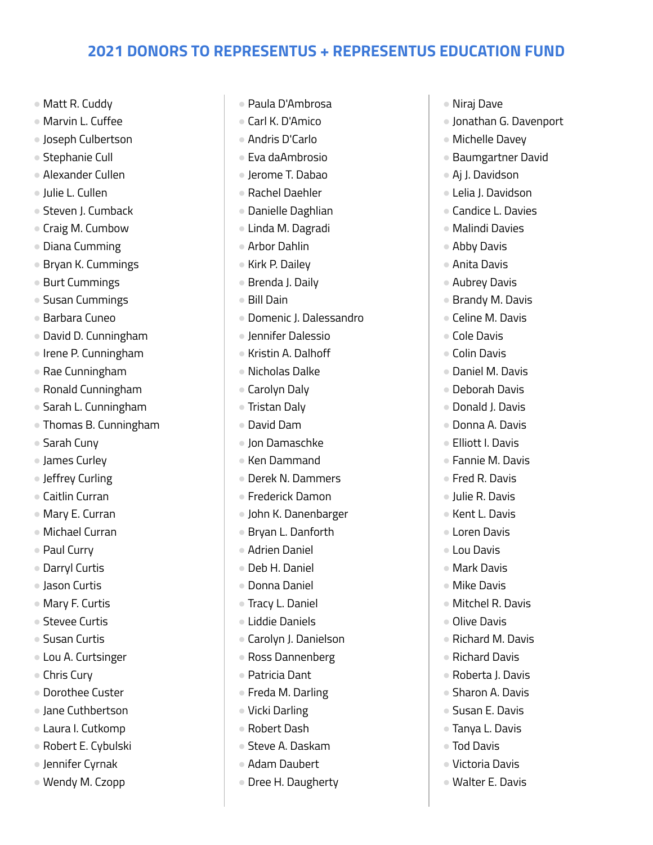- Matt R. Cuddy
- Marvin L. Cuffee
- Joseph Culbertson
- Stephanie Cull
- Alexander Cullen
- Julie L. Cullen
- Steven J. Cumback
- Craig M. Cumbow
- Diana Cumming
- Bryan K. Cummings
- Burt Cummings
- Susan Cummings
- Barbara Cuneo
- David D. Cunningham
- Irene P. Cunningham
- Rae Cunningham
- Ronald Cunningham
- Sarah L. Cunningham
- Thomas B. Cunningham
- Sarah Cuny
- James Curley
- Jeffrey Curling
- Caitlin Curran
- Mary E. Curran
- Michael Curran
- Paul Curry
- Darryl Curtis
- Jason Curtis
- Mary F. Curtis
- Stevee Curtis
- Susan Curtis
- Lou A. Curtsinger
- Chris Cury
- Dorothee Custer
- Jane Cuthbertson
- Laura I. Cutkomp
- Robert E. Cybulski
- Jennifer Cyrnak
- Wendy M. Czopp
- Paula D'Ambrosa
- Carl K. D'Amico
- Andris D'Carlo
- Eva daAmbrosio
- Jerome T. Dabao
- Rachel Daehler
- Danielle Daghlian
- Linda M. Dagradi
- Arbor Dahlin
- Kirk P. Dailey
- Brenda J. Daily
- Bill Dain
- Domenic J. Dalessandro
- Jennifer Dalessio
- Kristin A. Dalhoff
- Nicholas Dalke
- Carolyn Daly
- Tristan Daly
- David Dam
- Jon Damaschke
- Ken Dammand
- Derek N. Dammers
- Frederick Damon
- John K. Danenbarger
- Bryan L. Danforth
- Adrien Daniel
- Deb H. Daniel
- Donna Daniel
- Tracy L. Daniel
- Liddie Daniels
- Carolyn J. Danielson
- Ross Dannenberg
- Patricia Dant
- Freda M. Darling
- Vicki Darling
- Robert Dash
- Steve A. Daskam
- Adam Daubert
- Dree H. Daugherty
- Niraj Dave
- Jonathan G. Davenport
- Michelle Davey
- Baumgartner David
- Aj J. Davidson
- Lelia J. Davidson
- Candice L. Davies
- Malindi Davies
- Abby Davis
- Anita Davis
- Aubrey Davis
- Brandy M. Davis
- Celine M. Davis
- Cole Davis
- Colin Davis
- Daniel M. Davis
- Deborah Davis
- Donald J. Davis
- Donna A. Davis
- Elliott I. Davis

● Julie R. Davis ● Kent L. Davis ● Loren Davis ● Lou Davis ● Mark Davis ● Mike Davis ● Mitchel R. Davis

● Olive Davis

● Richard M. Davis ● Richard Davis ● Roberta J. Davis ● Sharon A. Davis ● Susan E. Davis ● Tanya L. Davis ● Tod Davis ● Victoria Davis ● Walter E. Davis

● Fannie M. Davis ● Fred R. Davis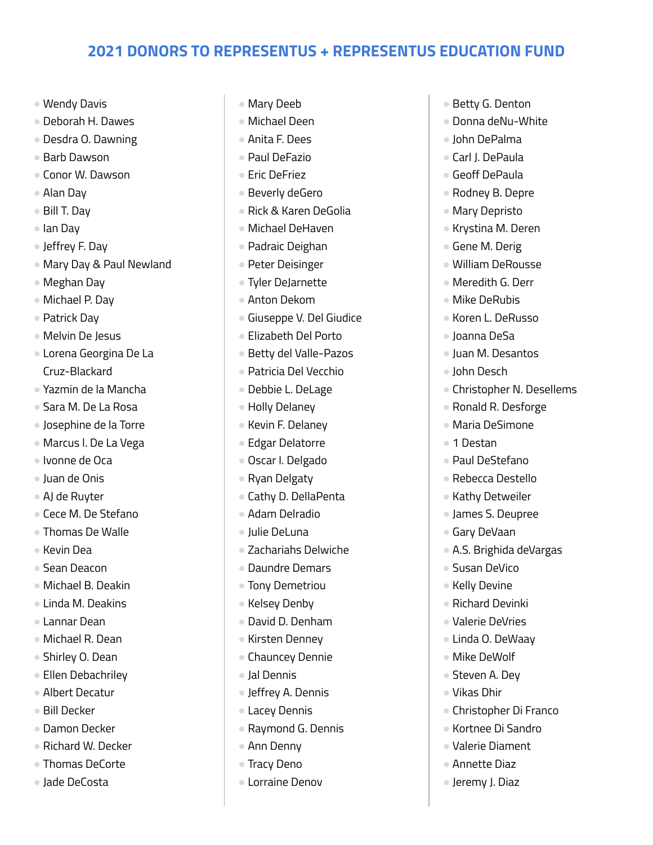- Wendy Davis
- Deborah H. Dawes
- Desdra O. Dawning
- Barb Dawson
- Conor W. Dawson
- Alan Day
- Bill T. Day
- Ian Day
- Jeffrey F. Day
- Mary Day & Paul Newland
- Meghan Day
- Michael P. Day
- Patrick Dav
- Melvin De Jesus
- Lorena Georgina De La Cruz-Blackard
- Yazmin de la Mancha
- Sara M. De La Rosa
- Josephine de la Torre
- Marcus l. De La Vega
- Ivonne de Oca
- Juan de Onis
- AJ de Ruyter
- Cece M. De Stefano
- Thomas De Walle
- Kevin Dea
- Sean Deacon
- Michael B. Deakin
- Linda M. Deakins
- Lannar Dean
- Michael R. Dean
- Shirley O. Dean
- Ellen Debachriley
- Albert Decatur
- Bill Decker
- Damon Decker
- Richard W. Decker
- Thomas DeCorte
- Jade DeCosta
- Mary Deeb
- Michael Deen
- Anita F. Dees
- Paul DeFazio
- Eric DeFriez
- Beverly deGero
- Rick & Karen DeGolia
- Michael DeHaven
- Padraic Deighan
- Peter Deisinger
- Tyler DeJarnette
- Anton Dekom
- Giuseppe V. Del Giudice
- Elizabeth Del Porto
- Betty del Valle-Pazos
- Patricia Del Vecchio
- Debbie L. DeLage
- Holly Delaney
- Kevin F. Delaney
- Edgar Delatorre
- Oscar I. Delgado
- Ryan Delgaty
- Cathy D. DellaPenta
- Adam Delradio
- Julie DeLuna
- Zachariahs Delwiche
- Daundre Demars
- Tony Demetriou
- Kelsey Denby
- David D. Denham
- Kirsten Denney
- Chauncey Dennie
- Jal Dennis
- Jeffrey A. Dennis
- Lacey Dennis
- Raymond G. Dennis
- Ann Denny
- Tracy Deno
- Lorraine Denov
- Betty G. Denton
- Donna deNu-White
- John DePalma
- Carl J. DePaula
- Geoff DePaula
- Rodney B. Depre
- Mary Depristo
- Krystina M. Deren
- Gene M. Derig
- William DeRousse
- Meredith G. Derr
- Mike DeRubis
- Koren L. DeRusso
- Joanna DeSa
- Juan M. Desantos
- John Desch
- Christopher N. Desellems
- Ronald R. Desforge
- Maria DeSimone
- 1 Destan
- Paul DeStefano
- Rebecca Destello ● Kathy Detweiler

● James S. Deupree ● Gary DeVaan

● Susan DeVico ● Kelly Devine ● Richard Devinki ● Valerie DeVries ● Linda O. DeWaay ● Mike DeWolf ● Steven A. Dev ● Vikas Dhir

● A.S. Brighida deVargas

● Christopher Di Franco ● Kortnee Di Sandro ● Valerie Diament ● Annette Diaz ● Jeremy J. Diaz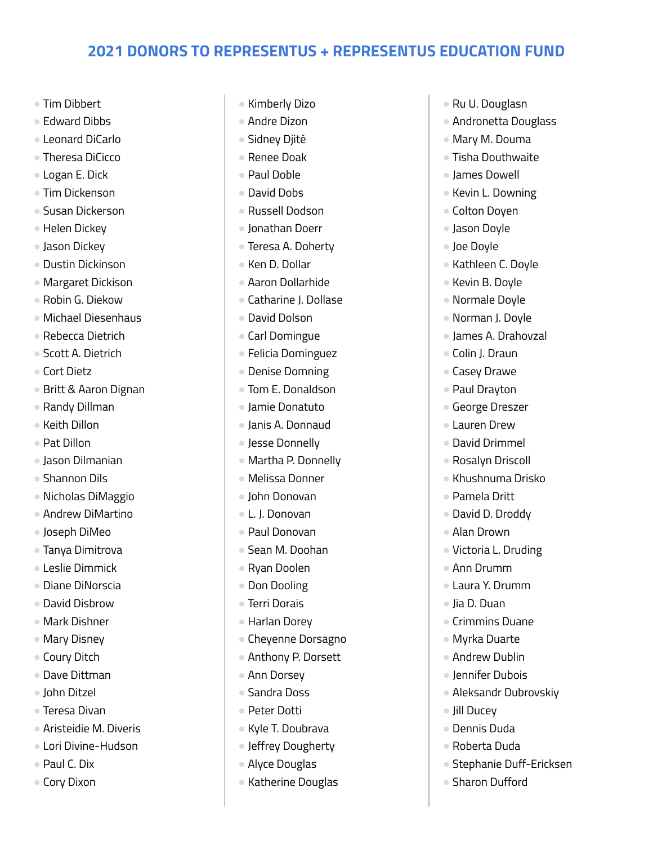- Tim Dibbert
- Edward Dibbs
- Leonard DiCarlo
- Theresa DiCicco
- Logan E. Dick
- Tim Dickenson
- Susan Dickerson
- Helen Dickey
- Jason Dickey
- Dustin Dickinson
- Margaret Dickison
- Robin G. Diekow
- Michael Diesenhaus
- Rebecca Dietrich
- Scott A. Dietrich
- Cort Dietz
- Britt & Aaron Dignan
- Randy Dillman
- Keith Dillon
- Pat Dillon
- Jason Dilmanian
- Shannon Dils
- Nicholas DiMaggio
- Andrew DiMartino
- Joseph DiMeo
- Tanya Dimitrova
- Leslie Dimmick
- Diane DiNorscia
- David Disbrow
- Mark Dishner
- Mary Disney
- Coury Ditch
- Dave Dittman
- John Ditzel
- Teresa Divan
- Aristeidie M. Diveris
- Lori Divine-Hudson
- Paul C. Dix
- Cory Dixon
- Kimberly Dizo
- Andre Dizon
- Sidney Djitè
- Renee Doak
- Paul Doble
- David Dobs
- Russell Dodson
- Jonathan Doerr
- Teresa A. Doherty
- Ken D. Dollar
- Aaron Dollarhide
- Catharine J. Dollase
- David Dolson
- Carl Domingue
- Felicia Dominguez
- Denise Domning
- Tom E. Donaldson
- Jamie Donatuto
- Janis A. Donnaud
- Jesse Donnelly
- Martha P. Donnelly
- Melissa Donner
- John Donovan
- L. J. Donovan
- Paul Donovan
- Sean M. Doohan
- Ryan Doolen
- Don Dooling
- Terri Dorais
- Harlan Dorey
- Cheyenne Dorsagno
- Anthony P. Dorsett
- Ann Dorsey
- Sandra Doss
- Peter Dotti
- Kyle T. Doubrava
- Jeffrey Dougherty
- Alyce Douglas
- Katherine Douglas
- Ru U. Douglasn
- Andronetta Douglass
- Mary M. Douma
- Tisha Douthwaite
- James Dowell
- Kevin L. Downing
- Colton Doyen
- Jason Doyle
- Joe Doyle
- Kathleen C. Doyle
- Kevin B. Doyle
- Normale Doyle
- Norman J. Doyle
- James A. Drahovzal
- Colin J. Draun
- Casey Drawe
- Paul Drayton
- George Dreszer
- Lauren Drew
- David Drimmel
- Rosalyn Driscoll

● Pamela Dritt ● David D. Droddy ● Alan Drown

● Ann Drumm ● Laura Y. Drumm

● Jia D. Duan

● Jill Ducey ● Dennis Duda ● Roberta Duda

● Crimmins Duane ● Myrka Duarte ● Andrew Dublin ● Jennifer Dubois

● Aleksandr Dubrovskiy

● Stephanie Duff-Ericksen

● Sharon Dufford

● Khushnuma Drisko

● Victoria L. Druding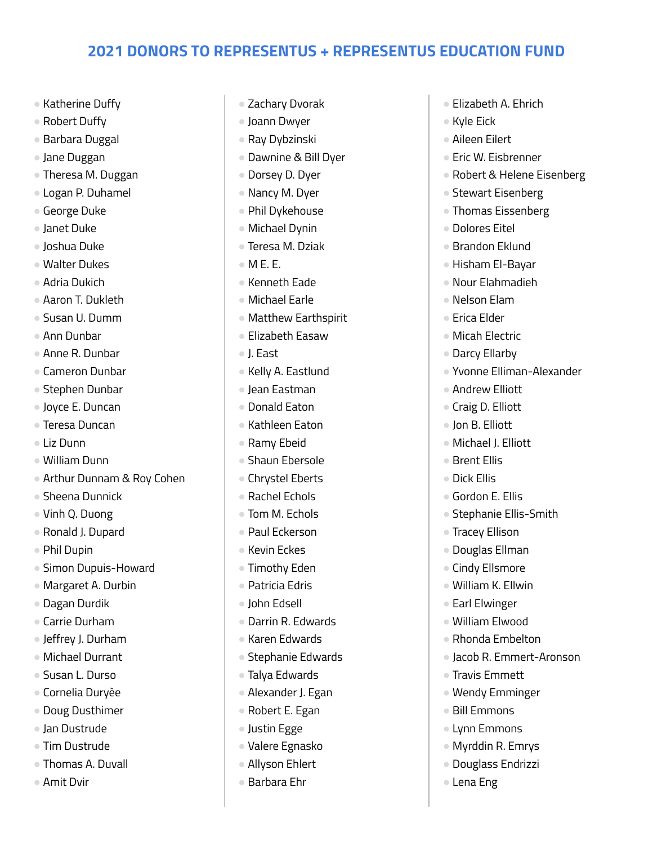- Katherine Duffy
- Robert Duffy
- Barbara Duggal
- Jane Duggan
- Theresa M. Duggan
- Logan P. Duhamel
- George Duke
- Janet Duke
- Joshua Duke
- Walter Dukes
- Adria Dukich
- Aaron T. Dukleth
- Susan U. Dumm
- Ann Dunbar
- Anne R. Dunbar
- Cameron Dunbar
- Stephen Dunbar
- Joyce E. Duncan
- Teresa Duncan
- Liz Dunn
- William Dunn
- Arthur Dunnam & Roy Cohen
- Sheena Dunnick
- Vinh Q. Duong
- Ronald J. Dupard
- Phil Dupin
- Simon Dupuis-Howard
- Margaret A. Durbin
- Dagan Durdik
- Carrie Durham
- Jeffrey J. Durham
- Michael Durrant
- Susan L. Durso
- Cornelia Duryèe
- Doug Dusthimer
- Jan Dustrude
- Tim Dustrude
- Thomas A. Duvall
- Amit Dvir
- Zachary Dvorak
- Joann Dwyer
- Ray Dybzinski
- Dawnine & Bill Dyer
- Dorsey D. Dyer
- Nancy M. Dyer
- Phil Dykehouse
- Michael Dynin
- Teresa M. Dziak
- $\bullet$  M F. F.
- Kenneth Eade
- Michael Earle
- Matthew Earthspirit
- Elizabeth Easaw
- J. East
- Kelly A. Eastlund
- Jean Eastman
- Donald Eaton
- Kathleen Eaton
- Ramy Ebeid
- Shaun Ebersole
- Chrystel Eberts
- Rachel Echols
- Tom M. Echols
- Paul Eckerson
- Kevin Eckes
- Timothy Eden
- Patricia Edris
- John Edsell
- Darrin R. Edwards
- Karen Edwards
- Stephanie Edwards
- Talya Edwards
- Alexander J. Egan
- Robert E. Egan
- Justin Egge
- Valere Egnasko
- Allyson Ehlert
- Barbara Ehr
- Elizabeth A. Ehrich
- Kyle Eick
- Aileen Eilert
- Eric W. Eisbrenner
- Robert & Helene Eisenberg
- Stewart Eisenberg
- Thomas Eissenberg
- Dolores Eitel
- Brandon Eklund
- Hisham El-Bayar
- Nour Elahmadieh
- Nelson Elam
- Erica Elder
- Micah Electric
- Darcy Ellarby
- Yvonne Elliman-Alexander
- Andrew Elliott
- Craig D. Elliott
- Ion B. Flliott
- Michael J. Elliott

● Gordon E. Ellis

● Tracey Ellison ● Douglas Ellman ● Cindy Ellsmore ● William K. Ellwin ● Earl Elwinger ● William Elwood ● Rhonda Embelton

● Travis Emmett ● Wendy Emminger ● Bill Emmons ● Lynn Emmons ● Myrddin R. Emrys ● Douglass Endrizzi

● Lena Eng

● Stephanie Ellis-Smith

● Jacob R. Emmert-Aronson

● Brent Ellis ● Dick Ellis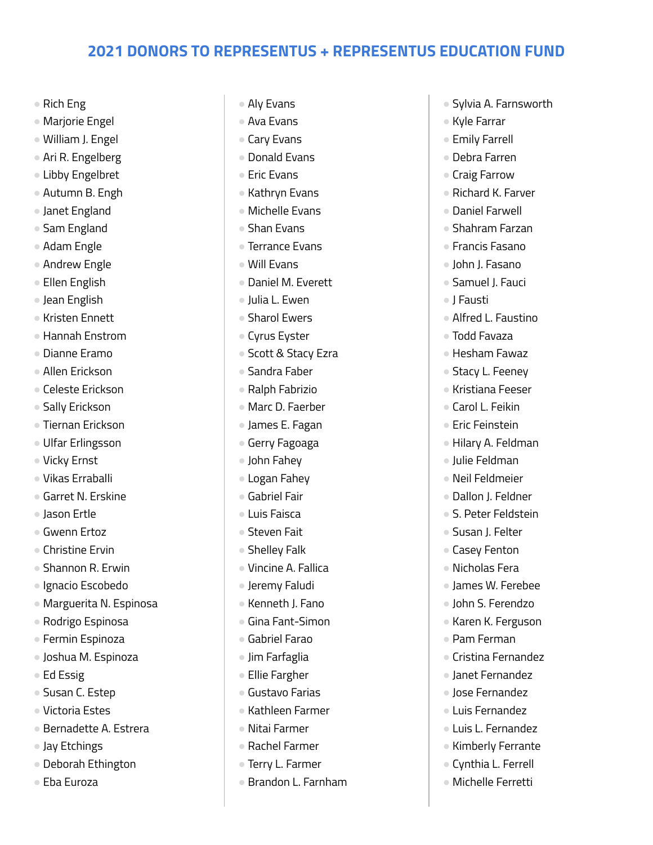- Rich Eng
- Marjorie Engel
- William J. Engel
- Ari R. Engelberg
- Libby Engelbret
- Autumn B. Engh
- Janet England
- Sam England
- Adam Engle
- Andrew Engle
- Ellen English
- Jean English
- Kristen Ennett
- Hannah Enstrom
- Dianne Eramo
- Allen Erickson
- Celeste Erickson
- Sally Erickson
- Tiernan Erickson
- Ulfar Erlingsson
- Vicky Ernst
- Vikas Erraballi
- Garret N. Erskine
- Jason Ertle
- Gwenn Ertoz
- Christine Frvin
- Shannon R. Erwin
- Ignacio Escobedo
- Marguerita N. Espinosa
- Rodrigo Espinosa
- Fermin Espinoza
- Joshua M. Espinoza
- Ed Essig
- Susan C. Estep
- Victoria Estes
- Bernadette A. Estrera
- Jay Etchings
- Deborah Ethington
- Eba Euroza
- Aly Evans
- Ava Evans
- Cary Evans
- Donald Evans
- Eric Evans
- Kathryn Evans
- Michelle Evans
- Shan Evans
- Terrance Evans
- Will Evans
- Daniel M. Everett
- Julia L. Ewen
- Sharol Ewers
- Cyrus Eyster
- Scott & Stacy Ezra
- Sandra Faber
- Ralph Fabrizio
- Marc D. Faerber
- James E. Fagan
- Gerry Fagoaga
- John Fahey
- Logan Fahey
- Gabriel Fair
- Luis Faisca
- Steven Fait
- Shelley Falk
- Vincine A. Fallica
- Jeremy Faludi
- Kenneth J. Fano
- Gina Fant-Simon
- Gabriel Farao
- Jim Farfaglia
- Ellie Fargher
- Gustavo Farias
- Kathleen Farmer
- Nitai Farmer
- Rachel Farmer
- Terry L. Farmer
- Brandon L. Farnham
- Sylvia A. Farnsworth
- Kyle Farrar
- Emily Farrell
- Debra Farren
- Craig Farrow
- Richard K. Farver
- Daniel Farwell
- Shahram Farzan
- Francis Fasano
- John J. Fasano
- Samuel I. Fauci
- J Fausti
- Alfred L. Faustino
- Todd Favaza
- Hesham Fawaz
- Stacy L. Feeney
- Kristiana Feeser
- Carol L. Feikin
- Eric Feinstein
- Hilary A. Feldman

● Dallon J. Feldner ● S. Peter Feldstein ● Susan J. Felter ● Casey Fenton ● Nicholas Fera ● James W. Ferebee ● John S. Ferendzo ● Karen K. Ferguson

● Julie Feldman ● Neil Feldmeier

● Pam Ferman

● Cristina Fernandez ● Janet Fernandez ● Jose Fernandez ● Luis Fernandez ● Luis L. Fernandez ● Kimberly Ferrante ● Cynthia L. Ferrell ● Michelle Ferretti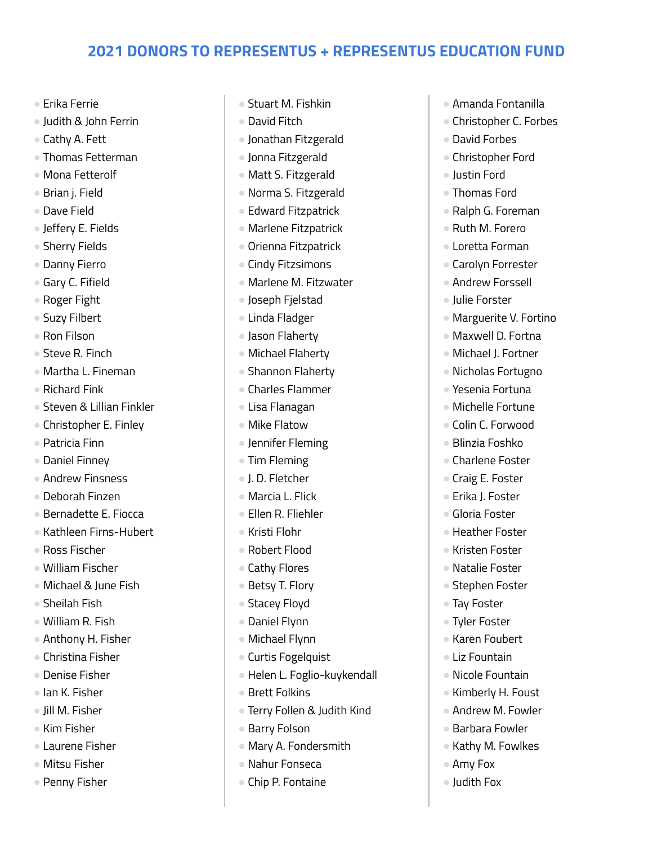- Erika Ferrie
- Judith & John Ferrin
- Cathy A. Fett
- Thomas Fetterman
- Mona Fetterolf
- Brian j. Field
- Dave Field
- Jeffery E. Fields
- Sherry Fields
- Danny Fierro
- Gary C. Fifield
- Roger Fight
- Suzy Filbert
- Ron Filson
- Steve R. Finch
- Martha L. Fineman
- Richard Fink
- Steven & Lillian Finkler
- Christopher E. Finley
- Patricia Finn
- Daniel Finney
- Andrew Finsness
- Deborah Finzen
- Bernadette E. Fiocca
- Kathleen Firns-Hubert
- Ross Fischer
- William Fischer
- Michael & June Fish
- Sheilah Fish
- William R. Fish
- Anthony H. Fisher
- Christina Fisher
- Denise Fisher
- Ian K. Fisher
- Jill M. Fisher
- Kim Fisher
- Laurene Fisher
- Mitsu Fisher
- Penny Fisher
- Stuart M. Fishkin
- David Fitch
- Jonathan Fitzgerald
- Jonna Fitzgerald
- Matt S. Fitzgerald
- Norma S. Fitzgerald
- Edward Fitzpatrick
- Marlene Fitzpatrick
- Orienna Fitzpatrick
- Cindy Fitzsimons
- Marlene M. Fitzwater
- Joseph Fjelstad
- Linda Fladger
- Jason Flaherty
- Michael Flaherty
- Shannon Flaherty
- Charles Flammer
- Lisa Flanagan
- Mike Flatow
- Jennifer Fleming
- Tim Fleming
- J. D. Fletcher
- Marcia L. Flick
- Ellen R. Fliehler
- Kristi Flohr
- Robert Flood
- Cathy Flores
- Betsy T. Flory
- Stacey Floyd
- Daniel Flynn
- Michael Flynn
- Curtis Fogelquist
- Helen L. Foglio-kuykendall
- Brett Folkins
- Terry Follen & Judith Kind
- Barry Folson
- Mary A. Fondersmith
- Nahur Fonseca
- Chip P. Fontaine
- Amanda Fontanilla
- Christopher C. Forbes
- David Forbes
- Christopher Ford
- Justin Ford
- Thomas Ford
- Ralph G. Foreman
- Ruth M. Forero
- Loretta Forman
- Carolyn Forrester
- Andrew Forssell
- Julie Forster
- Marguerite V. Fortino
- Maxwell D. Fortna
- Michael J. Fortner
- Nicholas Fortugno
- Yesenia Fortuna
- Michelle Fortune
- Colin C. Forwood
- Blinzia Foshko
- Charlene Foster ● Craig E. Foster

● Erika J. Foster ● Gloria Foster ● Heather Foster ● Kristen Foster ● Natalie Foster ● Stephen Foster

● Tay Foster ● Tyler Foster ● Karen Foubert ● Liz Fountain ● Nicole Fountain ● Kimberly H. Foust ● Andrew M. Fowler ● Barbara Fowler ● Kathy M. Fowlkes

● Amy Fox ● Judith Fox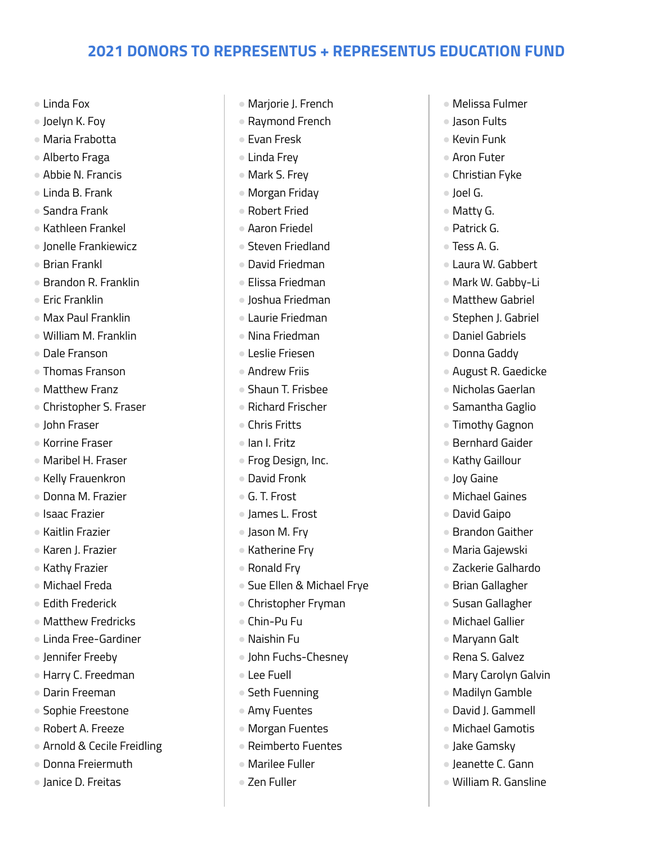- Linda Fox
- Joelyn K. Foy
- Maria Frabotta
- Alberto Fraga
- Abbie N. Francis
- Linda B. Frank
- Sandra Frank
- Kathleen Frankel
- Jonelle Frankiewicz
- Brian Frankl
- Brandon R. Franklin
- Fric Franklin
- Max Paul Franklin
- William M. Franklin
- Dale Franson
- Thomas Franson
- Matthew Franz
- Christopher S. Fraser
- John Fraser
- Korrine Fraser
- Maribel H. Fraser
- Kelly Frauenkron
- Donna M. Frazier
- Isaac Frazier
- Kaitlin Frazier
- Karen J. Frazier
- Kathy Frazier
- Michael Freda
- Edith Frederick
- Matthew Fredricks
- Linda Free-Gardiner
- Jennifer Freeby
- Harry C. Freedman
- Darin Freeman
- Sophie Freestone
- Robert A. Freeze
- Arnold & Cecile Freidling
- Donna Freiermuth
- Janice D. Freitas
- Marjorie J. French
- Raymond French
- Evan Fresk
- Linda Frey
- Mark S. Frey
- Morgan Friday
- Robert Fried
- Aaron Friedel
- Steven Friedland
- David Friedman
- Elissa Friedman
- Joshua Friedman
- Laurie Friedman
- Nina Friedman
- Leslie Friesen
- Andrew Friis
- Shaun T. Frisbee
- Richard Frischer
- Chris Fritts
- Ian I. Fritz
- Frog Design, Inc.
- David Fronk
- G. T. Frost
- James L. Frost
- Jason M. Fry
- Katherine Fry
- Ronald Fry
- Sue Ellen & Michael Frye
- Christopher Fryman
- Chin-Pu Fu
- Naishin Fu
- John Fuchs-Chesney
- Lee Fuell
- Seth Fuenning
- Amy Fuentes
- Morgan Fuentes
- Reimberto Fuentes
- Marilee Fuller
- Zen Fuller
- Melissa Fulmer
- Jason Fults
- Kevin Funk
- Aron Futer
- Christian Fyke
- Joel G.
- Matty G.
- Patrick G.
- Tess A. G.
- Laura W. Gabbert
- Mark W. Gabby-Li
- Matthew Gabriel
- Stephen J. Gabriel
- Daniel Gabriels
- Donna Gaddy
- August R. Gaedicke
- Nicholas Gaerlan
- Samantha Gaglio
- Timothy Gagnon
- Bernhard Gaider
- Kathy Gaillour

● Michael Gaines ● David Gaipo ● Brandon Gaither ● Maria Gajewski ● Zackerie Galhardo ● Brian Gallagher ● Susan Gallagher ● Michael Gallier ● Marvann Galt ● Rena S. Galvez

● Mary Carolyn Galvin ● Madilyn Gamble ● David J. Gammell ● Michael Gamotis ● Jake Gamsky ● Jeanette C. Gann ● William R. Gansline

● Joy Gaine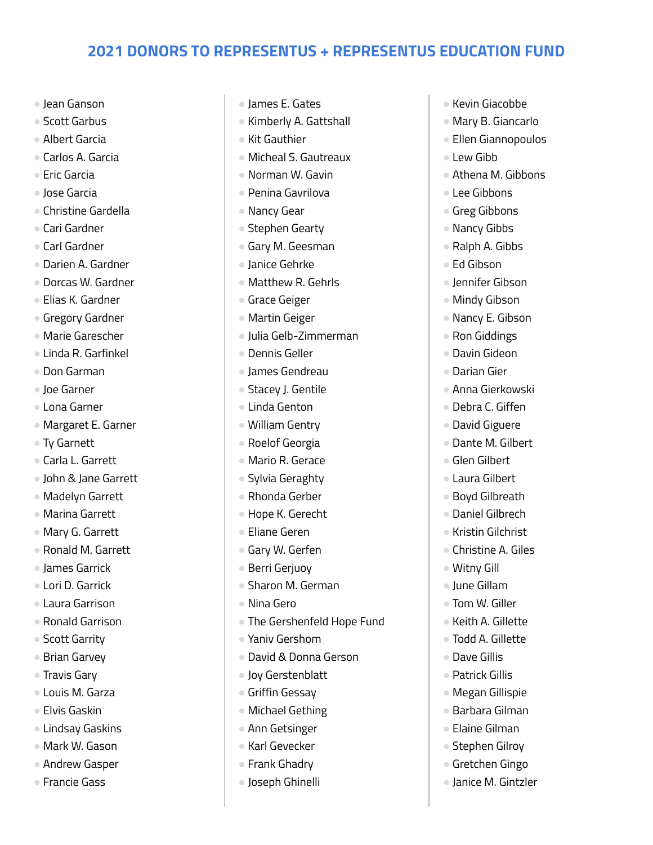- Jean Ganson
- Scott Garbus
- Albert Garcia
- Carlos A. Garcia
- Fric Garcia
- Jose Garcia
- Christine Gardella
- Cari Gardner
- Carl Gardner
- Darien A. Gardner
- Dorcas W. Gardner
- Elias K. Gardner
- Gregory Gardner
- Marie Garescher
- Linda R. Garfinkel
- Don Garman
- Joe Garner
- Lona Garner
- Margaret E. Garner
- Ty Garnett
- Carla L. Garrett
- John & Jane Garrett
- Madelyn Garrett
- Marina Garrett
- Mary G. Garrett
- Ronald M. Garrett
- James Garrick
- Lori D. Garrick
- Laura Garrison
- Ronald Garrison
- Scott Garrity
- Brian Garvey
- Travis Gary
- Louis M. Garza
- Elvis Gaskin
- Lindsay Gaskins
- Mark W. Gason
- Andrew Gasper
- Francie Gass
- James E. Gates
- Kimberly A. Gattshall
- Kit Gauthier
- Micheal S. Gautreaux
- Norman W. Gavin
- Penina Gavrilova
- Nancy Gear
- Stephen Gearty
- Gary M. Geesman
- Janice Gehrke
- Matthew R. Gehrls
- Grace Geiger
- Martin Geiger
- Julia Gelb-Zimmerman
- Dennis Geller
- James Gendreau
- Stacey J. Gentile
- Linda Genton
- William Gentry
- Roelof Georgia
- Mario R. Gerace
- Sylvia Geraghty
- Rhonda Gerber
- Hope K. Gerecht
- Eliane Geren
- Gary W. Gerfen
- Berri Gerjuoy
- Sharon M. German
- Nina Gero
- The Gershenfeld Hope Fund
- Yaniv Gershom
- David & Donna Gerson
- Joy Gerstenblatt
- Griffin Gessay
- Michael Gething
- Ann Getsinger
- Karl Gevecker
- Frank Ghadry
- Joseph Ghinelli
- Kevin Giacobbe
- Mary B. Giancarlo
- Ellen Giannopoulos
- Lew Gibb
- Athena M. Gibbons
- Lee Gibbons
- Greg Gibbons
- Nancy Gibbs
- Ralph A. Gibbs
- Ed Gibson
- Jennifer Gibson
- Mindy Gibson
- Nancy E. Gibson
- Ron Giddings
- Davin Gideon
- Darian Gier
- Anna Gierkowski
- Debra C. Giffen
- David Giguere
- Dante M. Gilbert

● Boyd Gilbreath ● Daniel Gilbrech ● Kristin Gilchrist ● Christine A. Giles

● Glen Gilbert ● Laura Gilbert

● Witny Gill ● June Gillam ● Tom W. Giller ● Keith A. Gillette ● Todd A. Gillette ● Dave Gillis ● Patrick Gillis ● Megan Gillispie ● Barbara Gilman ● Elaine Gilman ● Stephen Gilroy ● Gretchen Gingo ● Janice M. Gintzler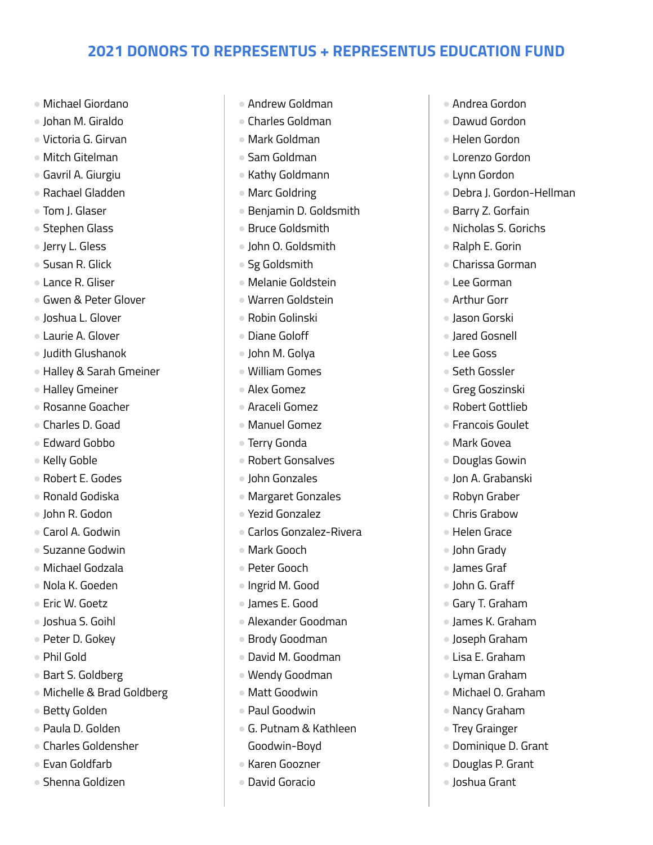- Michael Giordano
- Johan M. Giraldo
- Victoria G. Girvan
- Mitch Gitelman
- Gavril A. Giurgiu
- Rachael Gladden
- Tom J. Glaser
- Stephen Glass
- Jerry L. Gless
- Susan R. Glick
- Lance R. Gliser
- Gwen & Peter Glover
- Joshua L. Glover
- Laurie A. Glover
- Judith Glushanok
- Halley & Sarah Gmeiner
- Halley Gmeiner
- Rosanne Goacher
- Charles D. Goad
- Edward Gobbo
- Kelly Goble
- Robert E. Godes
- Ronald Godiska
- John R. Godon
- Carol A. Godwin
- Suzanne Godwin
- Michael Godzala
- Nola K. Goeden
- Eric W. Goetz
- Joshua S. Goihl
- Peter D. Gokev
- Phil Gold
- Bart S. Goldberg
- Michelle & Brad Goldberg
- Betty Golden
- Paula D. Golden
- Charles Goldensher
- Evan Goldfarb
- Shenna Goldizen
- Andrew Goldman
- Charles Goldman
- Mark Goldman
- Sam Goldman
- Kathy Goldmann
- Marc Goldring
- Benjamin D. Goldsmith
- Bruce Goldsmith
- John O. Goldsmith
- Sg Goldsmith
- Melanie Goldstein
- Warren Goldstein
- Robin Golinski
- Diane Goloff
- John M. Golya
- William Gomes
- Alex Gomez
- Araceli Gomez
- Manuel Gomez
- Terry Gonda
- Robert Gonsalves
- John Gonzales
- Margaret Gonzales
- Yezid Gonzalez
- Carlos Gonzalez-Rivera
- Mark Gooch
- Peter Gooch
- Ingrid M. Good
- James E. Good
- Alexander Goodman
- Brody Goodman
- David M. Goodman
- Wendy Goodman
- Matt Goodwin
- Paul Goodwin
- G. Putnam & Kathleen Goodwin-Boyd
- Karen Goozner
- David Goracio
- Andrea Gordon
- Dawud Gordon
- Helen Gordon
- Lorenzo Gordon
- Lynn Gordon
- Debra J. Gordon-Hellman
- Barry Z. Gorfain
- Nicholas S. Gorichs
- Ralph E. Gorin
- Charissa Gorman
- Lee Gorman
- Arthur Gorr
- Jason Gorski
- Jared Gosnell
- Lee Goss
- Seth Gossler
- Greg Goszinski
- Robert Gottlieb
- Francois Goulet
- Mark Govea
- Douglas Gowin
- Jon A. Grabanski ● Robyn Graber

● Chris Grabow ● Helen Grace ● John Grady ● James Graf ● John G. Graff ● Gary T. Graham ● James K. Graham ● Joseph Graham ● Lisa E. Graham ● Lyman Graham ● Michael O. Graham ● Nancy Graham ● Trey Grainger

● Dominique D. Grant ● Douglas P. Grant ● Joshua Grant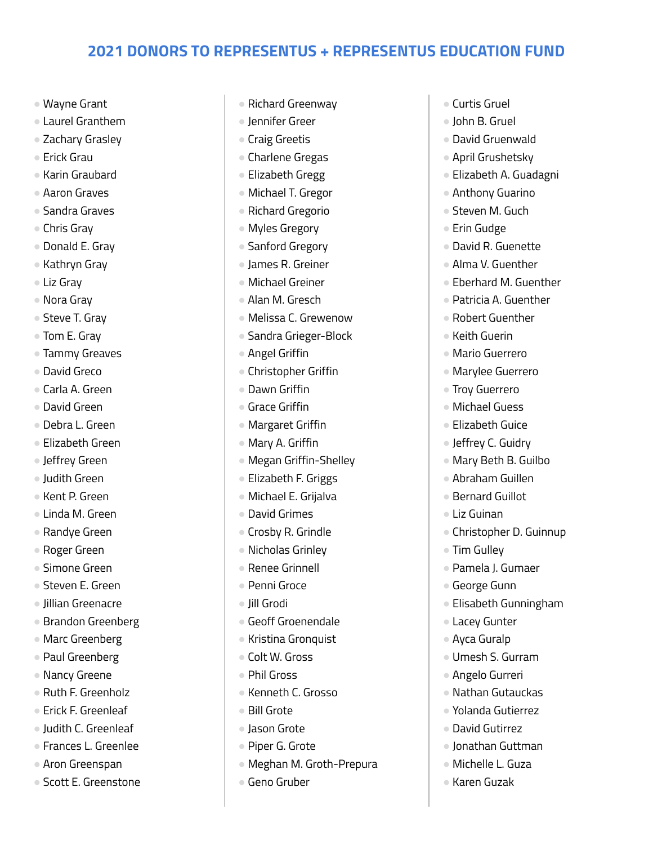- Wayne Grant
- Laurel Granthem
- Zachary Grasley
- Erick Grau
- Karin Graubard
- Aaron Graves
- Sandra Graves
- Chris Gray
- Donald E. Gray
- Kathryn Gray
- Liz Gray
- Nora Gray
- Steve T. Grav
- Tom E. Gray
- Tammy Greaves
- David Greco
- Carla A. Green
- David Green
- Debra L. Green
- Elizabeth Green
- Jeffrey Green
- Judith Green
- Kent P. Green
- Linda M. Green
- Randye Green
- Roger Green
- Simone Green
- Steven E. Green
- Jillian Greenacre
- Brandon Greenberg
- Marc Greenberg
- Paul Greenberg
- Nancy Greene
- Ruth F. Greenholz
- Erick F. Greenleaf
- Judith C. Greenleaf
- Frances L. Greenlee
- Aron Greenspan
- Scott E. Greenstone
- Richard Greenway
- Jennifer Greer
- Craig Greetis
- Charlene Gregas
- Elizabeth Gregg
- Michael T. Gregor
- Richard Gregorio
- Myles Gregory
- Sanford Gregory
- James R. Greiner
- Michael Greiner
- Alan M. Gresch
- Melissa C. Grewenow
- Sandra Grieger-Block
- Angel Griffin
- Christopher Griffin
- Dawn Griffin
- Grace Griffin
- Margaret Griffin
- Mary A. Griffin
- Megan Griffin-Shelley
- Elizabeth F. Griggs
- Michael E. Grijalva
- David Grimes
- Crosby R. Grindle
- Nicholas Grinley
- Renee Grinnell
- Penni Groce
- Jill Grodi
- Geoff Groenendale
- Kristina Gronquist
- Colt W. Gross
- Phil Gross
- Kenneth C. Grosso
- Bill Grote
- Jason Grote
- Piper G. Grote
- Meghan M. Groth-Prepura
- Geno Gruber
- Curtis Gruel
- John B. Gruel
- David Gruenwald
- April Grushetsky
- Elizabeth A. Guadagni
- Anthony Guarino
- Steven M. Guch
- Erin Gudge
- David R. Guenette
- Alma V. Guenther
- Eberhard M. Guenther
- Patricia A. Guenther
- Robert Guenther
- Keith Guerin
- Mario Guerrero
- Marylee Guerrero
- Troy Guerrero
- Michael Guess
- Elizabeth Guice
- Jeffrey C. Guidry

● Bernard Guillot

● Liz Guinan

● Tim Gulley

● George Gunn

**• Lacey Gunter** ● Avca Guralp

● Umesh S. Gurram ● Angelo Gurreri ● Nathan Gutauckas ● Yolanda Gutierrez ● David Gutirrez ● Jonathan Guttman ● Michelle L. Guza ● Karen Guzak

● Mary Beth B. Guilbo ● Abraham Guillen

● Christopher D. Guinnup

● Elisabeth Gunningham

● Pamela J. Gumaer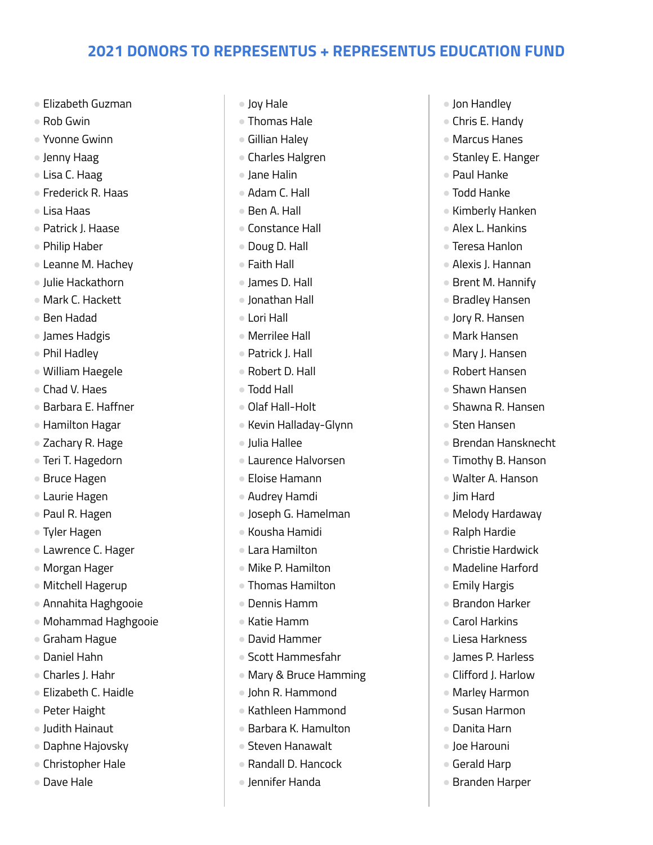- Elizabeth Guzman
- $\bullet$  Rob Gwin
- Yvonne Gwinn
- Jenny Haag
- Lisa C. Haag
- Frederick R. Haas
- Lisa Haas
- Patrick J. Haase
- Philip Haber
- Leanne M. Hachey
- Julie Hackathorn
- Mark C. Hackett
- Ben Hadad
- James Hadgis
- Phil Hadley
- William Haegele
- Chad V. Haes
- Barbara E. Haffner
- Hamilton Hagar
- Zachary R. Hage
- Teri T. Hagedorn
- Bruce Hagen
- Laurie Hagen
- Paul R. Hagen
- Tyler Hagen
- Lawrence C. Hager
- Morgan Hager
- Mitchell Hagerup
- Annahita Haghgooie
- Mohammad Haghgooie
- Graham Hague
- Daniel Hahn
- Charles J. Hahr
- Elizabeth C. Haidle
- Peter Haight
- Judith Hainaut
- Daphne Hajovsky
- Christopher Hale
- Dave Hale
- Joy Hale
- Thomas Hale
- Gillian Haley
- Charles Halgren
- Jane Halin
- Adam C. Hall
- Ben A. Hall
- Constance Hall
- Doug D. Hall
- Faith Hall
- James D. Hall
- Jonathan Hall
- Lori Hall
- Merrilee Hall
- Patrick J. Hall
- Robert D. Hall
- Todd Hall
- Olaf Hall-Holt
- Kevin Halladay-Glynn
- Julia Hallee
- Laurence Halvorsen
- Eloise Hamann
- Audrey Hamdi
- Joseph G. Hamelman
- Kousha Hamidi
- Lara Hamilton
- Mike P. Hamilton
- Thomas Hamilton
- Dennis Hamm
- Katie Hamm
- David Hammer
- Scott Hammesfahr
- Mary & Bruce Hamming
- John R. Hammond
- Kathleen Hammond
- Barbara K. Hamulton
- Steven Hanawalt
- Randall D. Hancock
- Jennifer Handa
- Jon Handley
- Chris E. Handy
- Marcus Hanes
- Stanley E. Hanger
- Paul Hanke
- Todd Hanke
- Kimberly Hanken
- Alex L. Hankins
- Teresa Hanlon
- Alexis J. Hannan
- Brent M. Hannify
- Bradley Hansen
- Jory R. Hansen
- Mark Hansen
- Mary J. Hansen
- Robert Hansen
- Shawn Hansen
- Shawna R. Hansen
- Sten Hansen

● Jim Hard

● Emily Hargis ● Brandon Harker ● Carol Harkins ● Liesa Harkness ● James P. Harless ● Clifford J. Harlow ● Marley Harmon ● Susan Harmon ● Danita Harn ● Joe Harouni ● Gerald Harp ● Branden Harper

- Brendan Hansknecht
- Timothy B. Hanson ● Walter A. Hanson

● Melody Hardaway ● Ralph Hardie ● Christie Hardwick ● Madeline Harford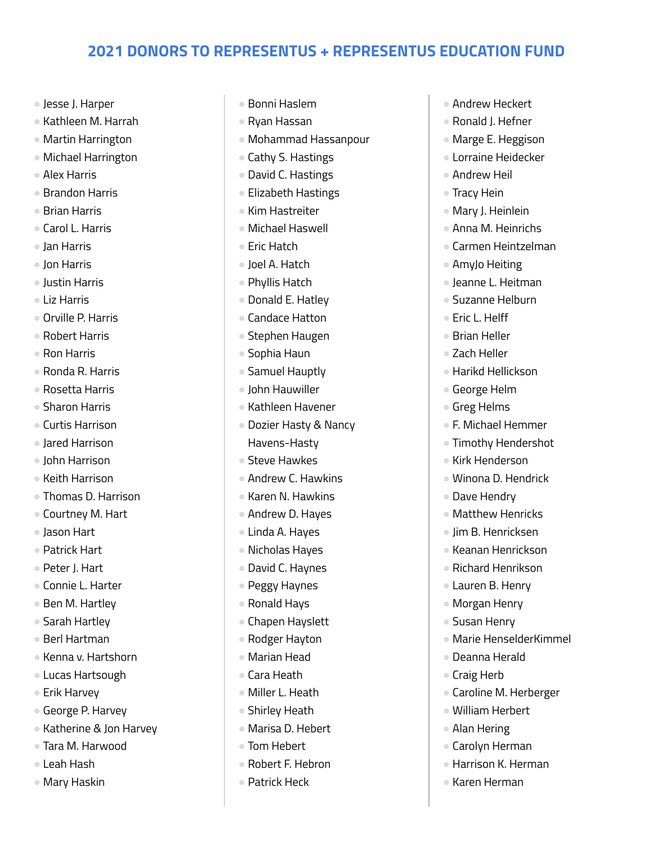- Jesse J. Harper
- Kathleen M. Harrah
- Martin Harrington
- Michael Harrington
- Alex Harris
- Brandon Harris
- Brian Harris
- Carol L. Harris
- Jan Harris
- Jon Harris
- Justin Harris
- Liz Harris
- Orville P. Harris
- Robert Harris
- Ron Harris
- Ronda R. Harris
- Rosetta Harris
- Sharon Harris
- Curtis Harrison
- Jared Harrison
- John Harrison
- Keith Harrison
- Thomas D. Harrison
- Courtney M. Hart
- Jason Hart
- Patrick Hart
- Peter J. Hart
- Connie L. Harter
- Ben M. Hartley
- Sarah Hartley
- Berl Hartman
- Kenna v. Hartshorn
- Lucas Hartsough
- Erik Harvey
- George P. Harvey
- Katherine & Jon Harvey
- Tara M. Harwood
- Leah Hash
- Mary Haskin
- Bonni Haslem
- Ryan Hassan
- Mohammad Hassanpour
- Cathy S. Hastings
- David C. Hastings
- Elizabeth Hastings
- Kim Hastreiter
- Michael Haswell
- Eric Hatch
- Joel A. Hatch
- Phyllis Hatch
- Donald E. Hatley
- Candace Hatton
- Stephen Haugen
- Sophia Haun
- Samuel Hauptly
- John Hauwiller
- Kathleen Havener
- Dozier Hasty & Nancy Havens-Hasty
- Steve Hawkes
- Andrew C. Hawkins
- Karen N. Hawkins
- Andrew D. Hayes
- Linda A. Hayes
- Nicholas Hayes
- David C. Haynes
- Peggy Haynes
- Ronald Hays
- Chapen Hayslett
- Rodger Hayton
- Marian Head
- Cara Heath
- Miller L. Heath
- Shirley Heath
- Marisa D. Hebert
- Tom Hebert
- Robert F. Hebron
- Patrick Heck
- Andrew Heckert
- Ronald J. Hefner
- Marge E. Heggison
- Lorraine Heidecker
- Andrew Heil
- Tracy Hein
- Mary J. Heinlein
- Anna M. Heinrichs
- Carmen Heintzelman
- AmyJo Heiting
- Jeanne L. Heitman
- Suzanne Helburn
- Eric L. Helff
- Brian Heller
- Zach Heller
- Harikd Hellickson
- George Helm
- Greg Helms
- F. Michael Hemmer
- Timothy Hendershot
- Kirk Henderson

● Dave Hendry

● Winona D. Hendrick

● Matthew Henricks ● Jim B. Henricksen ● Keanan Henrickson ● Richard Henrikson ● Lauren B. Henry ● Morgan Henry ● Susan Henry

● Marie HenselderKimmel

● Caroline M. Herberger

● Deanna Herald

● William Herbert ● Alan Hering

● Carolyn Herman ● Harrison K. Herman

● Karen Herman

● Craig Herb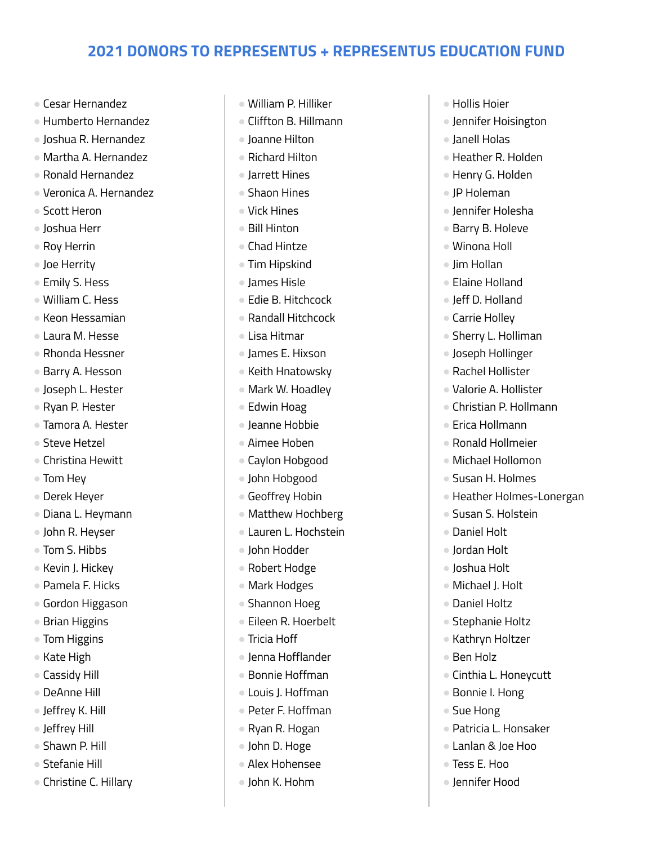- Cesar Hernandez
- Humberto Hernandez
- Joshua R. Hernandez
- Martha A. Hernandez
- Ronald Hernandez
- Veronica A. Hernandez
- Scott Heron
- Joshua Herr
- Roy Herrin
- Joe Herrity
- Emily S. Hess
- William C. Hess
- Keon Hessamian
- Laura M. Hesse
- Rhonda Hessner
- Barry A. Hesson
- Joseph L. Hester
- Ryan P. Hester
- Tamora A. Hester
- Steve Hetzel
- Christina Hewitt
- Tom Hey
- Derek Heyer
- Diana L. Heymann
- John R. Heyser
- Tom S. Hibbs
- Kevin J. Hickey
- Pamela F. Hicks
- Gordon Higgason
- Brian Higgins
- Tom Higgins
- Kate High
- Cassidy Hill
- DeAnne Hill
- Jeffrey K. Hill
- Jeffrey Hill
- Shawn P. Hill
- Stefanie Hill
- Christine C. Hillary
- William P. Hilliker
- Cliffton B. Hillmann
- Joanne Hilton
- Richard Hilton
- Jarrett Hines
- Shaon Hines
- Vick Hines
- Bill Hinton
- Chad Hintze
- Tim Hipskind
- James Hisle
- Edie B. Hitchcock
- Randall Hitchcock
- Lisa Hitmar
- James E. Hixson
- Keith Hnatowsky
- Mark W. Hoadley
- Edwin Hoag
- Jeanne Hobbie
- Aimee Hoben
- Caylon Hobgood
- John Hobgood
- Geoffrey Hobin
- Matthew Hochberg
- Lauren L. Hochstein
- John Hodder
- Robert Hodge
- Mark Hodges
- Shannon Hoeg
- Eileen R. Hoerbelt
- Tricia Hoff
- Jenna Hofflander
- Bonnie Hoffman
- Louis J. Hoffman
- Peter F. Hoffman
- Ryan R. Hogan
- John D. Hoge
- Alex Hohensee
- John K. Hohm
- Hollis Hoier
- Jennifer Hoisington
- Janell Holas
- Heather R. Holden
- Henry G. Holden
- JP Holeman
- Jennifer Holesha
- Barry B. Holeve
- Winona Holl
- Jim Hollan
- Elaine Holland
- Jeff D. Holland
- Carrie Holley
- Sherry L. Holliman
- Joseph Hollinger
- Rachel Hollister
- Valorie A. Hollister
- Christian P. Hollmann
- Frica Hollmann
- Ronald Hollmeier
- Michael Hollomon ● Susan H. Holmes

● Susan S. Holstein

● Stephanie Holtz ● Kathryn Holtzer

● Cinthia L. Honeycutt

● Patricia L. Honsaker ● Lanlan & Joe Hoo

● Bonnie I. Hong ● Sue Hong

● Tess E. Hoo ● Jennifer Hood

● Ben Holz

● Daniel Holt ● Jordan Holt ● Joshua Holt ● Michael J. Holt ● Daniel Holtz

● Heather Holmes-Lonergan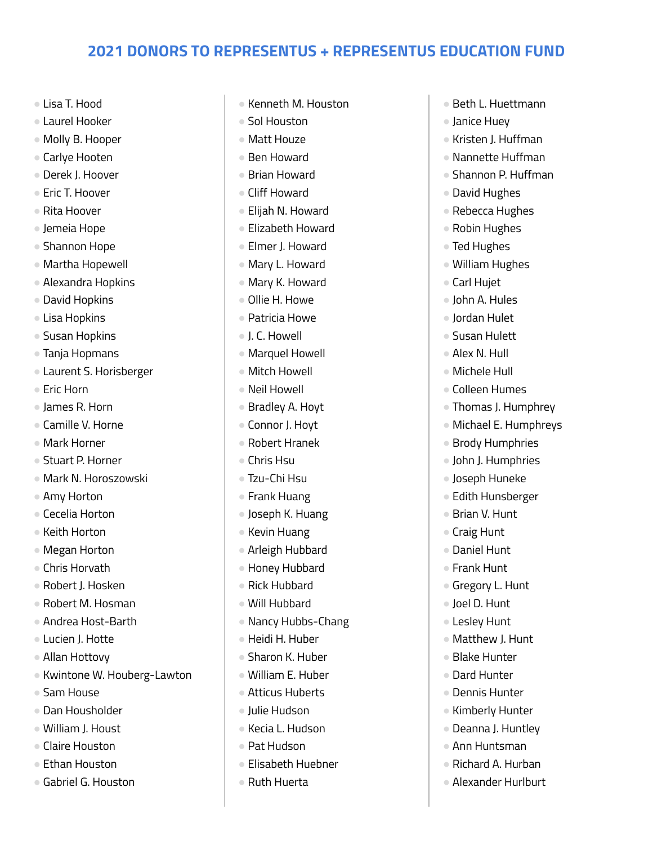- Lisa T. Hood
- Laurel Hooker
- Molly B. Hooper
- Carlye Hooten
- Derek J. Hoover
- Fric T. Hoover
- Rita Hoover
- Jemeia Hope
- Shannon Hope
- Martha Hopewell
- Alexandra Hopkins
- David Hopkins
- Lisa Hopkins
- Susan Hopkins
- Tanja Hopmans
- Laurent S. Horisberger
- Eric Horn
- James R. Horn
- Camille V. Horne
- Mark Horner
- Stuart P. Horner
- Mark N. Horoszowski
- Amy Horton
- Cecelia Horton
- Keith Horton
- Megan Horton
- Chris Horvath
- Robert J. Hosken
- Robert M. Hosman
- Andrea Host-Barth
- Lucien J. Hotte
- Allan Hottovy
- Kwintone W. Houberg-Lawton
- Sam House
- Dan Housholder
- William J. Houst
- Claire Houston
- Fthan Houston
- Gabriel G. Houston
- Kenneth M. Houston
- Sol Houston
- Matt Houze
- Ben Howard
- Brian Howard
- Cliff Howard
- Elijah N. Howard
- Elizabeth Howard
- Elmer J. Howard
- Mary L. Howard
- Mary K. Howard
- Ollie H. Howe
- Patricia Howe
- J. C. Howell
- Marquel Howell
- Mitch Howell
- Neil Howell
- Bradley A. Hoyt
- Connor J. Hoyt
- Robert Hranek
- Chris Hsu
- Tzu-Chi Hsu
- Frank Huang
- Joseph K. Huang
- Kevin Huang
- Arleigh Hubbard
- Honey Hubbard
- Rick Hubbard
- Will Hubbard
- Nancy Hubbs-Chang
- Heidi H. Huber
- Sharon K. Huber
- William E. Huber
- Atticus Huberts
- Julie Hudson
- Kecia L. Hudson
- Pat Hudson
- Elisabeth Huebner
- Ruth Huerta
- Beth L. Huettmann
- Janice Huey
- Kristen J. Huffman
- Nannette Huffman
- Shannon P. Huffman
- David Hughes
- Rebecca Hughes
- Robin Hughes
- Ted Hughes
- William Hughes
- Carl Hujet
- John A. Hules
- Jordan Hulet
- Susan Hulett
- Alex N. Hull
- Michele Hull
- Colleen Humes
- Thomas J. Humphrey
- Michael E. Humphreys
- Brody Humphries
- John J. Humphries ● Joseph Huneke

● Edith Hunsberger ● Brian V. Hunt ● Craig Hunt ● Daniel Hunt ● Frank Hunt

● Gregory L. Hunt ● Joel D. Hunt ● Lesley Hunt ● Matthew J. Hunt ● Blake Hunter ● Dard Hunter ● Dennis Hunter ● Kimberly Hunter ● Deanna J. Huntley ● Ann Huntsman ● Richard A. Hurban ● Alexander Hurlburt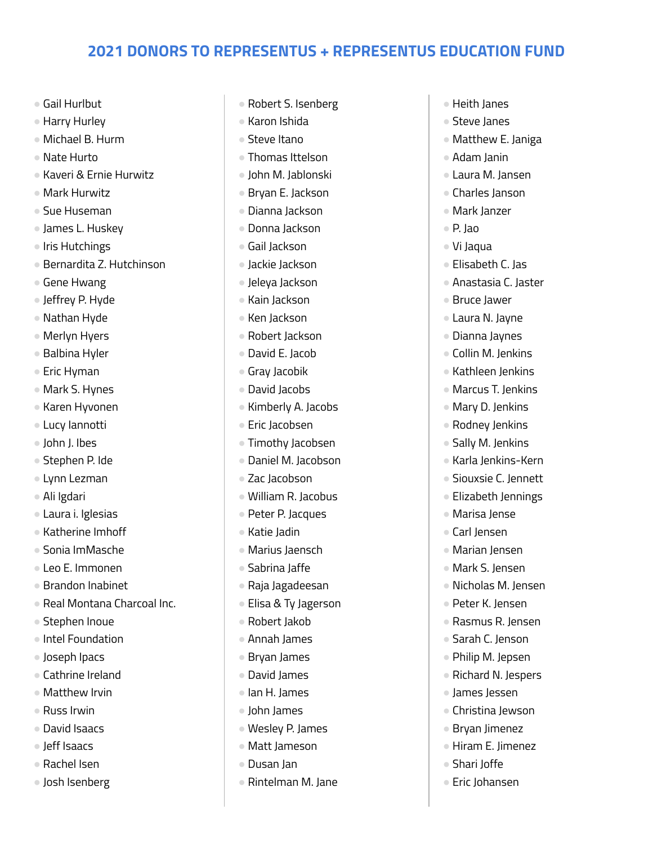- Gail Hurlbut
- Harry Hurley
- Michael B. Hurm
- Nate Hurto
- Kaveri & Ernie Hurwitz
- Mark Hurwitz
- Sue Huseman
- James L. Huskey
- Iris Hutchings
- Bernardita Z. Hutchinson
- Gene Hwang
- Jeffrey P. Hyde
- Nathan Hyde
- Merlyn Hyers
- Balbina Hyler
- Eric Hyman
- Mark S. Hynes
- Karen Hyvonen
- Lucy Iannotti
- John J. Ibes
- Stephen P. Ide
- Lynn Lezman
- Ali Igdari
- Laura i. Iglesias
- Katherine Imhoff
- Sonia ImMasche
- Leo E. Immonen
- Brandon Inabinet
- Real Montana Charcoal Inc.
- Stephen Inoue
- Intel Foundation
- Joseph Ipacs
- Cathrine Ireland
- Matthew Irvin
- Russ Irwin
- David Isaacs
- Jeff Isaacs
- Rachel Isen
- Josh Isenberg
- Robert S. Isenberg
- Karon Ishida
- Steve Itano
- Thomas Ittelson
- John M. Jablonski
- Bryan E. Jackson
- Dianna Jackson
- Donna Jackson
- Gail Jackson
- Jackie Jackson
- Jeleya Jackson
- Kain Jackson
- Ken Jackson
- Robert Jackson
- David E. Jacob
- Gray Jacobik
- David Jacobs
- Kimberly A. Jacobs
- Eric Jacobsen
- Timothy Jacobsen
- Daniel M. Jacobson
- Zac Jacobson
- William R. Jacobus
- Peter P. Jacques
- Katie Jadin
- Marius Jaensch
- Sabrina Jaffe
- Raja Jagadeesan
- Elisa & Ty Jagerson
- Robert Jakob
- Annah James
- Bryan James
- David James
- Ian H. James
- John James
- Wesley P. James
- Matt Jameson
- Dusan Jan
- Rintelman M. Jane
- Heith Janes
- Steve Janes
- Matthew E. Janiga
- Adam Janin
- Laura M. Jansen
- Charles Janson
- Mark Janzer
- P. Jao
- Vi Jaqua
- Elisabeth C. Jas
- Anastasia C. Jaster
- Bruce Jawer
- Laura N. Jayne
- Dianna Jaynes
- Collin M. Jenkins
- Kathleen Jenkins
- Marcus T. Jenkins
- Mary D. Jenkins
- Rodney Jenkins
- Sally M. Jenkins
- Karla Jenkins-Kern ● Siouxsie C. Jennett

● Elizabeth Jennings

● Marisa lense ● Carl Jensen ● Marian Jensen ● Mark S. Jensen ● Nicholas M. Jensen ● Peter K. Jensen ● Rasmus R. Jensen ● Sarah C. Jenson ● Philip M. Jepsen ● Richard N. Jespers ● James Jessen ● Christina Jewson ● Bryan Jimenez ● Hiram E. Jimenez

● Shari Joffe ● Eric Johansen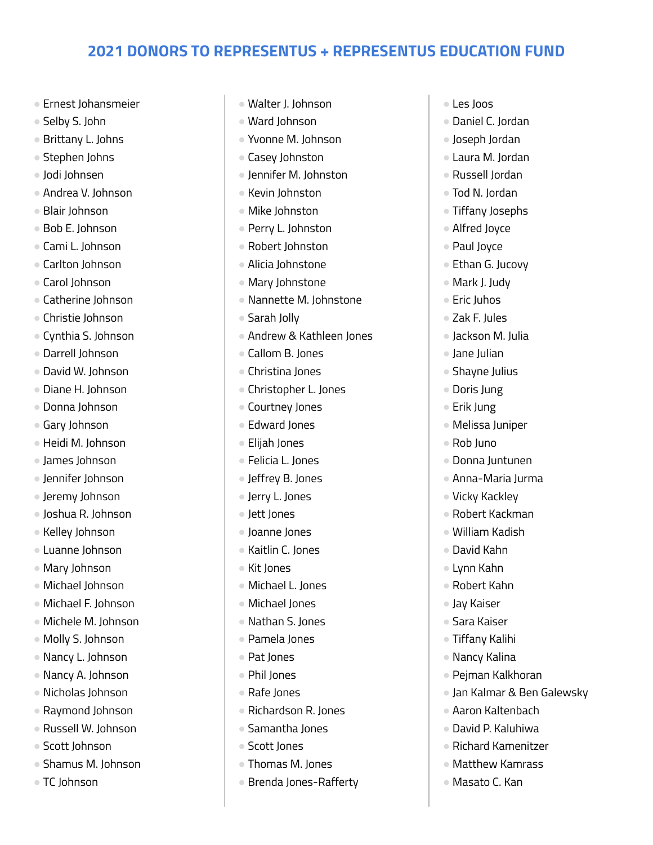- Ernest Johansmeier
- Selby S. John
- Brittany L. Johns
- Stephen Johns
- Jodi Johnsen
- Andrea V. Johnson
- Blair Johnson
- Bob E. Johnson
- Cami L. Johnson
- Carlton Johnson
- Carol Johnson
- Catherine Johnson
- Christie Johnson
- Cynthia S. Johnson
- Darrell Johnson
- David W. Johnson
- Diane H. Johnson
- Donna Johnson
- Gary Johnson
- Heidi M. Johnson
- James Johnson
- Jennifer Johnson
- Jeremy Johnson
- Joshua R. Johnson
- Kelley Johnson
- Luanne Johnson
- Mary Johnson
- Michael Johnson
- Michael F. Johnson
- Michele M. Johnson
- Molly S. Johnson
- Nancy L. Johnson
- Nancy A. Johnson
- Nicholas Johnson
- Raymond Johnson
- Russell W. Johnson
- Scott Johnson
- Shamus M. Johnson
- TC Johnson
- Walter J. Johnson
- Ward Johnson
- Yvonne M. Johnson
- Casey Johnston
- Jennifer M. Johnston
- Kevin Johnston
- Mike Johnston
- Perry L. Johnston
- Robert Johnston
- Alicia Johnstone
- Mary Johnstone
- Nannette M. Johnstone
- Sarah Jolly
- Andrew & Kathleen Jones
- Callom B. Jones
- Christina Jones
- Christopher L. Jones
- Courtney Jones
- Edward Jones
- Elijah Jones
- Felicia L. Jones
- Jeffrey B. Jones
- Jerry L. Jones
- Jett Jones
- Joanne Jones
- Kaitlin C. Jones
- Kit Jones
- Michael L. Jones
- Michael Jones
- Nathan S. Jones
- Pamela Jones
- Pat Jones
- Phil Jones
- Rafe Jones
- Richardson R. Jones
- Samantha Jones
- Scott Jones
- Thomas M. Jones
- Brenda Jones-Rafferty
- Les Joos
- Daniel C. Jordan
- Joseph Jordan
- Laura M. Jordan
- Russell Jordan
- Tod N. Jordan
- Tiffany Josephs
- Alfred Joyce
- Paul Joyce
- Ethan G. Jucovy
- Mark J. Judy
- Eric Juhos
- Zak F. Jules
- Jackson M. Julia
- Jane Julian
- Shavne Julius
- Doris Jung
- Erik Jung
- Melissa Juniper
- Rob Juno
- Donna Juntunen

● Vicky Kackley ● Robert Kackman ● William Kadish ● David Kahn ● Lynn Kahn ● Robert Kahn ● Jay Kaiser ● Sara Kaiser ● Tiffany Kalihi ● Nancy Kalina

● Anna-Maria Jurma

● Pejman Kalkhoran

● Aaron Kaltenbach ● David P. Kaluhiwa ● Richard Kamenitzer ● Matthew Kamrass ● Masato C. Kan

● Jan Kalmar & Ben Galewsky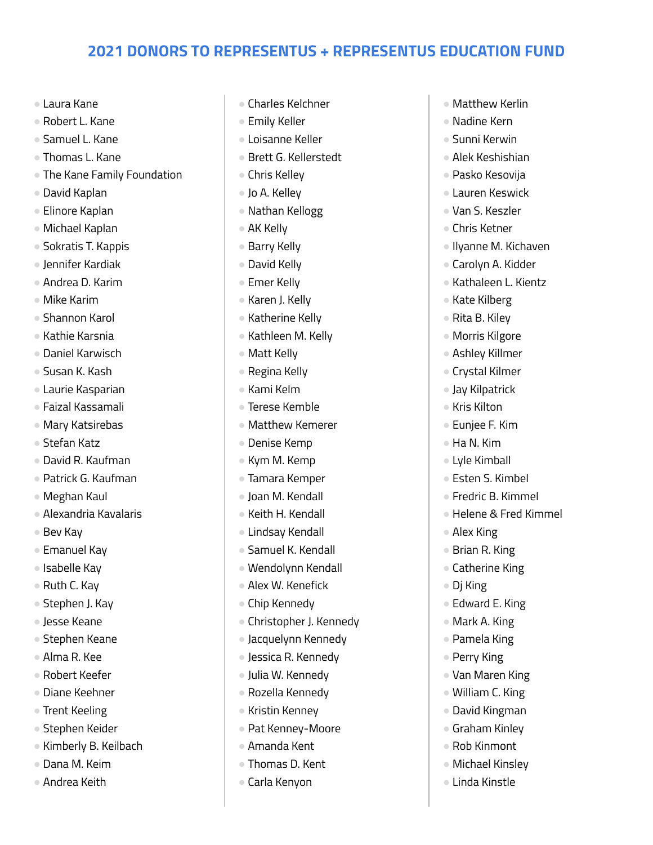- Laura Kane
- Robert L. Kane
- Samuel L. Kane
- Thomas L. Kane
- The Kane Family Foundation
- David Kaplan
- Elinore Kaplan
- Michael Kaplan
- Sokratis T. Kappis
- Jennifer Kardiak
- Andrea D. Karim
- Mike Karim
- Shannon Karol
- Kathie Karsnia
- Daniel Karwisch
- Susan K. Kash
- Laurie Kasparian
- Faizal Kassamali
- Mary Katsirebas
- Stefan Katz
- David R. Kaufman
- Patrick G. Kaufman
- Meghan Kaul
- Alexandria Kavalaris
- Bev Kay
- Emanuel Kay
- Isabelle Kay
- Ruth C. Kay
- Stephen J. Kay
- Jesse Keane
- Stephen Keane
- Alma R. Kee
- Robert Keefer
- Diane Keehner
- Trent Keeling
- Stephen Keider
- Kimberly B. Keilbach
- Dana M. Keim
- Andrea Keith
- Charles Kelchner
- Emily Keller
- Loisanne Keller
- Brett G. Kellerstedt
- Chris Kelley
- Jo A. Kelley
- Nathan Kellogg
- AK Kelly
- Barry Kelly
- David Kelly
- Emer Kelly
- Karen J. Kelly
- Katherine Kelly
- Kathleen M. Kelly
- Matt Kelly
- Regina Kelly
- Kami Kelm
- Terese Kemble
- Matthew Kemerer
- Denise Kemp
- Kym M. Kemp
- Tamara Kemper
- Joan M. Kendall
- Keith H. Kendall
- Lindsay Kendall
- Samuel K. Kendall
- Wendolynn Kendall
- Alex W. Kenefick
- Chip Kennedy
- Christopher J. Kennedy
- Jacquelynn Kennedy
- Jessica R. Kennedy
- Julia W. Kennedy
- Rozella Kennedy
- Kristin Kenney
- Pat Kenney-Moore
- Amanda Kent
- Thomas D. Kent
- Carla Kenyon
- Matthew Kerlin
- Nadine Kern
- Sunni Kerwin
- Alek Keshishian
- Pasko Kesovija
- Lauren Keswick
- Van S. Keszler
- Chris Ketner
- Ilyanne M. Kichaven
- Carolyn A. Kidder
- Kathaleen L. Kientz
- Kate Kilberg
- Rita B. Kiley
- Morris Kilgore
- Ashley Killmer
- Crystal Kilmer
- Jay Kilpatrick
- Kris Kilton
- Euniee F. Kim
- Ha N. Kim

● Alex King ● Brian R. King ● Catherine King

● Dj King

● Edward E. King ● Mark A. King ● Pamela King ● Perry King

● Van Maren King ● William C. King ● David Kingman ● Graham Kinley ● Rob Kinmont ● Michael Kinsley ● Linda Kinstle

● Lyle Kimball

● Esten S. Kimbel ● Fredric B. Kimmel

● Helene & Fred Kimmel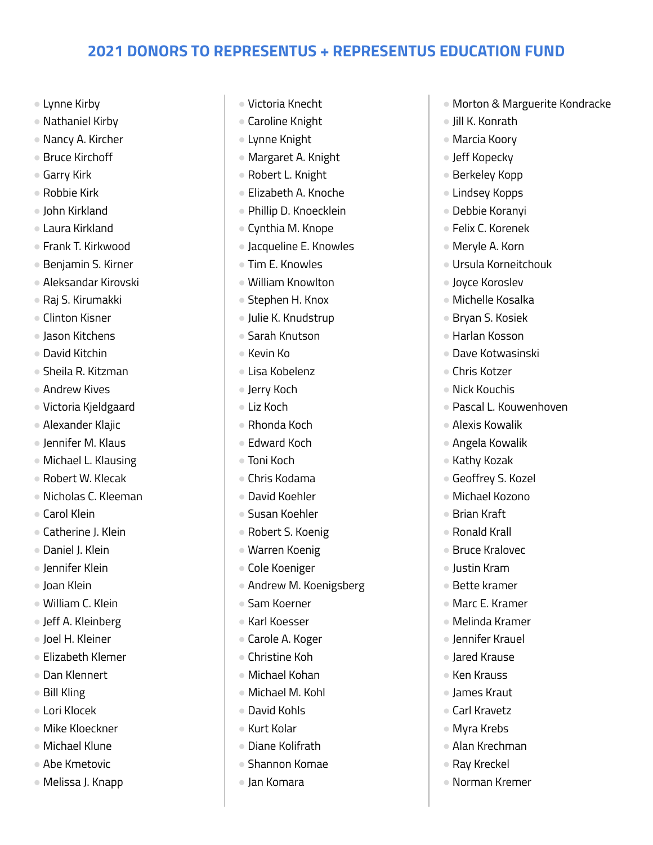- Lynne Kirby
- Nathaniel Kirby
- Nancy A. Kircher
- Bruce Kirchoff
- Garry Kirk
- Robbie Kirk
- John Kirkland
- Laura Kirkland
- Frank T. Kirkwood
- Benjamin S. Kirner
- Aleksandar Kirovski
- Raj S. Kirumakki
- Clinton Kisner
- Jason Kitchens
- David Kitchin
- Sheila R. Kitzman
- Andrew Kives
- Victoria Kjeldgaard
- Alexander Klajic
- Jennifer M. Klaus
- Michael L. Klausing
- Robert W. Klecak
- Nicholas C. Kleeman
- Carol Klein
- Catherine J. Klein
- Daniel J. Klein
- Jennifer Klein
- Joan Klein
- William C. Klein
- Jeff A. Kleinberg
- Joel H. Kleiner
- Elizabeth Klemer
- Dan Klennert
- Bill Kling
- Lori Klocek
- Mike Kloeckner
- Michael Klune
- Abe Kmetovic
- Melissa J. Knapp
- Victoria Knecht
- Caroline Knight
- Lynne Knight
- Margaret A. Knight
- Robert L. Knight
- Elizabeth A. Knoche
- Phillip D. Knoecklein
- Cynthia M. Knope
- Jacqueline E. Knowles
- Tim E. Knowles
- William Knowlton
- Stephen H. Knox
- Julie K. Knudstrup
- Sarah Knutson
- Kevin Ko
- Lisa Kobelenz
- Jerry Koch
- Liz Koch
- Rhonda Koch
- Edward Koch
- Toni Koch
- Chris Kodama
- David Koehler
- Susan Koehler
- Robert S. Koenig
- Warren Koenig
- Cole Koeniger
- Andrew M. Koenigsberg
- Sam Koerner
- Karl Koesser
- Carole A. Koger
- Christine Koh
- Michael Kohan
- Michael M. Kohl
- David Kohls
- Kurt Kolar
- Diane Kolifrath
- Shannon Komae
- Jan Komara
- Morton & Marguerite Kondracke
- Jill K. Konrath
- Marcia Koory
- Jeff Kopecky
- Berkeley Kopp
- Lindsey Kopps
- Debbie Koranyi
- Felix C. Korenek
- Meryle A. Korn
- Ursula Korneitchouk
- Joyce Koroslev
- Michelle Kosalka
- Bryan S. Kosiek
- Harlan Kosson
- Dave Kotwasinski
- Chris Kotzer
- Nick Kouchis
- Pascal L. Kouwenhoven
- Alexis Kowalik
- Angela Kowalik

● Geoffrey S. Kozel ● Michael Kozono

● Kathy Kozak

● Brian Kraft ● Ronald Krall ● Bruce Kralovec ● Justin Kram ● Bette kramer ● Marc E. Kramer ● Melinda Kramer ● Jennifer Krauel ● Jared Krause ● Ken Krauss ● James Kraut ● Carl Kravetz ● Myra Krebs ● Alan Krechman ● Ray Kreckel ● Norman Kremer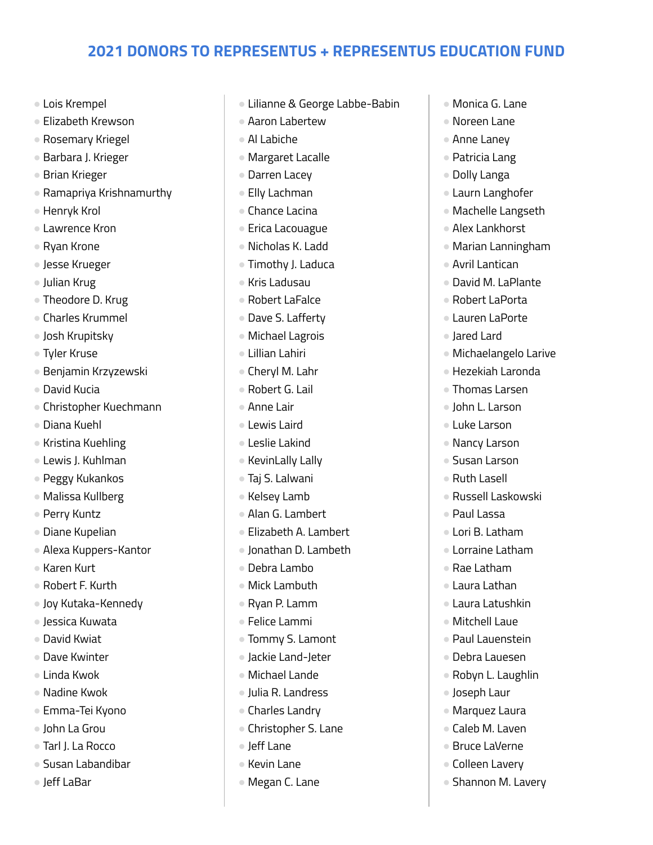- Lois Krempel
- Elizabeth Krewson
- Rosemary Kriegel
- Barbara J. Krieger
- Brian Krieger
- Ramapriya Krishnamurthy
- Henryk Krol
- Lawrence Kron
- Ryan Krone
- Jesse Krueger
- Julian Krug
- Theodore D. Krug
- Charles Krummel
- Josh Krupitsky
- Tyler Kruse
- Benjamin Krzyzewski
- David Kucia
- Christopher Kuechmann
- Diana Kuehl
- Kristina Kuehling
- Lewis J. Kuhlman
- Peggy Kukankos
- Malissa Kullberg
- Perry Kuntz
- Diane Kupelian
- Alexa Kuppers-Kantor
- Karen Kurt
- Robert F. Kurth
- Joy Kutaka-Kennedy
- Jessica Kuwata
- David Kwiat
- Dave Kwinter
- Linda Kwok
- Nadine Kwok
- Emma-Tei Kyono
- John La Grou
- Tarl J. La Rocco
- Susan Labandibar
- Jeff LaBar
- Lilianne & George Labbe-Babin
- Aaron Labertew
- Al Labiche
- Margaret Lacalle
- Darren Lacey
- Elly Lachman
- Chance Lacina
- Erica Lacouague
- Nicholas K. Ladd
- Timothy J. Laduca
- Kris Ladusau
- Robert LaFalce
- Dave S. Lafferty
- Michael Lagrois
- Lillian Lahiri
- Cheryl M. Lahr
- Robert G. Lail
- Anne Lair
- Lewis Laird
- Leslie Lakind
- KevinLally Lally
- Taj S. Lalwani
- Kelsey Lamb
- Alan G. Lambert
- Elizabeth A. Lambert
- Jonathan D. Lambeth
- Debra Lambo
- Mick Lambuth
- Ryan P. Lamm
- Felice Lammi
- Tommy S. Lamont
- Jackie Land-Jeter
- Michael Lande
- Julia R. Landress
- Charles Landry
- Christopher S. Lane
- Jeff Lane
- Kevin Lane
- Megan C. Lane
- Monica G. Lane
- Noreen Lane
- Anne Laney
- Patricia Lang
- Dolly Langa
- Laurn Langhofer
- Machelle Langseth
- Alex Lankhorst
- Marian Lanningham
- Avril Lantican
- David M. LaPlante
- Robert LaPorta
- Lauren LaPorte
- Jared Lard
- Michaelangelo Larive
- Hezekiah Laronda
- Thomas Larsen
- John L. Larson
- Luke Larson
- Nancy Larson
- Susan Larson ● Ruth Lasell

● Paul Lassa ● Lori B. Latham ● Lorraine Latham

● Rae Latham ● Laura Lathan ● Laura Latushkin ● Mitchell Laue ● Paul Lauenstein ● Debra Lauesen ● Robyn L. Laughlin

● Joseph Laur ● Marquez Laura ● Caleb M. Laven ● Bruce LaVerne ● Colleen Lavery ● Shannon M. Lavery

● Russell Laskowski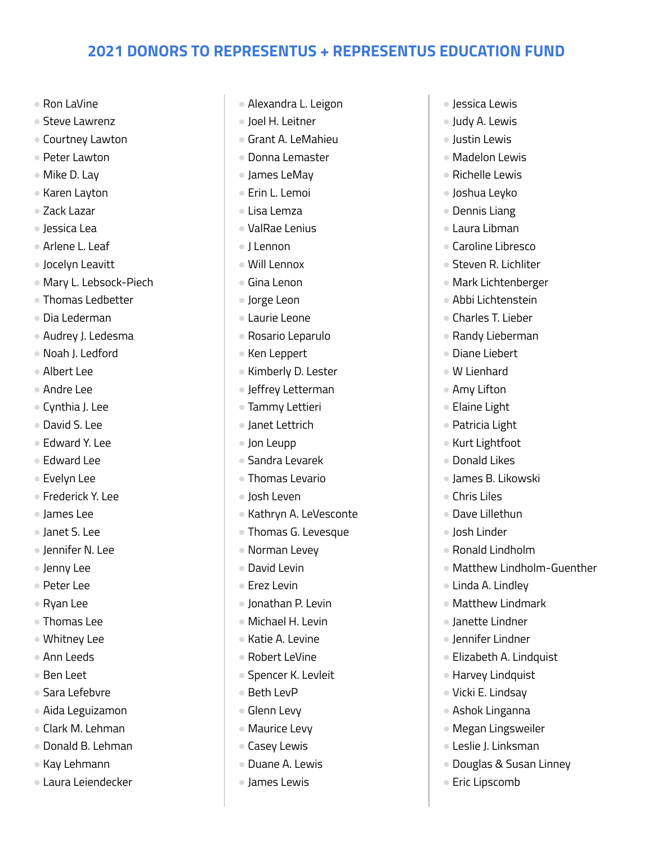- Ron LaVine
- Steve Lawrenz
- Courtney Lawton
- Peter Lawton
- Mike D. Lay
- Karen Layton
- Zack Lazar
- Jessica Lea
- Arlene L. Leaf
- Jocelyn Leavitt
- Mary L. Lebsock-Piech
- Thomas Ledbetter
- Dia Lederman
- Audrey J. Ledesma
- Noah J. Ledford
- Albert Lee
- Andre Lee
- Cynthia J. Lee
- David S. Lee
- Edward Y. Lee
- Edward Lee
- Evelyn Lee
- Frederick Y. Lee
- James Lee
- Janet S. Lee
- Jennifer N. Lee
- Jenny Lee
- Peter Lee
- Ryan Lee
- Thomas Lee
- Whitney Lee
- Ann Leeds
- Ben Leet
- Sara Lefebvre
- Aida Leguizamon
- Clark M. Lehman
- Donald B. Lehman
- Kay Lehmann
- Laura Leiendecker
- Alexandra L. Leigon
- Joel H. Leitner
- Grant A. LeMahieu
- Donna Lemaster
- James LeMay
- Erin L. Lemoi
- Lisa Lemza
- ValRae Lenius
- J Lennon
- Will Lennox
- Gina Lenon
- Jorge Leon
- Laurie Leone
- Rosario Leparulo
- Ken Leppert
- Kimberly D. Lester
- Jeffrey Letterman
- Tammy Lettieri
- Janet Lettrich
- Jon Leupp
- Sandra Levarek
- Thomas Levario
- Josh Leven
- Kathryn A. LeVesconte
- Thomas G. Levesque
- Norman Levey
- David Levin
- Erez Levin
- Jonathan P. Levin
- Michael H. Levin
- Katie A. Levine
- Robert LeVine
- Spencer K. Levleit
- Beth LevP
- Glenn Levy
- Maurice Levy
- Casey Lewis
- Duane A. Lewis
- James Lewis
- Jessica Lewis
- Judy A. Lewis
- Justin Lewis
- Madelon Lewis
- Richelle Lewis
- Joshua Leyko
- Dennis Liang
- Laura Libman
- Caroline Libresco
- Steven R. Lichliter
- Mark Lichtenberger
- Abbi Lichtenstein
- Charles T. Lieber
- Randy Lieberman
- Diane Liebert
- W Lienhard
- Amy Lifton
- Elaine Light
- Patricia Light
- Kurt Lightfoot
- Donald Likes

● Chris Liles ● Dave Lillethun ● Josh Linder

● James B. Likowski

● Ronald Lindholm

● Linda A. Lindley ● Matthew Lindmark ● Janette Lindner ● Jennifer Lindner

● Elizabeth A. Lindquist ● Harvey Lindquist ● Vicki E. Lindsay ● Ashok Linganna ● Megan Lingsweiler ● Leslie J. Linksman

● Douglas & Susan Linney

● Eric Lipscomb

● Matthew Lindholm-Guenther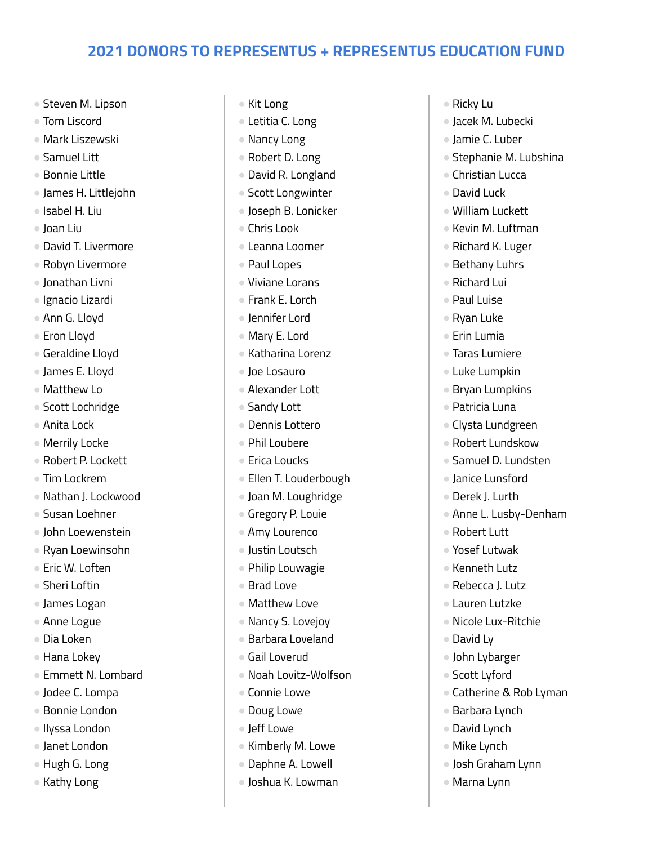- Steven M. Lipson
- Tom Liscord
- Mark Liszewski
- Samuel Litt
- Bonnie Little
- James H. Littlejohn
- Isabel H. Liu
- Joan Liu
- David T. Livermore
- Robyn Livermore
- Jonathan Livni
- Ignacio Lizardi
- Ann G. Lloyd
- Eron Lloyd
- Geraldine Lloyd
- James E. Lloyd
- Matthew Lo
- Scott Lochridge
- Anita Lock
- Merrily Locke
- Robert P. Lockett
- Tim Lockrem
- Nathan J. Lockwood
- Susan Loehner
- John Loewenstein
- Ryan Loewinsohn
- Eric W. Loften
- Sheri Loftin
- James Logan
- Anne Logue
- Dia Loken
- Hana Lokey
- Emmett N. Lombard
- Jodee C. Lompa
- Bonnie London
- Ilyssa London
- Janet London
- Hugh G. Long
- Kathy Long
- Kit Long
- Letitia C. Long
- Nancy Long
- Robert D. Long
- David R. Longland
- Scott Longwinter
- Joseph B. Lonicker
- Chris Look
- Leanna Loomer
- Paul Lopes
- Viviane Lorans
- Frank E. Lorch
- Jennifer Lord
- Mary E. Lord
- Katharina Lorenz
- Joe Losauro
- Alexander Lott
- Sandy Lott
- Dennis Lottero
- Phil Loubere
- Erica Loucks
- Ellen T. Louderbough
- Joan M. Loughridge
- Gregory P. Louie
- Amy Lourenco
- Justin Loutsch
- Philip Louwagie
- Brad Love
- Matthew Love
- Nancy S. Lovejoy
- Barbara Loveland
- Gail Loverud
- Noah Lovitz-Wolfson
- Connie Lowe
- Doug Lowe
- Jeff Lowe
- Kimberly M. Lowe
- Daphne A. Lowell
- Joshua K. Lowman
- Ricky Lu
- Jacek M. Lubecki
- Jamie C. Luber
- Stephanie M. Lubshina
- Christian Lucca
- David Luck
- William Luckett
- Kevin M. Luftman
- Richard K. Luger
- Bethany Luhrs
- Richard Lui
- Paul Luise
- Ryan Luke
- Erin Lumia
- Taras Lumiere
- Luke Lumpkin
- Bryan Lumpkins
- Patricia Luna
- Clysta Lundgreen
- Robert Lundskow

● Janice Lunsford ● Derek J. Lurth

● Robert Lutt ● Yosef Lutwak ● Kenneth Lutz ● Rebecca J. Lutz ● Lauren Lutzke

● Nicole Lux-Ritchie

● Catherine & Rob Lyman

● David Ly

● John Lybarger ● Scott Lyford

● Barbara Lynch ● David Lynch ● Mike Lynch

● Josh Graham Lynn

● Marna Lynn

● Samuel D. Lundsten

● Anne L. Lusby-Denham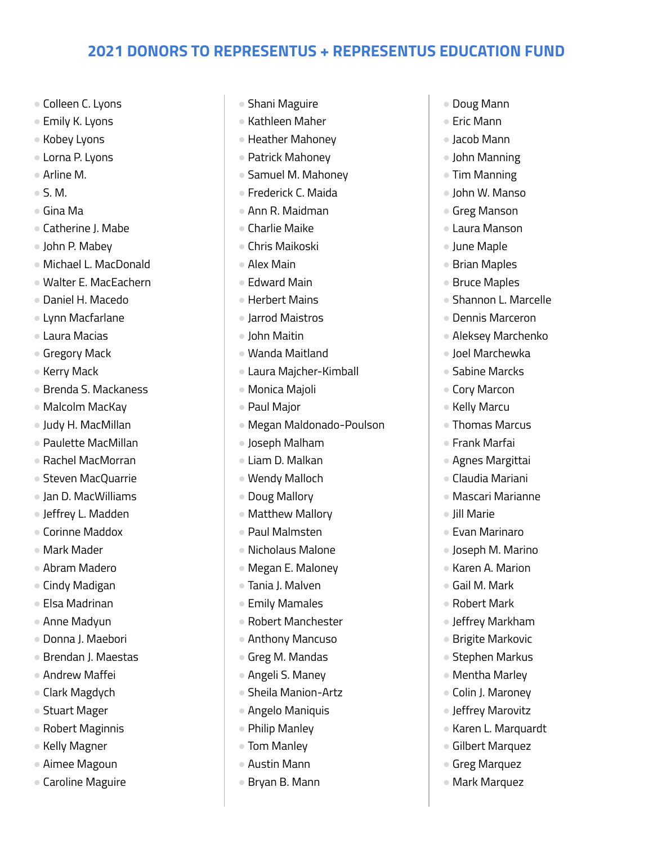- Colleen C. Lyons
- Emily K. Lyons
- Kobey Lyons
- Lorna P. Lyons
- Arline M.
- $\bullet$  S. M.
- Gina Ma
- Catherine J. Mabe
- John P. Mabey
- Michael L. MacDonald
- Walter E. MacEachern
- Daniel H. Macedo
- Lynn Macfarlane
- Laura Macias
- Gregory Mack
- Kerry Mack
- Brenda S. Mackaness
- Malcolm MacKay
- Judy H. MacMillan
- Paulette MacMillan
- Rachel MacMorran
- Steven MacQuarrie
- Jan D. MacWilliams
- Jeffrey L. Madden
- Corinne Maddox
- Mark Mader
- Abram Madero
- Cindy Madigan
- Elsa Madrinan
- Anne Madyun
- Donna J. Maebori
- Brendan J. Maestas
- Andrew Maffei
- Clark Magdych
- Stuart Mager
- Robert Maginnis
- Kelly Magner
- Aimee Magoun
- Caroline Maguire
- Shani Maguire
- Kathleen Maher
- Heather Mahoney
- Patrick Mahoney
- Samuel M. Mahoney
- Frederick C. Maida
- Ann R. Maidman
- Charlie Maike
- Chris Maikoski
- Alex Main
- Edward Main
- Herbert Mains
- Jarrod Maistros
- John Maitin
- Wanda Maitland
- Laura Majcher-Kimball
- Monica Majoli
- Paul Major
- Megan Maldonado-Poulson
- Joseph Malham
- Liam D. Malkan
- Wendy Malloch
- Doug Mallory
- Matthew Mallory
- Paul Malmsten
- Nicholaus Malone
- Megan E. Maloney
- Tania J. Malven
- Emily Mamales
- Robert Manchester
- Anthony Mancuso
- Greg M. Mandas
- Angeli S. Maney
- Sheila Manion-Artz
- Angelo Maniquis
- Philip Manley
- Tom Manley
- Austin Mann
- Bryan B. Mann
- Doug Mann
- Fric Mann
- Jacob Mann
- John Manning
- Tim Manning
- John W. Manso
- Greg Manson
- Laura Manson
- June Maple
- Brian Maples
- Bruce Maples
- Shannon L. Marcelle
- Dennis Marceron
- Aleksey Marchenko
- Joel Marchewka
- Sabine Marcks
- Cory Marcon
- Kelly Marcu
- Thomas Marcus
- Frank Marfai

● Jill Marie

● Agnes Margittai ● Claudia Mariani

● Evan Marinaro ● Joseph M. Marino ● Karen A. Marion ● Gail M. Mark ● Robert Mark

● Jeffrey Markham ● Brigite Markovic ● Stephen Markus ● Mentha Marley ● Colin J. Maroney ● Jeffrey Marovitz ● Karen L. Marquardt ● Gilbert Marquez ● Greg Marquez ● Mark Marquez

● Mascari Marianne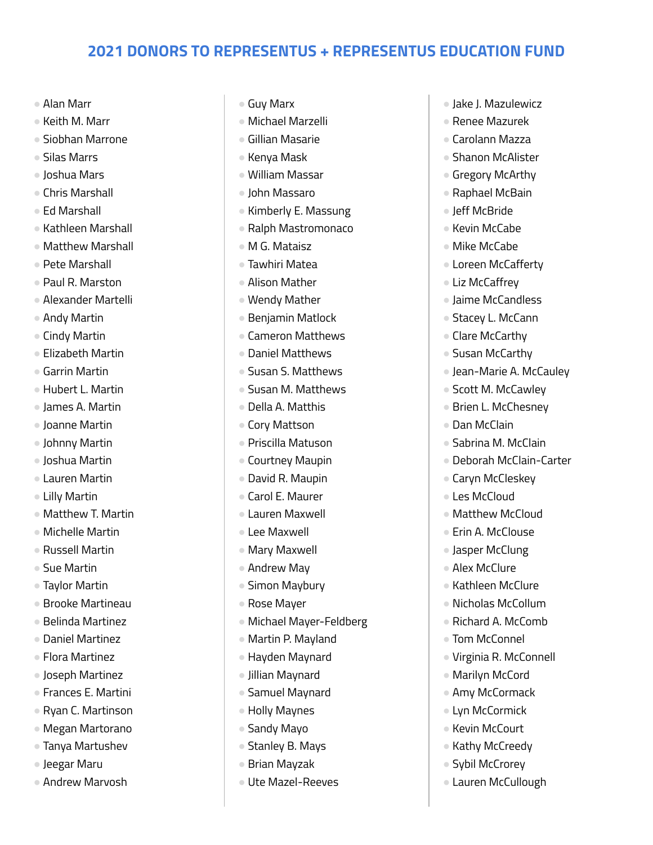- Alan Marr
- Keith M. Marr
- Siobhan Marrone
- Silas Marrs
- Joshua Mars
- Chris Marshall
- Ed Marshall
- Kathleen Marshall
- Matthew Marshall
- Pete Marshall
- Paul R. Marston
- Alexander Martelli
- Andy Martin
- Cindy Martin
- Elizabeth Martin
- Garrin Martin
- Hubert L. Martin
- James A. Martin
- Joanne Martin
- Johnny Martin
- Joshua Martin
- Lauren Martin
- Lilly Martin
- Matthew T. Martin
- Michelle Martin
- Russell Martin
- Sue Martin
- Taylor Martin
- Brooke Martineau
- Belinda Martinez
- Daniel Martinez
- Flora Martinez
- Joseph Martinez
- Frances E. Martini
- Ryan C. Martinson
- Megan Martorano
- Tanya Martushev
- Jeegar Maru
- Andrew Marvosh
- Guy Marx
- Michael Marzelli
- Gillian Masarie
- Kenya Mask
- William Massar
- John Massaro
- Kimberly E. Massung
- Ralph Mastromonaco
- M G. Mataisz
- Tawhiri Matea
- Alison Mather
- Wendy Mather
- Benjamin Matlock
- Cameron Matthews
- Daniel Matthews
- Susan S. Matthews
- Susan M. Matthews
- Della A. Matthis
- Cory Mattson
- Priscilla Matuson
- Courtney Maupin
- David R. Maupin
- Carol E. Maurer
- Lauren Maxwell
- Lee Maxwell
- Mary Maxwell
- Andrew May
- Simon Maybury
- Rose Mayer
- Michael Mayer-Feldberg
- Martin P. Mayland
- Hayden Maynard
- Jillian Maynard
- Samuel Maynard
- Holly Maynes
- Sandy Mayo
- Stanley B. Mays
- Brian Mayzak
- Ute Mazel-Reeves
- Jake J. Mazulewicz
- Renee Mazurek
- Carolann Mazza
- Shanon McAlister
- Gregory McArthy
- Raphael McBain
- Jeff McBride
- Kevin McCabe
- Mike McCabe
- Loreen McCafferty
- Liz McCaffrey
- Jaime McCandless
- Stacey L. McCann
- Clare McCarthy
- Susan McCarthy
- Jean-Marie A. McCauley
- Scott M. McCawley
- Brien L. McChesney
- Dan McClain
- Sabrina M. McClain

● Caryn McCleskey ● Les McCloud

● Matthew McCloud ● Erin A. McClouse ● Jasper McClung ● Alex McClure ● Kathleen McClure ● Nicholas McCollum ● Richard A. McComb ● Tom McConnel

● Virginia R. McConnell

● Marilyn McCord ● Amy McCormack ● Lyn McCormick ● Kevin McCourt ● Kathy McCreedy ● Sybil McCrorey ● Lauren McCullough

● Deborah McClain-Carter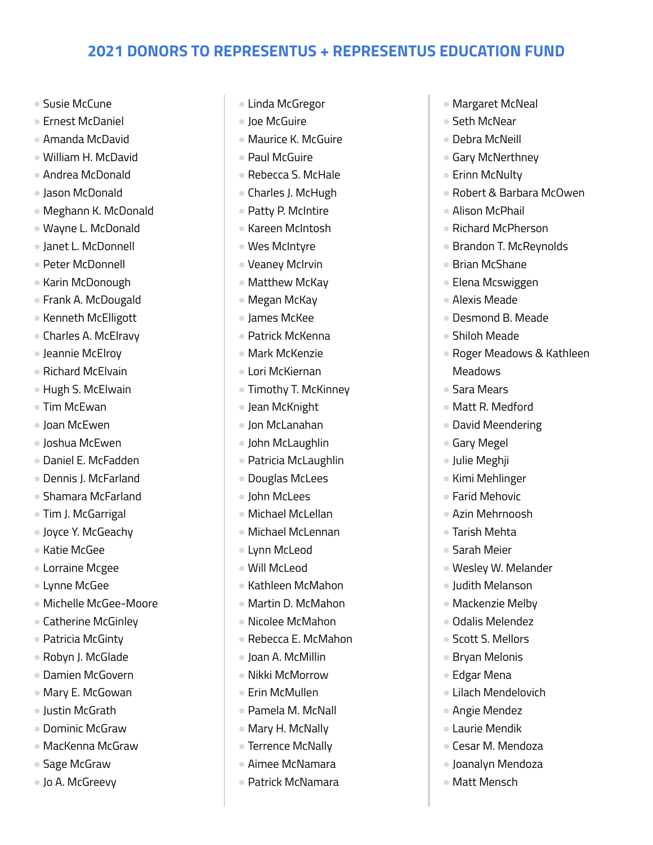- Susie McCune
- Ernest McDaniel
- Amanda McDavid
- William H. McDavid
- Andrea McDonald
- Jason McDonald
- Meghann K. McDonald
- Wayne L. McDonald
- Janet L. McDonnell
- Peter McDonnell
- Karin McDonough
- Frank A. McDougald
- Kenneth McElligott
- Charles A. McElravy
- Jeannie McElroy
- Richard McElvain
- Hugh S. McElwain
- Tim McEwan
- Joan McEwen
- Joshua McEwen
- Daniel E. McFadden
- Dennis J. McFarland
- Shamara McFarland
- Tim J. McGarrigal
- Joyce Y. McGeachy
- Katie McGee
- Lorraine Mcgee
- Lynne McGee
- Michelle McGee-Moore
- Catherine McGinley
- Patricia McGinty
- Robyn J. McGlade
- Damien McGovern
- Mary E. McGowan
- Justin McGrath
- Dominic McGraw
- MacKenna McGraw
- Sage McGraw
- Jo A. McGreevy
- Linda McGregor
- Joe McGuire
- Maurice K. McGuire
- Paul McGuire
- Rebecca S. McHale
- Charles J. McHugh
- Patty P. McIntire
- Kareen McIntosh
- Wes McIntyre
- Veaney McIrvin
- Matthew McKay
- Megan McKay
- James McKee
- Patrick McKenna
- Mark McKenzie
- Lori McKiernan
- Timothy T. McKinney
- Jean McKnight
- Jon McLanahan
- John McLaughlin
- Patricia McLaughlin
- Douglas McLees
- John McLees
- Michael McLellan
- Michael McLennan
- Lynn McLeod
- Will McLeod
- Kathleen McMahon
- Martin D. McMahon
- Nicolee McMahon
- Rebecca E. McMahon
- Joan A. McMillin
- Nikki McMorrow
- Erin McMullen
- Pamela M. McNall
- Mary H. McNally
- Terrence McNally
- Aimee McNamara
- Patrick McNamara
- Margaret McNeal
- Seth McNear
- Debra McNeill
- Gary McNerthney
- Erinn McNulty
- Robert & Barbara McOwen
- Alison McPhail
- Richard McPherson
- Brandon T. McReynolds
- Brian McShane
- Elena Mcswiggen
- Alexis Meade
- Desmond B. Meade
- Shiloh Meade
- Roger Meadows & Kathleen **Meadows**
- Sara Mears
- Matt R. Medford
- David Meendering
- Gary Megel
- Julie Meghji
- Kimi Mehlinger ● Farid Mehovic

● Azin Mehrnoosh ● Tarish Mehta ● Sarah Meier

● Wesley W. Melander ● Judith Melanson ● Mackenzie Melby ● Odalis Melendez ● Scott S. Mellors ● Bryan Melonis ● Edgar Mena

● Lilach Mendelovich ● Angie Mendez ● Laurie Mendik ● Cesar M. Mendoza ● Joanalyn Mendoza ● Matt Mensch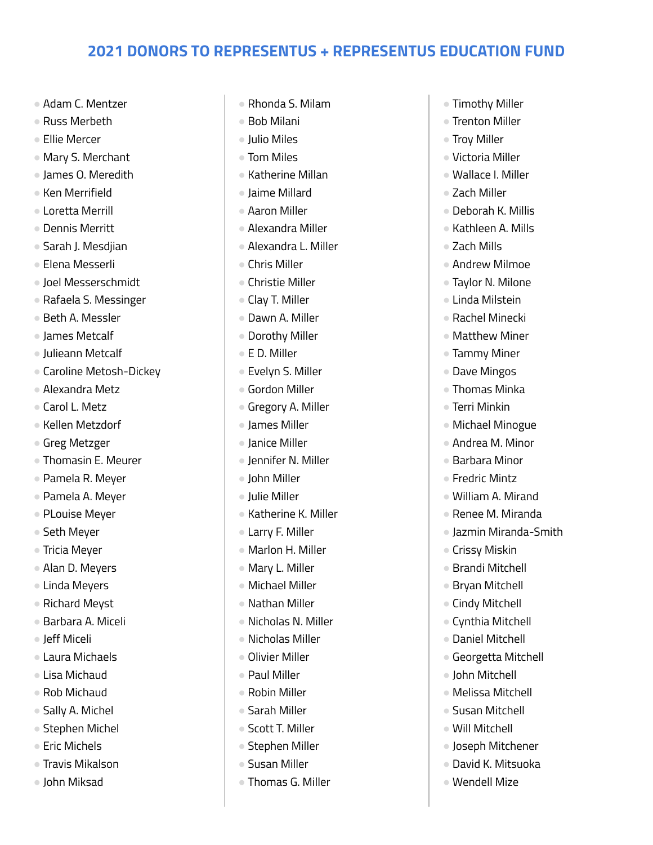- Adam C. Mentzer
- Russ Merbeth
- Ellie Mercer
- Mary S. Merchant
- James O. Meredith
- Ken Merrifield
- Loretta Merrill
- Dennis Merritt
- Sarah J. Mesdjian
- Elena Messerli
- Joel Messerschmidt
- Rafaela S. Messinger
- Beth A. Messler
- James Metcalf
- Julieann Metcalf
- Caroline Metosh-Dickey
- Alexandra Metz
- Carol L. Metz
- Kellen Metzdorf
- Greg Metzger
- Thomasin E. Meurer
- Pamela R. Meyer
- Pamela A. Meyer
- PLouise Meyer
- Seth Meyer
- Tricia Meyer
- Alan D. Meyers
- Linda Meyers
- Richard Meyst
- Barbara A. Miceli
- Jeff Miceli
- Laura Michaels
- Lisa Michaud
- Rob Michaud
- Sally A. Michel
- Stephen Michel
- Eric Michels
- Travis Mikalson
- John Miksad
- Rhonda S. Milam
- Bob Milani
- Julio Miles
- Tom Miles
- Katherine Millan
- Jaime Millard
- Aaron Miller
- Alexandra Miller
- Alexandra L. Miller
- Chris Miller
- Christie Miller
- Clay T. Miller
- Dawn A. Miller
- Dorothy Miller
- E D. Miller
- Evelyn S. Miller
- Gordon Miller
- Gregory A. Miller
- James Miller
- Janice Miller
- Jennifer N. Miller
- John Miller
- Julie Miller
- Katherine K. Miller
- Larry F. Miller
- Marlon H. Miller
- Mary L. Miller
- Michael Miller
- Nathan Miller
- Nicholas N. Miller
- Nicholas Miller
- Olivier Miller
- Paul Miller
- Robin Miller
- Sarah Miller
- Scott T. Miller
- Stephen Miller
- Susan Miller
- Thomas G. Miller
- Timothy Miller
- Trenton Miller
- Troy Miller
- Victoria Miller
- Wallace I. Miller
- Zach Miller
- Deborah K. Millis
- Kathleen A. Mills
- Zach Mills
- Andrew Milmoe
- Taylor N. Milone
- Linda Milstein
- Rachel Minecki
- Matthew Miner
- Tammy Miner
- Dave Mingos
- Thomas Minka
- Terri Minkin
- Michael Minogue
- Andrea M. Minor

● William A. Mirand ● Renee M. Miranda ● Jazmin Miranda-Smith

● Barbara Minor ● Fredric Mintz

● Crissy Miskin ● Brandi Mitchell ● Bryan Mitchell ● Cindy Mitchell ● Cynthia Mitchell ● Daniel Mitchell ● Georgetta Mitchell ● John Mitchell ● Melissa Mitchell ● Susan Mitchell ● Will Mitchell

● Joseph Mitchener ● David K. Mitsuoka ● Wendell Mize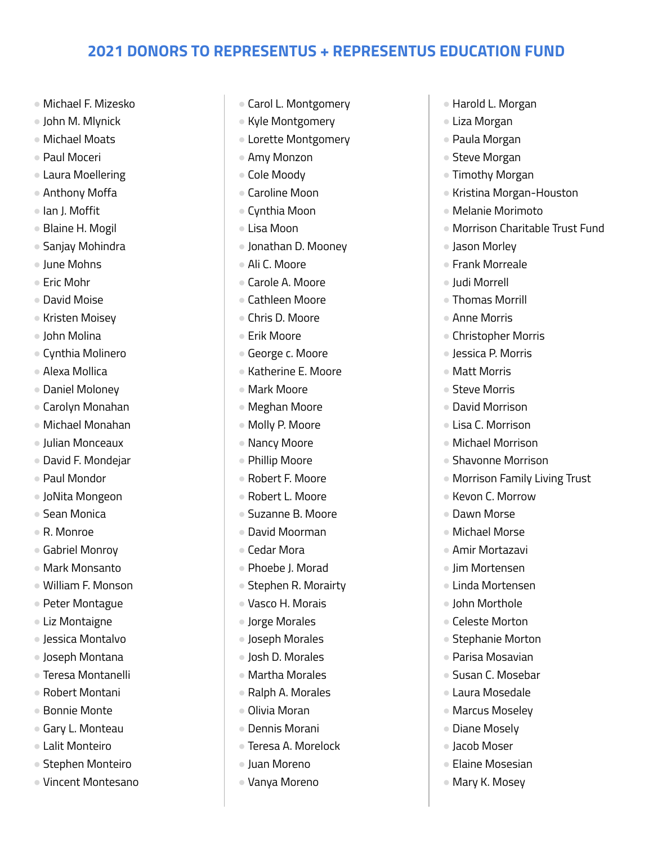- Michael F. Mizesko
- John M. Mlynick
- Michael Moats
- Paul Moceri
- Laura Moellering
- Anthony Moffa
- Ian J. Moffit
- Blaine H. Mogil
- Sanjay Mohindra
- June Mohns
- Eric Mohr
- David Moise
- Kristen Moisey
- John Molina
- Cynthia Molinero
- Alexa Mollica
- Daniel Moloney
- Carolyn Monahan
- Michael Monahan
- Julian Monceaux
- David F. Mondejar
- Paul Mondor
- JoNita Mongeon
- Sean Monica
- R. Monroe
- Gabriel Monroy
- Mark Monsanto
- William F. Monson
- Peter Montague
- Liz Montaigne
- Jessica Montalvo
- Joseph Montana
- Teresa Montanelli
- Robert Montani
- Bonnie Monte
- Gary L. Monteau
- Lalit Monteiro
- Stephen Monteiro
- Vincent Montesano
- Carol L. Montgomery
- Kyle Montgomery
- Lorette Montgomery
- Amy Monzon
- Cole Moody
- Caroline Moon
- Cynthia Moon
- Lisa Moon
- Jonathan D. Mooney
- Ali C. Moore
- Carole A. Moore
- Cathleen Moore
- Chris D. Moore
- Erik Moore
- George c. Moore
- Katherine E. Moore
- Mark Moore
- Meghan Moore
- Molly P. Moore
- Nancy Moore
- Phillip Moore
- Robert F. Moore
- Robert L. Moore
- Suzanne B. Moore
- David Moorman
- Cedar Mora
- Phoebe J. Morad
- Stephen R. Morairty
- Vasco H. Morais
- Jorge Morales
- Joseph Morales
- Josh D. Morales
- Martha Morales
- Ralph A. Morales
- Olivia Moran
- Dennis Morani
- Teresa A. Morelock
- Juan Moreno
- Vanya Moreno
- Harold L. Morgan
- Liza Morgan
- Paula Morgan
- Steve Morgan
- Timothy Morgan
- Kristina Morgan-Houston
- Melanie Morimoto
- Morrison Charitable Trust Fund
- Jason Morley
- Frank Morreale
- Judi Morrell
- Thomas Morrill
- Anne Morris
- Christopher Morris
- Jessica P. Morris
- Matt Morris
- Steve Morris
- David Morrison
- Lisa C. Morrison
- Michael Morrison

● Kevon C. Morrow ● Dawn Morse ● Michael Morse ● Amir Mortazavi ● Jim Mortensen ● Linda Mortensen ● John Morthole ● Celeste Morton ● Stephanie Morton ● Parisa Mosavian ● Susan C. Mosebar ● Laura Mosedale ● Marcus Moseley ● Diane Mosely ● Jacob Moser ● Elaine Mosesian ● Mary K. Mosey

● Shavonne Morrison

● Morrison Family Living Trust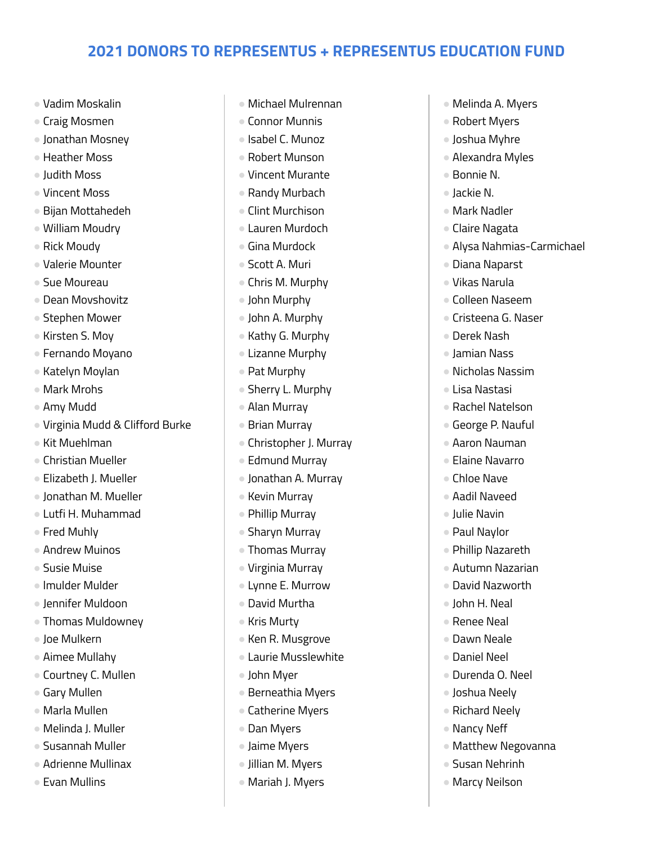- Vadim Moskalin
- Craig Mosmen
- Jonathan Mosney
- Heather Moss
- Judith Moss
- Vincent Moss
- Bijan Mottahedeh
- William Moudry
- Rick Moudy
- Valerie Mounter
- Sue Moureau
- Dean Movshovitz
- Stephen Mower
- Kirsten S. Moy
- Fernando Moyano
- Katelyn Moylan
- Mark Mrohs
- Amy Mudd
- Virginia Mudd & Clifford Burke
- Kit Muehlman
- Christian Mueller
- Elizabeth J. Mueller
- Jonathan M. Mueller
- Lutfi H. Muhammad
- Fred Muhlv
- Andrew Muinos
- Susie Muise
- lmulder Mulder
- Jennifer Muldoon
- Thomas Muldowney
- Joe Mulkern
- Aimee Mullahy
- Courtney C. Mullen
- Gary Mullen
- Marla Mullen
- Melinda J. Muller
- Susannah Muller
- Adrienne Mullinax
- Evan Mullins
- Michael Mulrennan
- Connor Munnis
- Isabel C. Munoz
- Robert Munson
- Vincent Murante
- Randy Murbach
- Clint Murchison
- Lauren Murdoch
- Gina Murdock
- Scott A. Muri
- Chris M. Murphy
- John Murphy
- John A. Murphy
- Kathy G. Murphy
- Lizanne Murphy
- Pat Murphy
- Sherry L. Murphy
- Alan Murray
- Brian Murray
- Christopher J. Murray
- Edmund Murray
- Jonathan A. Murray
- Kevin Murray
- Phillip Murray
- Sharyn Murray
- Thomas Murray
- Virginia Murray
- Lynne E. Murrow
- David Murtha
- Kris Murty
- Ken R. Musgrove
- Laurie Musslewhite
- John Myer
- Berneathia Myers
- Catherine Myers
- Dan Myers
- Jaime Myers
- Jillian M. Myers
- Mariah J. Myers
- Melinda A. Myers
- Robert Myers
- Joshua Myhre
- Alexandra Myles
- Bonnie N.
- Jackie N.
- Mark Nadler
- Claire Nagata
- Alysa Nahmias-Carmichael
- Diana Naparst
- Vikas Narula
- Colleen Naseem
- Cristeena G. Naser
- Derek Nash
- Jamian Nass
- Nicholas Nassim
- Lisa Nastasi
- Rachel Natelson
- George P. Nauful
- Aaron Nauman
- Elaine Navarro ● Chloe Nave

● Aadil Naveed ● Julie Navin ● Paul Naylor ● Phillip Nazareth ● Autumn Nazarian ● David Nazworth ● John H. Neal ● Renee Neal ● Dawn Neale ● Daniel Neel ● Durenda O. Neel ● Joshua Neely ● Richard Neely ● Nancy Neff

● Matthew Negovanna

● Susan Nehrinh ● Marcy Neilson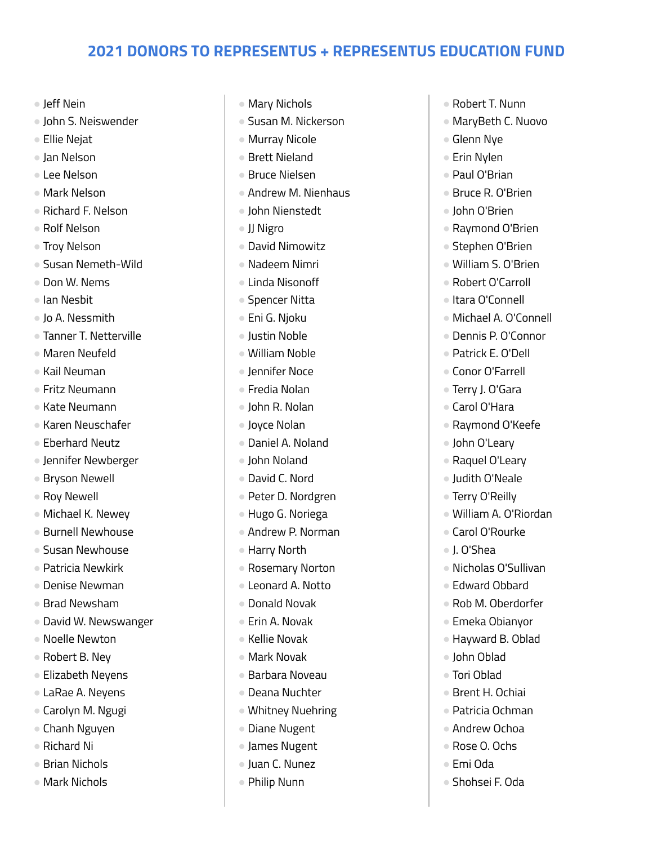- Jeff Nein
- John S. Neiswender
- Ellie Nejat
- Jan Nelson
- Lee Nelson
- Mark Nelson
- Richard F. Nelson
- Rolf Nelson
- Troy Nelson
- Susan Nemeth-Wild
- Don W. Nems
- Ian Nesbit
- Jo A. Nessmith
- Tanner T. Netterville
- Maren Neufeld
- Kail Neuman
- Fritz Neumann
- Kate Neumann
- Karen Neuschafer
- Eberhard Neutz
- Jennifer Newberger
- Bryson Newell
- Roy Newell
- Michael K. Newey
- Burnell Newhouse
- Susan Newhouse
- Patricia Newkirk
- Denise Newman
- Brad Newsham
- David W. Newswanger
- Noelle Newton
- Robert B. Ney
- Elizabeth Neyens
- LaRae A. Neyens
- Carolyn M. Ngugi
- Chanh Nguyen
- Richard Ni
- Brian Nichols
- Mark Nichols
- Mary Nichols
- Susan M. Nickerson
- Murray Nicole
- Brett Nieland
- Bruce Nielsen
- Andrew M. Nienhaus
- John Nienstedt
- JJ Nigro
- David Nimowitz
- Nadeem Nimri
- Linda Nisonoff
- Spencer Nitta
- Eni G. Njoku
- Justin Noble
- William Noble
- Jennifer Noce
- Fredia Nolan
- John R. Nolan
- Joyce Nolan
- Daniel A. Noland
- John Noland
- David C. Nord
- Peter D. Nordgren
- Hugo G. Noriega
- Andrew P. Norman
- Harry North
- Rosemary Norton
- Leonard A. Notto
- Donald Novak
- Erin A. Novak
- Kellie Novak
- Mark Novak
- Barbara Noveau
- Deana Nuchter
- Whitney Nuehring
- Diane Nugent
- James Nugent
- Juan C. Nunez
- Philip Nunn
- Robert T. Nunn
- MaryBeth C. Nuovo
- Glenn Nye
- Erin Nylen
- Paul O'Brian
- Bruce R. O'Brien
- John O'Brien
- Raymond O'Brien
- Stephen O'Brien
- William S. O'Brien
- Robert O'Carroll
- Itara O'Connell
- Michael A. O'Connell
- Dennis P. O'Connor
- Patrick E. O'Dell
- Conor O'Farrell
- Terry J. O'Gara
- Carol O'Hara
- Raymond O'Keefe
- John O'Leary
- Raquel O'Leary ● Judith O'Neale

● Terry O'Reilly

● Carol O'Rourke

● J. O'Shea

● John Oblad ● Tori Oblad

● Brent H. Ochiai ● Patricia Ochman ● Andrew Ochoa ● Rose O. Ochs ● Emi Oda

● Shohsei F. Oda

● William A. O'Riordan

● Nicholas O'Sullivan ● Edward Obbard ● Rob M. Oberdorfer ● Emeka Obianyor ● Hayward B. Oblad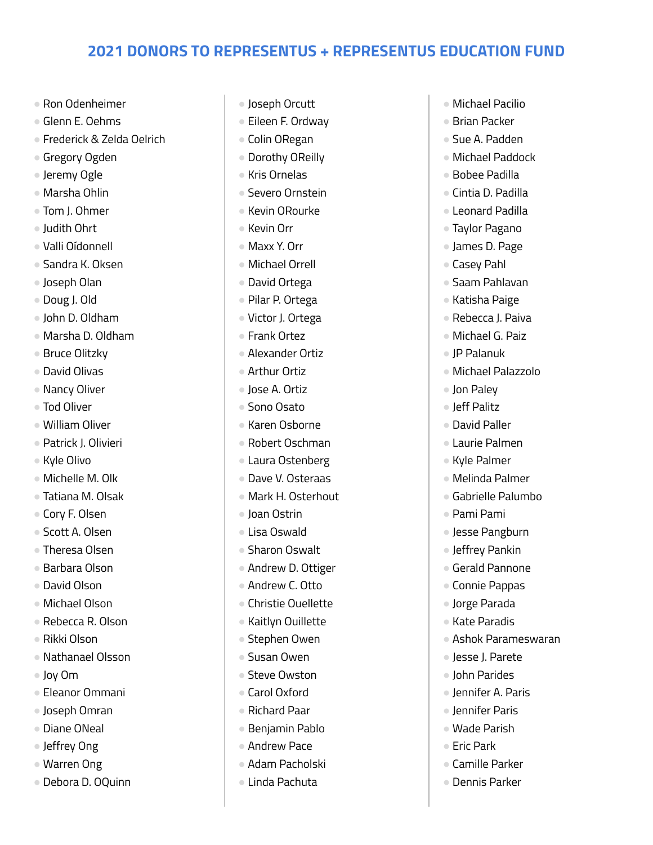- Ron Odenheimer
- Glenn E. Oehms
- Frederick & Zelda Oelrich
- Gregory Ogden
- Jeremy Ogle
- Marsha Ohlin
- Tom J. Ohmer
- Judith Ohrt
- Valli Oídonnell
- Sandra K. Oksen
- Joseph Olan
- Doug J. Old
- John D. Oldham
- Marsha D. Oldham
- Bruce Olitzky
- David Olivas
- Nancy Oliver
- Tod Oliver
- William Oliver
- Patrick J. Olivieri
- Kyle Olivo
- Michelle M. Olk
- Tatiana M. Olsak
- Cory F. Olsen
- Scott A. Olsen
- Theresa Olsen
- Barbara Olson
- David Olson
- Michael Olson
- Rebecca R. Olson
- Rikki Olson
- Nathanael Olsson
- Joy Om
- Eleanor Ommani
- Joseph Omran
- Diane ONeal
- Jeffrey Ong
- Warren Ong
- Debora D. OQuinn
- Joseph Orcutt
- Eileen F. Ordwav
- Colin ORegan
- Dorothy OReilly
- Kris Ornelas
- Severo Ornstein
- Kevin ORourke
- Kevin Orr
- Maxx Y. Orr
- Michael Orrell
- David Ortega
- Pilar P. Ortega
- Victor J. Ortega
- Frank Ortez
- Alexander Ortiz
- Arthur Ortiz
- Jose A. Ortiz
- Sono Osato
- Karen Osborne
- Robert Oschman
- Laura Ostenberg
- Dave V. Osteraas
- Mark H. Osterhout
- Joan Ostrin
- Lisa Oswald
- Sharon Oswalt
- Andrew D. Ottiger
- Andrew C. Otto
- Christie Ouellette
- Kaitlyn Ouillette
- Stephen Owen
- Susan Owen
- Steve Owston
- Carol Oxford
- Richard Paar
- Benjamin Pablo
- Andrew Pace
- Adam Pacholski
- Linda Pachuta
- Michael Pacilio
- Brian Packer
- Sue A. Padden
- Michael Paddock
- Bobee Padilla
- Cintia D. Padilla
- Leonard Padilla
- Taylor Pagano
- James D. Page
- Casey Pahl
- Saam Pahlavan
- Katisha Paige
- Rebecca J. Paiva
- Michael G. Paiz
- JP Palanuk
- Michael Palazzolo
- Jon Paley
- Jeff Palitz
- David Paller
- Laurie Palmen

● Melinda Palmer ● Gabrielle Palumbo

● Jesse Pangburn ● leffrey Pankin ● Gerald Pannone ● Connie Pappas ● Jorge Parada ● Kate Paradis

● Ashok Parameswaran

● Jesse J. Parete ● John Parides ● Jennifer A. Paris ● Jennifer Paris ● Wade Parish ● Eric Park

● Camille Parker ● Dennis Parker

● Kyle Palmer

● Pami Pami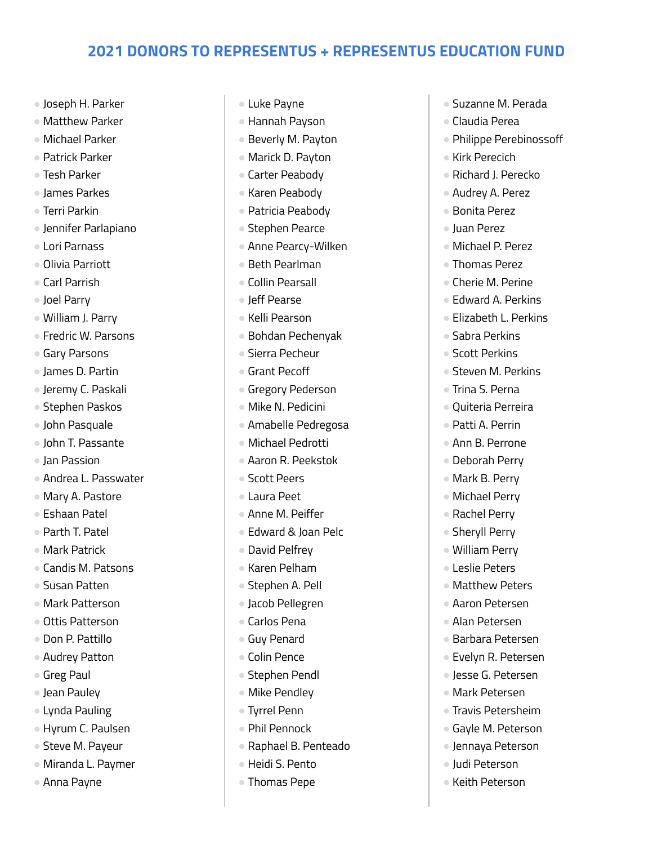- Joseph H. Parker
- Matthew Parker
- Michael Parker
- Patrick Parker
- Tesh Parker
- James Parkes
- Terri Parkin
- Jennifer Parlapiano
- Lori Parnass
- Olivia Parriott
- Carl Parrish
- Joel Parry
- William J. Parry
- Fredric W. Parsons
- Garv Parsons
- James D. Partin
- Jeremy C. Paskali
- Stephen Paskos
- John Pasquale
- John T. Passante
- Jan Passion
- Andrea L. Passwater
- Mary A. Pastore
- Eshaan Patel
- Parth T. Patel
- Mark Patrick
- Candis M. Patsons
- Susan Patten
- Mark Patterson
- Ottis Patterson
- Don P. Pattillo
- Audrey Patton
- Greg Paul
- Jean Pauley
- Lynda Pauling
- Hyrum C. Paulsen
- Steve M. Payeur
- Miranda L. Paymer
- Anna Payne
- Luke Payne
- Hannah Payson
- Beverly M. Payton
- Marick D. Payton
- Carter Peabody
- Karen Peabody
- Patricia Peabody
- Stephen Pearce
- Anne Pearcy-Wilken
- Beth Pearlman
- Collin Pearsall
- Jeff Pearse
- Kelli Pearson
- Bohdan Pechenyak
- Sierra Pecheur
- Grant Pecoff
- Gregory Pederson
- Mike N. Pedicini
- Amabelle Pedregosa
- Michael Pedrotti
- Aaron R. Peekstok
- Scott Peers
- Laura Peet
- Anne M. Peiffer
- Edward & Joan Pelc
- David Pelfrey
- Karen Pelham
- Stephen A. Pell
- Jacob Pellegren
- Carlos Pena
- Guy Penard
- Colin Pence
- Stephen Pendl
- Mike Pendley
- Tyrrel Penn
- Phil Pennock
- Raphael B. Penteado
- Heidi S. Pento
- Thomas Pepe
- Suzanne M. Perada
- Claudia Perea
- Philippe Perebinossoff
- Kirk Perecich
- Richard J. Perecko
- Audrey A. Perez
- Bonita Perez
- Juan Perez
- Michael P. Perez
- Thomas Perez
- Cherie M. Perine
- Edward A. Perkins
- Elizabeth L. Perkins
- Sabra Perkins
- Scott Perkins
- Steven M. Perkins
- Trina S. Perna
- Quiteria Perreira
- Patti A. Perrin
- Ann B. Perrone
- Deborah Perry ● Mark B. Perry

● Michael Perry ● Rachel Perry ● Sheryll Perry ● William Perry ● Leslie Peters ● Matthew Peters ● Aaron Petersen ● Alan Petersen ● Barbara Petersen ● Evelyn R. Petersen ● Jesse G. Petersen ● Mark Petersen ● Travis Petersheim ● Gayle M. Peterson ● Jennaya Peterson ● Judi Peterson ● Keith Peterson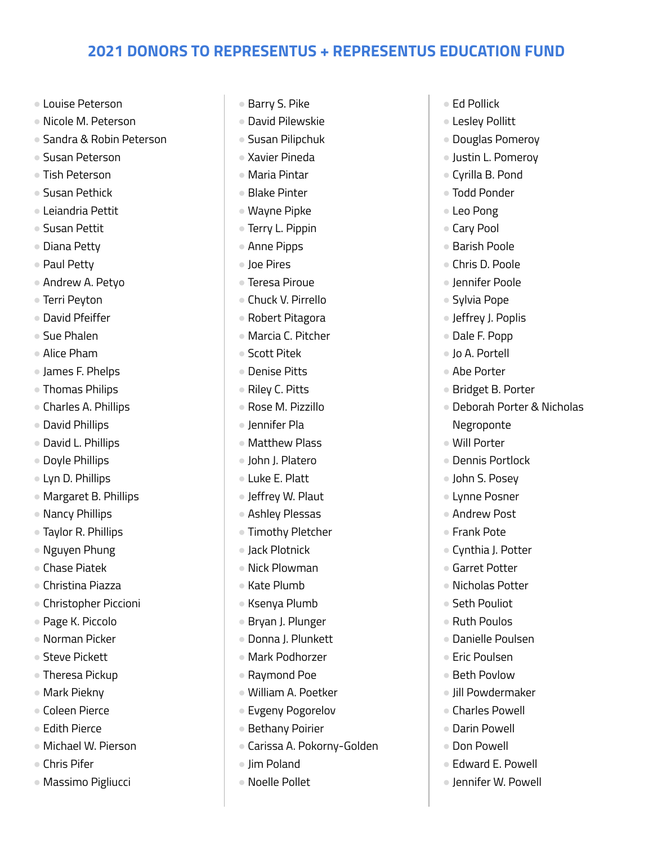- Louise Peterson
- Nicole M. Peterson
- Sandra & Robin Peterson
- Susan Peterson
- Tish Peterson
- Susan Pethick
- Leiandria Pettit
- Susan Pettit
- Diana Petty
- Paul Petty
- Andrew A. Petyo
- Terri Peyton
- David Pfeiffer
- Sue Phalen
- Alice Pham
- James F. Phelps
- Thomas Philips
- Charles A. Phillips
- David Phillips
- David L. Phillips
- Doyle Phillips
- Lyn D. Phillips
- Margaret B. Phillips
- Nancy Phillips
- Taylor R. Phillips
- Nguyen Phung
- Chase Piatek
- Christina Piazza
- Christopher Piccioni
- Page K. Piccolo
- Norman Picker
- Steve Pickett
- Theresa Pickup
- Mark Piekny
- Coleen Pierce
- Edith Pierce
- Michael W. Pierson
- Chris Pifer
- Massimo Pigliucci
- Barry S. Pike
- David Pilewskie
- Susan Pilipchuk
- Xavier Pineda
- Maria Pintar
- Blake Pinter
- Wayne Pipke
- Terry L. Pippin
- Anne Pipps
- Joe Pires
- Teresa Piroue
- Chuck V. Pirrello
- Robert Pitagora
- Marcia C. Pitcher
- Scott Pitek
- Denise Pitts
- Riley C. Pitts
- Rose M. Pizzillo
- Jennifer Pla
- Matthew Plass
- John J. Platero
- Luke E. Platt
- Jeffrey W. Plaut
- Ashley Plessas
- Timothy Pletcher
- Jack Plotnick
- Nick Plowman
- Kate Plumb
- Ksenya Plumb
- Bryan J. Plunger
- Donna J. Plunkett
- Mark Podhorzer
- Raymond Poe
- William A. Poetker
- Evgeny Pogorelov
- Bethany Poirier
- Carissa A. Pokorny-Golden
- Jim Poland
- Noelle Pollet
- Ed Pollick
- Lesley Pollitt
- Douglas Pomeroy
- Justin L. Pomeroy
- Cyrilla B. Pond
- Todd Ponder
- Leo Pong
- Cary Pool
- Barish Poole
- Chris D. Poole
- Jennifer Poole
- Sylvia Pope
- Jeffrey J. Poplis
- Dale F. Popp
- Jo A. Portell
- Abe Porter
- Bridget B. Porter
- Deborah Porter & Nicholas Negroponte
- Will Porter
- Dennis Portlock
- John S. Posey ● Lynne Posner

● Andrew Post ● Frank Pote

● Cynthia J. Potter ● Garret Potter ● Nicholas Potter ● Seth Pouliot ● Ruth Poulos ● Danielle Poulsen ● Eric Poulsen ● Beth Povlow ● Jill Powdermaker ● Charles Powell ● Darin Powell ● Don Powell

● Edward E. Powell ● Jennifer W. Powell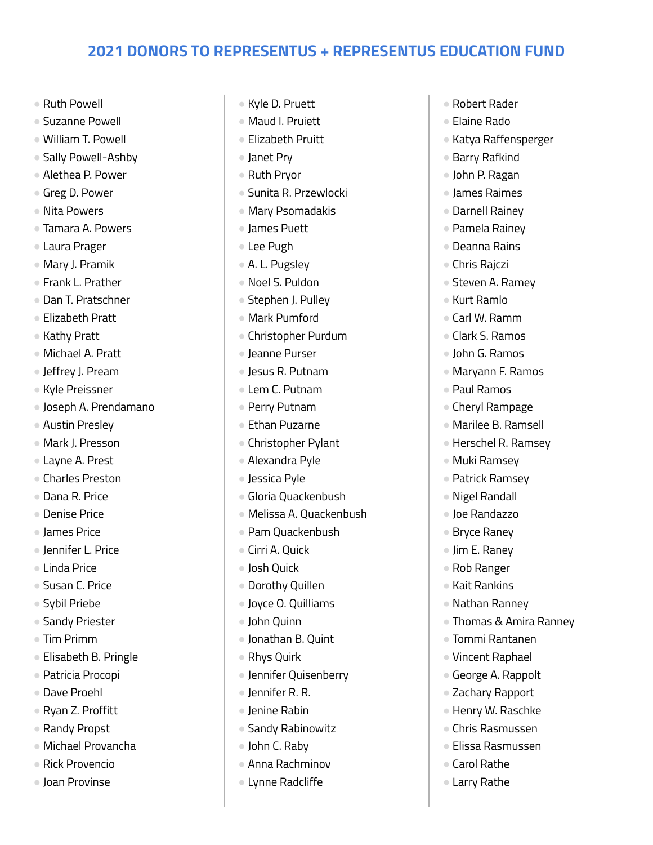- Ruth Powell
- Suzanne Powell
- William T. Powell
- Sally Powell-Ashby
- Alethea P. Power
- Greg D. Power
- Nita Powers
- Tamara A. Powers
- Laura Prager
- Mary J. Pramik
- Frank L. Prather
- Dan T. Pratschner
- Elizabeth Pratt
- Kathy Pratt
- Michael A. Pratt
- Jeffrey J. Pream
- Kyle Preissner
- Joseph A. Prendamano
- Austin Presley
- Mark J. Presson
- Layne A. Prest
- Charles Preston
- Dana R. Price
- Denise Price
- James Price
- Jennifer L. Price
- Linda Price
- Susan C. Price
- Sybil Priebe
- Sandy Priester
- Tim Primm
- Elisabeth B. Pringle
- Patricia Procopi
- Dave Proehl
- Ryan Z. Proffitt
- Randy Propst
- Michael Provancha
- Rick Provencio
- Joan Provinse
- Kyle D. Pruett
- Maud I. Pruiett
- Elizabeth Pruitt
- Janet Pry
- Ruth Pryor
- Sunita R. Przewlocki
- Mary Psomadakis
- James Puett
- Lee Pugh
- A. L. Pugsley
- Noel S. Puldon
- Stephen J. Pulley
- Mark Pumford
- Christopher Purdum
- Jeanne Purser
- Jesus R. Putnam
- Lem C. Putnam
- Perry Putnam
- Ethan Puzarne
- Christopher Pylant
- Alexandra Pyle
- Jessica Pyle
- Gloria Quackenbush
- Melissa A. Quackenbush
- Pam Quackenbush
- Cirri A. Ouick
- Josh Quick
- Dorothy Quillen
- Joyce O. Quilliams
- John Quinn
- Jonathan B. Quint
- Rhys Quirk
- Jennifer Quisenberry
- Jennifer R. R.
- Jenine Rabin
- Sandy Rabinowitz
- John C. Raby
- $\bullet$  Anna Rachminov
- Lynne Radcliffe
- Robert Rader
- Elaine Rado
- Katya Raffensperger
- Barry Rafkind
- John P. Ragan
- James Raimes
- Darnell Rainey
- Pamela Rainey
- Deanna Rains
- Chris Rajczi
- Steven A. Ramey
- Kurt Ramlo
- Carl W. Ramm
- Clark S. Ramos
- John G. Ramos
- Maryann F. Ramos
- Paul Ramos
- Cheryl Rampage
- Marilee B. Ramsell
- Herschel R. Ramsey

● Thomas & Amira Ranney

● Tommi Rantanen ● Vincent Raphael ● George A. Rappolt ● Zachary Rapport ● Henry W. Raschke ● Chris Rasmussen ● Elissa Rasmussen

● Carol Rathe ● Larry Rathe

● Muki Ramsey

● Patrick Ramsey ● Nigel Randall ● Joe Randazzo ● Bryce Raney ● Jim E. Raney ● Rob Ranger ● Kait Rankins ● Nathan Ranney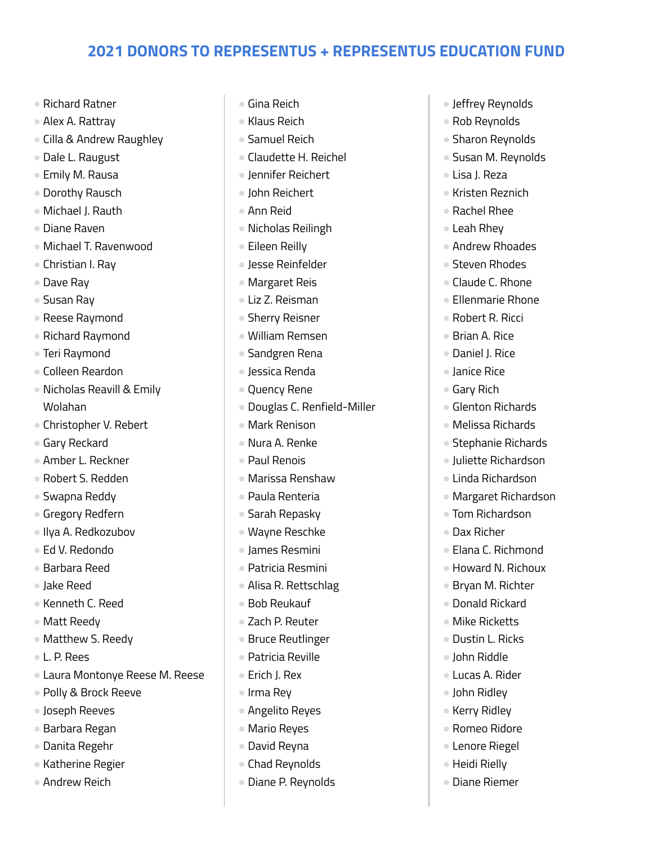- Richard Ratner
- Alex A. Rattray
- Cilla & Andrew Raughley
- Dale L. Raugust
- Emily M. Rausa
- Dorothy Rausch
- Michael J. Rauth
- Diane Raven
- Michael T. Ravenwood
- Christian I. Ray
- Dave Ray
- Susan Ray
- Reese Raymond
- Richard Raymond
- Teri Raymond
- Colleen Reardon
- Nicholas Reavill & Emily Wolahan
- Christopher V. Rebert
- Gary Reckard
- Amber L. Reckner
- Robert S. Redden
- Swapna Reddy
- Gregory Redfern
- Ilya A. Redkozubov
- Ed V. Redondo
- Barbara Reed
- Jake Reed
- Kenneth C. Reed
- Matt Reedy
- Matthew S. Reedy
- L. P. Rees
- Laura Montonye Reese M. Reese
- Polly & Brock Reeve
- Joseph Reeves
- Barbara Regan
- Danita Regehr
- Katherine Regier
- Andrew Reich
- Gina Reich
- Klaus Reich
- Samuel Reich
- Claudette H. Reichel
- Jennifer Reichert
- John Reichert
- Ann Reid
- Nicholas Reilingh
- Eileen Reilly
- Jesse Reinfelder
- Margaret Reis
- Liz Z. Reisman
- Sherry Reisner
- William Remsen
- Sandgren Rena
- Jessica Renda
- Quency Rene
- Douglas C. Renfield-Miller
- Mark Renison
- Nura A. Renke
- Paul Renois
- Marissa Renshaw
- Paula Renteria
- Sarah Repasky
- Wayne Reschke
- James Resmini
- Patricia Resmini
- Alisa R. Rettschlag
- Bob Reukauf
- Zach P. Reuter
- Bruce Reutlinger
- Patricia Reville
- Erich J. Rex
- Irma Rey
- Angelito Reyes
- Mario Reyes
- David Reyna
- Chad Reynolds
- Diane P. Reynolds
- Jeffrey Reynolds
- Rob Reynolds
- Sharon Reynolds
- Susan M. Reynolds
- Lisa J. Reza
- Kristen Reznich
- Rachel Rhee
- Leah Rhey
- Andrew Rhoades
- Steven Rhodes
- Claude C. Rhone
- Ellenmarie Rhone
- Robert R. Ricci
- Brian A. Rice
- Daniel J. Rice
- Janice Rice
- Gary Rich
- Glenton Richards
- Melissa Richards
- Stephanie Richards
- Juliette Richardson

● Margaret Richardson ● Tom Richardson

● Elana C. Richmond ● Howard N. Richoux ● Bryan M. Richter ● Donald Rickard ● Mike Ricketts ● Dustin L. Ricks ● John Riddle ● Lucas A. Rider ● John Ridley ● Kerry Ridley ● Romeo Ridore ● Lenore Riegel ● Heidi Rielly ● Diane Riemer

● Linda Richardson

● Dax Richer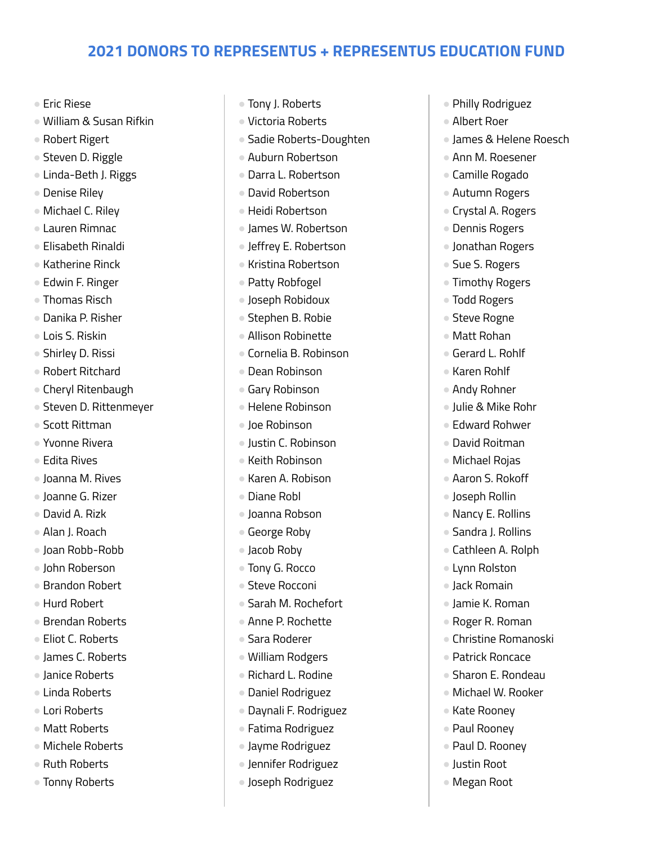- Eric Riese
- William & Susan Rifkin
- Robert Rigert
- Steven D. Riggle
- Linda-Beth J. Riggs
- Denise Riley
- Michael C. Riley
- Lauren Rimnac
- Elisabeth Rinaldi
- Katherine Rinck
- Edwin F. Ringer
- Thomas Risch
- Danika P. Risher
- Lois S. Riskin
- Shirley D. Rissi
- Robert Ritchard
- Cheryl Ritenbaugh
- Steven D. Rittenmeyer
- Scott Rittman
- Yvonne Rivera
- Edita Rives
- Joanna M. Rives
- Joanne G. Rizer
- David A. Rizk
- Alan J. Roach
- Joan Robb-Robb
- John Roberson
- Brandon Robert
- Hurd Robert
- Brendan Roberts
- Eliot C. Roberts
- James C. Roberts
- Janice Roberts
- Linda Roberts
- Lori Roberts
- Matt Roberts
- Michele Roberts
- Ruth Roberts
- Tonny Roberts
- Tony J. Roberts
- Victoria Roberts
- Sadie Roberts-Doughten
- Auburn Robertson
- Darra L. Robertson
- David Robertson
- Heidi Robertson
- James W. Robertson
- Jeffrey E. Robertson
- Kristina Robertson
- Patty Robfogel
- Joseph Robidoux
- Stephen B. Robie
- Allison Robinette
- Cornelia B. Robinson
- Dean Robinson
- Gary Robinson
- Helene Robinson
- Joe Robinson
- Justin C. Robinson
- Keith Robinson
- Karen A. Robison
- Diane Robl
- Joanna Robson
- George Roby
- Jacob Roby
- Tony G. Rocco
- Steve Rocconi
- Sarah M. Rochefort
- Anne P. Rochette
- Sara Roderer
- William Rodgers
- Richard L. Rodine
- Daniel Rodriguez
- Daynali F. Rodriguez
- Fatima Rodriguez
- Jayme Rodriguez
- Jennifer Rodriguez
- Joseph Rodriguez
- Philly Rodriguez
- Albert Roer
- James & Helene Roesch
- Ann M. Roesener
- Camille Rogado
- Autumn Rogers
- Crystal A. Rogers
- Dennis Rogers
- Jonathan Rogers
- Sue S. Rogers
- Timothy Rogers
- Todd Rogers
- Steve Rogne
- Matt Rohan
- Gerard L. Rohlf
- Karen Rohlf
- Andy Rohner
- Julie & Mike Rohr
- Edward Rohwer
- David Roitman
- Michael Rojas ● Aaron S. Rokoff

● Joseph Rollin ● Nancy E. Rollins ● Sandra J. Rollins ● Cathleen A. Rolph

● Lynn Rolston ● Jack Romain ● Jamie K. Roman ● Roger R. Roman ● Christine Romanoski ● Patrick Roncace ● Sharon E. Rondeau ● Michael W. Rooker

● Kate Rooney ● Paul Rooney ● Paul D. Rooney ● Justin Root ● Megan Root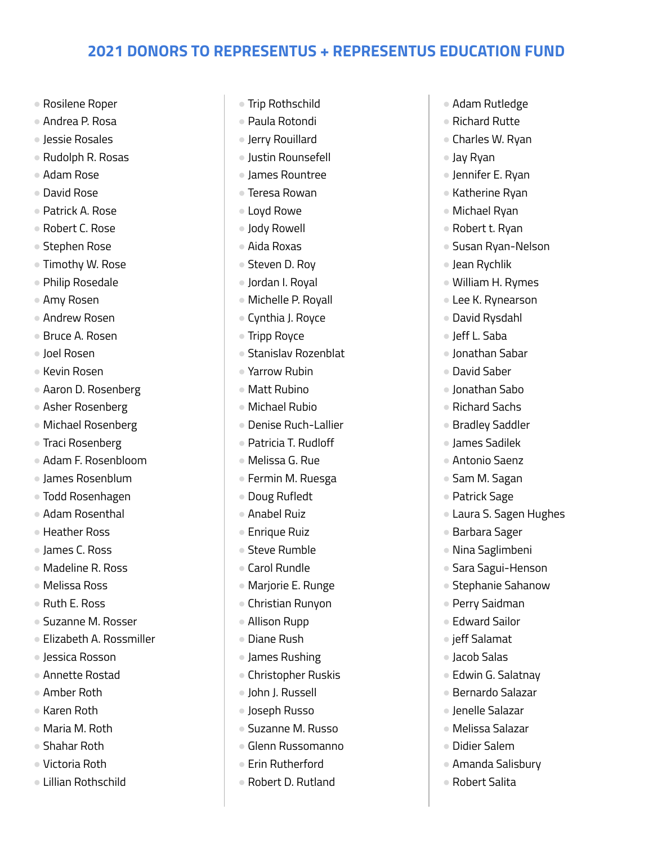- Rosilene Roper
- Andrea P. Rosa
- Jessie Rosales
- Rudolph R. Rosas
- Adam Rose
- David Rose
- Patrick A. Rose
- Robert C. Rose
- Stephen Rose
- Timothy W. Rose
- Philip Rosedale
- Amy Rosen
- Andrew Rosen
- Bruce A. Rosen
- Joel Rosen
- Kevin Rosen
- Aaron D. Rosenberg
- Asher Rosenberg
- Michael Rosenberg
- Traci Rosenberg
- Adam F. Rosenbloom
- James Rosenblum
- Todd Rosenhagen
- Adam Rosenthal
- Heather Ross
- James C. Ross
- Madeline R. Ross
- Melissa Ross
- Ruth E. Ross
- Suzanne M. Rosser
- Elizabeth A. Rossmiller
- Jessica Rosson
- Annette Rostad
- Amber Roth
- Karen Roth
- Maria M. Roth
- Shahar Roth
- Victoria Roth
- Lillian Rothschild
- Trip Rothschild
- Paula Rotondi
- Jerry Rouillard
- Justin Rounsefell
- James Rountree
- Teresa Rowan
- Loyd Rowe
- Jody Rowell
- Aida Roxas
- Steven D. Rov
- Jordan I. Royal
- Michelle P. Royall
- Cynthia J. Royce
- Tripp Royce
- Stanislav Rozenblat
- Yarrow Rubin
- Matt Rubino
- Michael Rubio
- Denise Ruch-Lallier
- Patricia T. Rudloff
- Melissa G. Rue
- Fermin M. Ruesga
- Doug Rufledt
- Anabel Ruiz
- Enrique Ruiz
- Steve Rumble
- Carol Rundle
- Marjorie E. Runge
- Christian Runyon
- Allison Rupp
- Diane Rush
- James Rushing
- Christopher Ruskis
- John J. Russell
- Joseph Russo
- Suzanne M. Russo
- Glenn Russomanno
- Erin Rutherford
- Robert D. Rutland
- Adam Rutledge
- Richard Rutte
- Charles W. Ryan
- Jay Ryan
- Jennifer E. Ryan
- Katherine Ryan
- Michael Ryan
- Robert t. Ryan
- Susan Ryan-Nelson
- Jean Rychlik
- William H. Rymes
- Lee K. Rynearson
- David Rysdahl
- Jeff L. Saba
- Jonathan Sabar
- David Saber
- Jonathan Sabo
- Richard Sachs
- Bradley Saddler
- James Sadilek
- Antonio Saenz ● Sam M. Sagan

● Patrick Sage

● Barbara Sager ● Nina Saglimbeni ● Sara Sagui-Henson ● Stephanie Sahanow

● Perry Saidman ● Edward Sailor ● ieff Salamat ● Jacob Salas

● Edwin G. Salatnay ● Bernardo Salazar ● Jenelle Salazar ● Melissa Salazar ● Didier Salem

● Amanda Salisbury ● Robert Salita

● Laura S. Sagen Hughes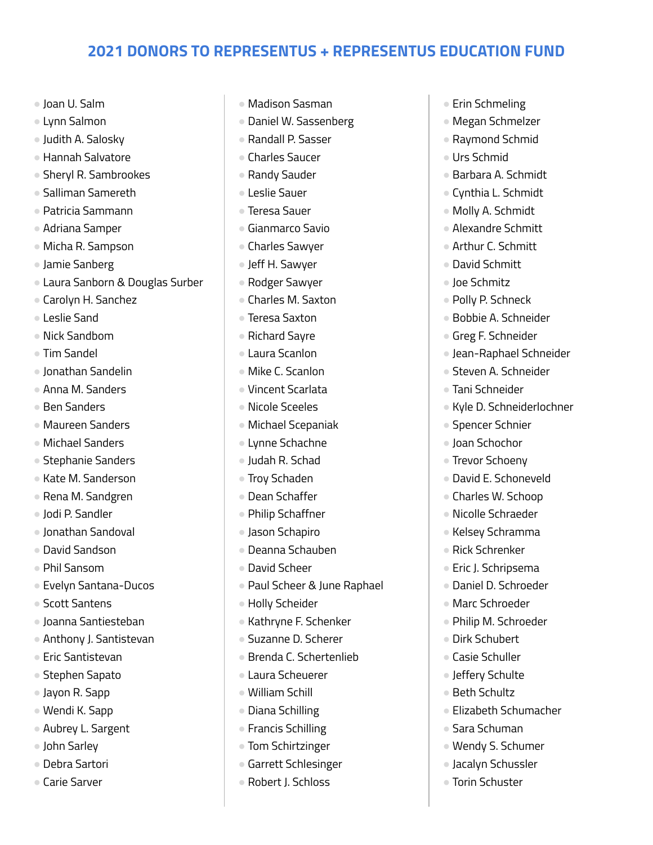- Joan U. Salm
- Lynn Salmon
- Judith A. Salosky
- Hannah Salvatore
- Sheryl R. Sambrookes
- Salliman Samereth
- Patricia Sammann
- Adriana Samper
- Micha R. Sampson
- Jamie Sanberg
- Laura Sanborn & Douglas Surber
- Carolyn H. Sanchez
- Leslie Sand
- Nick Sandbom
- Tim Sandel
- Jonathan Sandelin
- Anna M. Sanders
- Ben Sanders
- Maureen Sanders
- Michael Sanders
- Stephanie Sanders
- Kate M. Sanderson
- Rena M. Sandgren
- Jodi P. Sandler
- Jonathan Sandoval
- David Sandson
- Phil Sansom
- Evelyn Santana-Ducos
- Scott Santens
- Joanna Santiesteban
- Anthony J. Santistevan
- Eric Santistevan
- Stephen Sapato
- Jayon R. Sapp
- Wendi K. Sapp
- Aubrey L. Sargent
- John Sarley
- Debra Sartori
- Carie Sarver
- Madison Sasman
- Daniel W. Sassenberg
- Randall P. Sasser
- Charles Saucer
- Randy Sauder
- Leslie Sauer
- Teresa Sauer
- Gianmarco Savio
- Charles Sawyer
- Jeff H. Sawyer
- Rodger Sawyer
- Charles M. Saxton
- Teresa Saxton
- Richard Sayre
- Laura Scanlon
- Mike C. Scanlon
- Vincent Scarlata
- Nicole Sceeles
- Michael Scepaniak
- Lynne Schachne
- Judah R. Schad
- Trov Schaden
- Dean Schaffer
- Philip Schaffner
- Jason Schapiro
- Deanna Schauben
- David Scheer
- Paul Scheer & June Raphael
- Holly Scheider
- Kathryne F. Schenker
- Suzanne D. Scherer
- Brenda C. Schertenlieb
- Laura Scheuerer
- William Schill
- Diana Schilling
- Francis Schilling
- Tom Schirtzinger
- Garrett Schlesinger
- Robert J. Schloss
- Erin Schmeling
- Megan Schmelzer
- Raymond Schmid
- Urs Schmid
- Barbara A. Schmidt
- Cynthia L. Schmidt
- Molly A. Schmidt
- Alexandre Schmitt
- Arthur C. Schmitt
- David Schmitt
- Joe Schmitz
- Polly P. Schneck
- Bobbie A. Schneider
- Greg F. Schneider
- Jean-Raphael Schneider
- Steven A. Schneider
- Tani Schneider
- Kyle D. Schneiderlochner
- Spencer Schnier
- Joan Schochor
- Trevor Schoeny

● David E. Schoneveld ● Charles W. Schoop ● Nicolle Schraeder ● Kelsey Schramma ● Rick Schrenker ● Eric J. Schripsema ● Daniel D. Schroeder ● Marc Schroeder

● Philip M. Schroeder

● Elizabeth Schumacher

● Dirk Schubert ● Casie Schuller ● Jeffery Schulte ● Beth Schultz

● Sara Schuman

● Wendy S. Schumer ● Jacalyn Schussler ● Torin Schuster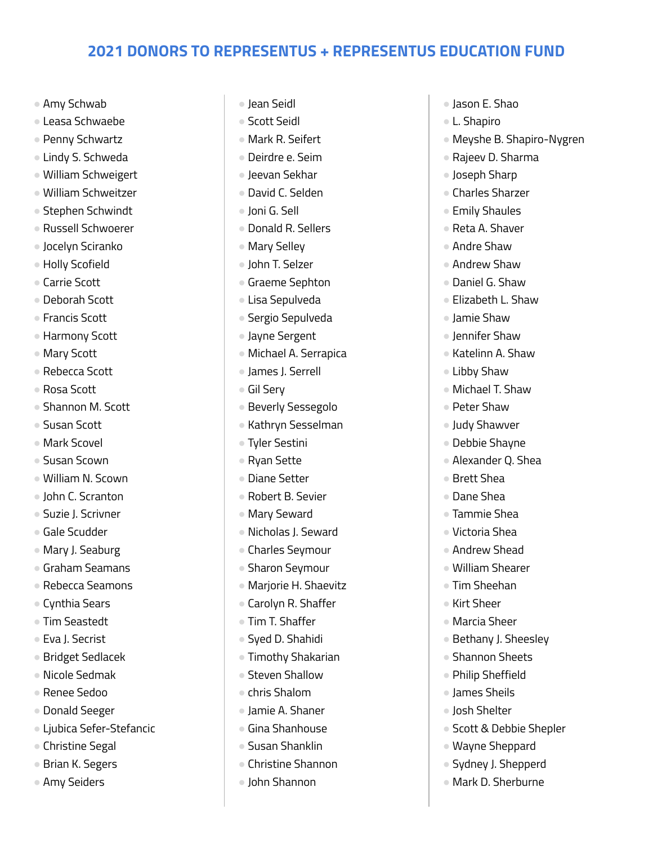- Amy Schwab
- Leasa Schwaebe
- Penny Schwartz
- Lindy S. Schweda
- William Schweigert
- William Schweitzer
- Stephen Schwindt
- Russell Schwoerer
- Jocelyn Sciranko
- Holly Scofield
- Carrie Scott
- Deborah Scott
- Francis Scott
- Harmony Scott
- Mary Scott
- Rebecca Scott
- Rosa Scott
- Shannon M. Scott
- Susan Scott
- Mark Scovel
- Susan Scown
- William N. Scown
- John C. Scranton
- Suzie J. Scrivner
- Gale Scudder
- Mary J. Seaburg
- Graham Seamans
- Rebecca Seamons
- Cynthia Sears
- Tim Seastedt
- Eva J. Secrist
- Bridget Sedlacek
- Nicole Sedmak
- Renee Sedoo
- Donald Seeger
- Ljubica Sefer-Stefancic
- Christine Segal
- Brian K. Segers
- Amy Seiders
- Jean Seidl
- Scott Seidl
- Mark R. Seifert
- Deirdre e. Seim
- Jeevan Sekhar
- David C. Selden
- Joni G. Sell
- Donald R. Sellers
- Mary Selley
- John T. Selzer
- Graeme Sephton
- Lisa Sepulveda
- Sergio Sepulveda
- Jayne Sergent
- Michael A. Serrapica
- James J. Serrell
- Gil Sery
- Beverly Sessegolo
- Kathryn Sesselman
- Tyler Sestini
- Ryan Sette
- Diane Setter
- Robert B. Sevier
- Mary Seward
- Nicholas J. Seward
- Charles Seymour
- Sharon Seymour
- Marjorie H. Shaevitz
- Carolyn R. Shaffer
- Tim T. Shaffer
- Syed D. Shahidi
- Timothy Shakarian
- Steven Shallow
- chris Shalom
- Jamie A. Shaner
- Gina Shanhouse
- Susan Shanklin
- Christine Shannon
- John Shannon
- Jason E. Shao
- L. Shapiro
- Meyshe B. Shapiro-Nygren
- Rajeev D. Sharma
- Joseph Sharp
- Charles Sharzer
- Emily Shaules
- Reta A. Shaver
- Andre Shaw
- Andrew Shaw
- Daniel G. Shaw
- Elizabeth L. Shaw
- Jamie Shaw
- Iennifer Shaw
- Katelinn A. Shaw
- Libby Shaw
- Michael T. Shaw
- Peter Shaw

● Brett Shea ● Dane Shea ● Tammie Shea ● Victoria Shea ● Andrew Shead ● William Shearer ● Tim Sheehan ● Kirt Sheer ● Marcia Sheer

- Judy Shawver
- Debbie Shayne
- Alexander Q. Shea

● Bethany J. Sheesley ● Shannon Sheets ● Philip Sheffield ● James Sheils ● Josh Shelter

● Scott & Debbie Shepler

● Wayne Sheppard ● Sydney J. Shepperd ● Mark D. Sherburne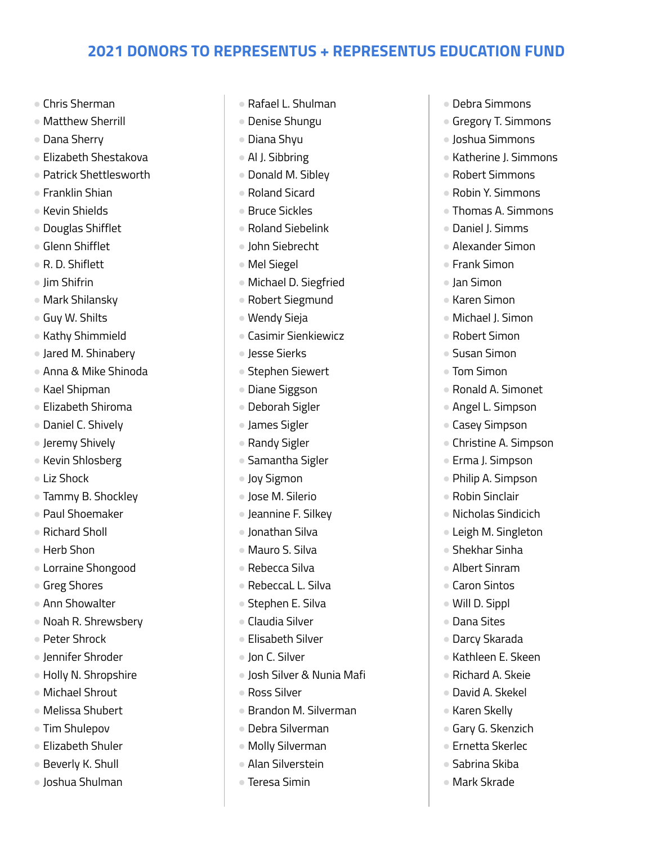- Chris Sherman
- Matthew Sherrill
- Dana Sherry
- Elizabeth Shestakova
- Patrick Shettlesworth
- Franklin Shian
- Kevin Shields
- Douglas Shifflet
- Glenn Shifflet
- R. D. Shiflett
- Jim Shifrin
- Mark Shilansky
- Guy W. Shilts
- Kathy Shimmield
- Jared M. Shinabery
- Anna & Mike Shinoda
- Kael Shipman
- Elizabeth Shiroma
- Daniel C. Shively
- Jeremy Shively
- Kevin Shlosberg
- Liz Shock
- Tammy B. Shockley
- Paul Shoemaker
- Richard Sholl
- Herb Shon
- Lorraine Shongood
- Greg Shores
- Ann Showalter
- Noah R. Shrewsbery
- Peter Shrock
- Jennifer Shroder
- Holly N. Shropshire
- Michael Shrout
- Melissa Shubert
- Tim Shulepov
- Elizabeth Shuler
- Beverly K. Shull
- Joshua Shulman
- Rafael L. Shulman
- Denise Shungu
- Diana Shyu
- Al J. Sibbring
- Donald M. Sibley
- Roland Sicard
- Bruce Sickles
- Roland Siebelink
- John Siebrecht
- Mel Siegel
- Michael D. Siegfried
- Robert Siegmund
- Wendy Sieja
- Casimir Sienkiewicz
- Jesse Sierks
- Stephen Siewert
- Diane Siggson
- Deborah Sigler
- James Sigler
- Randy Sigler
- Samantha Sigler
- Joy Sigmon
- Jose M. Silerio
- Jeannine F. Silkey
- Ionathan Silva
- Mauro S. Silva
- Rebecca Silva
- RebeccaL L. Silva
- Stephen E. Silva
- Claudia Silver
- Elisabeth Silver
- Jon C. Silver
- Josh Silver & Nunia Mafi
- Ross Silver
- Brandon M. Silverman
- Debra Silverman
- Molly Silverman
- Alan Silverstein
- Teresa Simin
- Debra Simmons
- Gregory T. Simmons
- Joshua Simmons
- Katherine J. Simmons
- Robert Simmons
- Robin Y. Simmons
- Thomas A. Simmons
- Daniel J. Simms
- Alexander Simon
- Frank Simon
- Jan Simon
- Karen Simon
- Michael J. Simon
- Robert Simon
- Susan Simon
- Tom Simon
- Ronald A. Simonet
- Angel L. Simpson
- Casey Simpson
- Christine A. Simpson
- Erma J. Simpson ● Philip A. Simpson

● Robin Sinclair

● Nicholas Sindicich ● Leigh M. Singleton ● Shekhar Sinha ● Albert Sinram ● Caron Sintos ● Will D. Sippl ● Dana Sites ● Darcy Skarada ● Kathleen E. Skeen ● Richard A. Skeie ● David A. Skekel ● Karen Skelly ● Gary G. Skenzich ● Ernetta Skerlec ● Sabrina Skiba ● Mark Skrade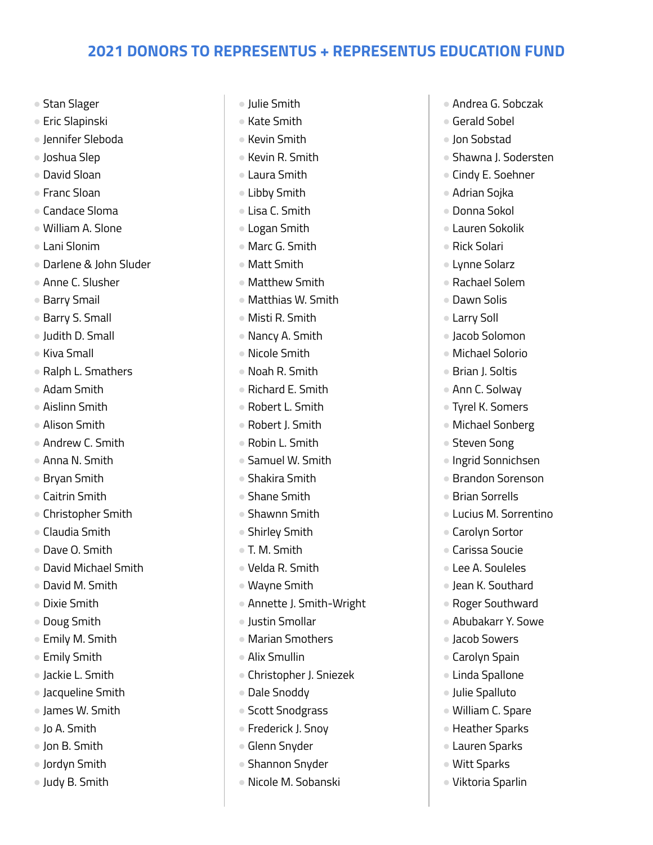- Stan Slager
- Eric Slapinski
- Jennifer Sleboda
- Joshua Slep
- David Sloan
- Franc Sloan
- Candace Sloma
- William A. Slone
- Lani Slonim
- Darlene & John Sluder
- Anne C. Slusher
- Barry Smail
- Barry S. Small
- Judith D. Small
- Kiva Small
- Ralph L. Smathers
- Adam Smith
- Aislinn Smith
- Alison Smith
- Andrew C. Smith
- Anna N. Smith
- Bryan Smith
- Caitrin Smith
- Christopher Smith
- Claudia Smith
- Dave O. Smith
- David Michael Smith
- David M. Smith
- Dixie Smith
- Doug Smith
- Emily M. Smith
- Emily Smith
- Jackie L. Smith
- Jacqueline Smith
- James W. Smith
- Jo A. Smith
- Jon B. Smith
- Jordyn Smith
- Judy B. Smith
- Julie Smith
- Kate Smith
- Kevin Smith
- Kevin R. Smith
- Laura Smith
- Libby Smith
- Lisa C. Smith
- Logan Smith
- Marc G. Smith
- Matt Smith
- Matthew Smith
- Matthias W. Smith
- Misti R. Smith
- Nancy A. Smith
- Nicole Smith
- Noah R. Smith
- Richard E. Smith
- Robert L. Smith
- Robert J. Smith
- Robin L. Smith
- Samuel W. Smith
- Shakira Smith
- Shane Smith
- Shawnn Smith
- Shirley Smith
- T. M. Smith
- Velda R. Smith
- Wayne Smith
- Annette J. Smith-Wright
- Justin Smollar
- Marian Smothers
- Alix Smullin
- Christopher J. Sniezek
- Dale Snoddy
- Scott Snodgrass
- Frederick J. Snoy
- Glenn Snyder
- Shannon Snyder
- Nicole M. Sobanski
- Andrea G. Sobczak
- Gerald Sobel
- Jon Sobstad
- Shawna J. Sodersten
- Cindy E. Soehner
- Adrian Sojka
- Donna Sokol
- Lauren Sokolik
- Rick Solari
- Lynne Solarz
- Rachael Solem
- Dawn Solis
- Larry Soll
- Jacob Solomon
- Michael Solorio
- Brian J. Soltis
- Ann C. Solway
- Tyrel K. Somers
- Michael Sonberg
- Steven Song

● Brian Sorrells

● Carolyn Sortor ● Carissa Soucie ● Lee A. Souleles ● Jean K. Southard ● Roger Southward ● Abubakarr Y. Sowe

● Jacob Sowers ● Carolyn Spain ● Linda Spallone ● Julie Spalluto ● William C. Spare ● Heather Sparks ● Lauren Sparks ● Witt Sparks ● Viktoria Sparlin

● Ingrid Sonnichsen ● Brandon Sorenson

● Lucius M. Sorrentino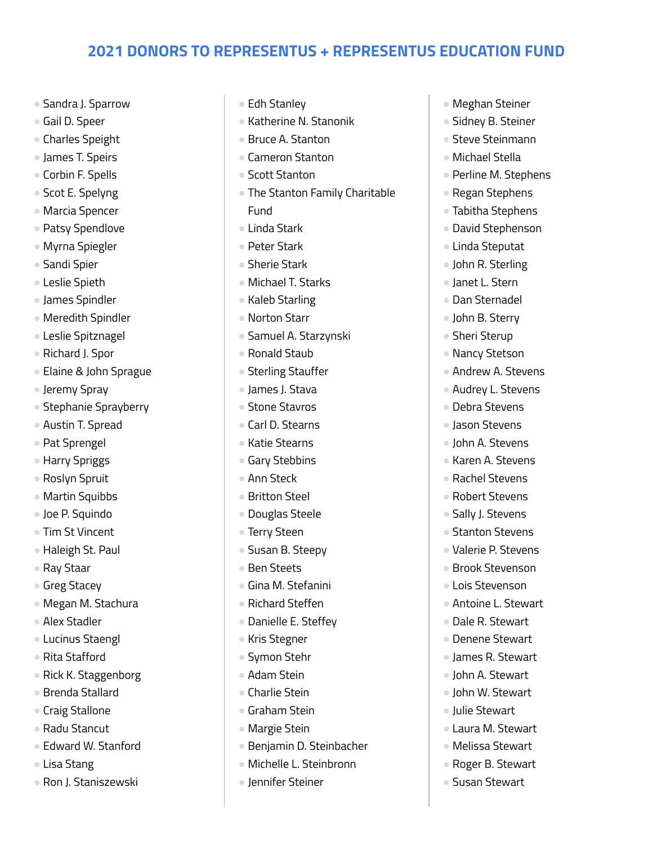- Sandra J. Sparrow
- Gail D. Speer
- Charles Speight
- James T. Speirs
- Corbin F. Spells
- Scot E. Spelyng
- Marcia Spencer
- Patsy Spendlove
- Myrna Spiegler
- Sandi Spier
- Leslie Spieth
- James Spindler
- Meredith Spindler
- Leslie Spitznagel
- Richard J. Spor
- Elaine & John Sprague
- Jeremy Spray
- Stephanie Sprayberry
- Austin T. Spread
- Pat Sprengel
- Harry Spriggs
- Roslyn Spruit
- Martin Squibbs
- Joe P. Squindo
- Tim St Vincent
- Haleigh St. Paul
- Ray Staar
- Greg Stacey
- Megan M. Stachura
- Alex Stadler
- Lucinus Staengl
- Rita Stafford
- Rick K. Staggenborg
- Brenda Stallard
- Craig Stallone
- Radu Stancut
- Edward W. Stanford
- Lisa Stang
- Ron J. Staniszewski
- Edh Stanley
- Katherine N. Stanonik
- Bruce A. Stanton
- Cameron Stanton
- Scott Stanton
- The Stanton Family Charitable Fund
- Linda Stark
- Peter Stark
- Sherie Stark
- Michael T. Starks
- Kaleb Starling
- Norton Starr
- Samuel A. Starzynski
- Ronald Staub
- Sterling Stauffer
- James J. Stava
- Stone Stavros
- Carl D. Stearns
- Katie Stearns
- Gary Stebbins
- Ann Steck
- Britton Steel
- Douglas Steele
- Terry Steen
- Susan B. Steepy
- Ben Steets
- Gina M. Stefanini
- Richard Steffen
- Danielle E. Steffey
- Kris Stegner
- Symon Stehr
- Adam Stein
- Charlie Stein
- Graham Stein
- Margie Stein
- Benjamin D. Steinbacher
- Michelle L. Steinbronn
- Jennifer Steiner
- Meghan Steiner
- Sidney B. Steiner
- Steve Steinmann
- Michael Stella
- Perline M. Stephens
- Regan Stephens
- Tabitha Stephens
- David Stephenson
- Linda Steputat
- John R. Sterling
- Janet L. Stern
- Dan Sternadel
- John B. Sterry
- Sheri Sterup
- Nancy Stetson
- Andrew A. Stevens
- Audrey L. Stevens
- Debra Stevens
- Jason Stevens
- John A. Stevens
- Karen A. Stevens
- Rachel Stevens ● Robert Stevens

● Sally J. Stevens ● Stanton Stevens ● Valerie P. Stevens ● Brook Stevenson ● Lois Stevenson ● Antoine L. Stewart ● Dale R. Stewart ● Denene Stewart ● James R. Stewart ● John A. Stewart ● John W. Stewart ● Julie Stewart ● Laura M. Stewart ● Melissa Stewart ● Roger B. Stewart ● Susan Stewart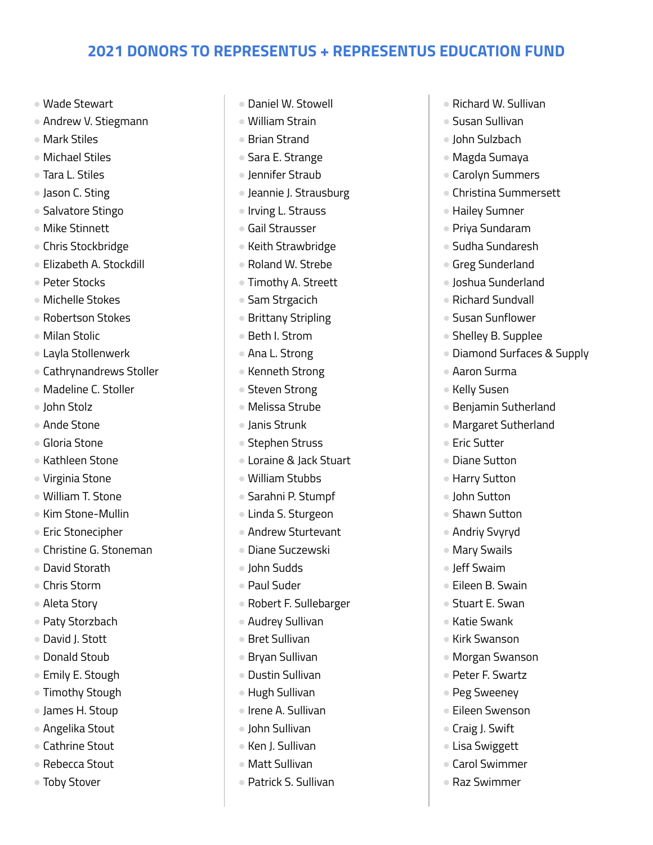- Wade Stewart
- Andrew V. Stiegmann
- Mark Stiles
- Michael Stiles
- Tara L. Stiles
- Jason C. Sting
- Salvatore Stingo
- Mike Stinnett
- Chris Stockbridge
- Elizabeth A. Stockdill
- Peter Stocks
- Michelle Stokes
- Robertson Stokes
- Milan Stolic
- Layla Stollenwerk
- Cathrynandrews Stoller
- Madeline C. Stoller
- John Stolz
- Ande Stone
- Gloria Stone
- Kathleen Stone
- Virginia Stone
- William T. Stone
- Kim Stone-Mullin
- Eric Stonecipher
- Christine G. Stoneman
- David Storath
- Chris Storm
- Aleta Story
- Paty Storzbach
- David J. Stott
- Donald Stoub
- Emily E. Stough
- Timothy Stough
- James H. Stoup
- Angelika Stout
- Cathrine Stout
- Rebecca Stout
- Toby Stover
- Daniel W. Stowell
- William Strain
- Brian Strand
- Sara E. Strange
- Jennifer Straub
- Jeannie J. Strausburg
- Irving L. Strauss
- Gail Strausser
- Keith Strawbridge
- Roland W. Strebe
- Timothy A. Streett
- Sam Strgacich
- Brittany Stripling
- Beth I. Strom
- Ana L. Strong
- Kenneth Strong
- Steven Strong
- Melissa Strube
- Janis Strunk
- Stephen Struss
- Loraine & Jack Stuart
- William Stubbs
- Sarahni P. Stumpf
- Linda S. Sturgeon
- Andrew Sturtevant
- Diane Suczewski
- John Sudds
- Paul Suder
- Robert F. Sullebarger
- Audrey Sullivan
- Bret Sullivan
- Bryan Sullivan
- Dustin Sullivan
- Hugh Sullivan
- Irene A. Sullivan
- John Sullivan
- Ken J. Sullivan
- Matt Sullivan
- Patrick S. Sullivan
- Richard W. Sullivan
- Susan Sullivan
- John Sulzbach
- Magda Sumaya
- Carolyn Summers
- Christina Summersett
- Hailey Sumner
- Priya Sundaram
- Sudha Sundaresh
- Greg Sunderland
- Joshua Sunderland
- Richard Sundvall
- Susan Sunflower
- Shelley B. Supplee
- Diamond Surfaces & Supply
- Aaron Surma
- Kelly Susen
- Benjamin Sutherland
- Margaret Sutherland
- Eric Sutter
- Diane Sutton ● Harry Sutton

● John Sutton ● Shawn Sutton ● Andriy Svyryd ● Mary Swails ● Jeff Swaim ● Eileen B. Swain ● Stuart E. Swan ● Katie Swank ● Kirk Swanson ● Morgan Swanson ● Peter F. Swartz ● Peg Sweeney ● Eileen Swenson ● Craig J. Swift ● Lisa Swiggett ● Carol Swimmer ● Raz Swimmer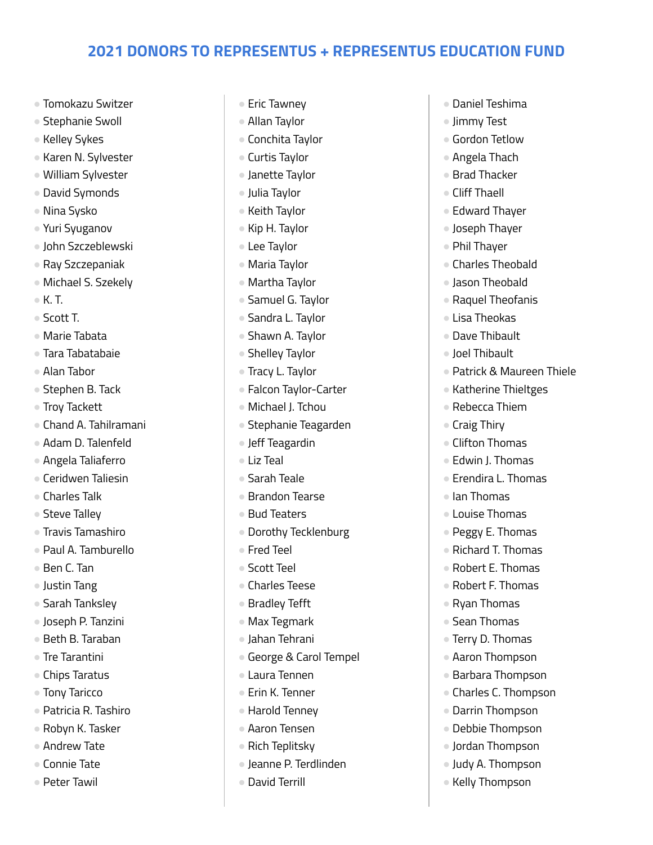- Tomokazu Switzer
- Stephanie Swoll
- Kelley Sykes
- Karen N. Sylvester
- William Sylvester
- David Symonds
- Nina Sysko
- Yuri Syuganov
- John Szczeblewski
- Ray Szczepaniak
- Michael S. Szekely
- K. T.
- Scott T.
- Marie Tabata
- Tara Tabatabaie
- Alan Tabor
- Stephen B. Tack
- Troy Tackett
- Chand A. Tahilramani
- Adam D. Talenfeld
- Angela Taliaferro
- Ceridwen Taliesin
- Charles Talk
- Steve Talley
- Travis Tamashiro
- Paul A. Tamburello
- Ben C. Tan
- Justin Tang
- Sarah Tanksley
- Joseph P. Tanzini
- Beth B. Taraban
- Tre Tarantini
- Chips Taratus
- Tony Taricco
- Patricia R. Tashiro
- Robyn K. Tasker
- Andrew Tate
- Connie Tate
- Peter Tawil
- Eric Tawney
- Allan Taylor
- Conchita Taylor
- Curtis Taylor
- Janette Taylor
- Julia Taylor
- Keith Taylor
- Kip H. Taylor
- Lee Taylor
- Maria Taylor
- Martha Taylor
- Samuel G. Taylor
- Sandra L. Taylor
- Shawn A. Taylor
- Shelley Taylor
- Tracy L. Taylor
- Falcon Taylor-Carter
- Michael J. Tchou
- Stephanie Teagarden
- Jeff Teagardin
- Liz Teal
- Sarah Teale
- Brandon Tearse
- Bud Teaters
- Dorothy Tecklenburg
- Fred Teel
- Scott Teel
- Charles Teese
- Bradley Tefft
- Max Tegmark
- Jahan Tehrani
- George & Carol Tempel
- Laura Tennen
- Erin K. Tenner
- Harold Tenney
- Aaron Tensen
- Rich Teplitsky
- Jeanne P. Terdlinden
- David Terrill
- Daniel Teshima
- Jimmy Test
- Gordon Tetlow
- Angela Thach
- Brad Thacker
- Cliff Thaell
- Edward Thayer
- Joseph Thayer
- Phil Thayer
- Charles Theobald
- Jason Theobald
- Raquel Theofanis
- Lisa Theokas
- Dave Thibault
- Joel Thibault
- Patrick & Maureen Thiele
- Katherine Thieltges
- Rebecca Thiem
- Craig Thiry

● Ian Thomas ● Louise Thomas ● Peggy E. Thomas ● Richard T. Thomas ● Robert E. Thomas ● Robert F. Thomas ● Ryan Thomas ● Sean Thomas ● Terry D. Thomas ● Aaron Thompson ● Barbara Thompson ● Charles C. Thompson ● Darrin Thompson ● Debbie Thompson ● Jordan Thompson ● Judy A. Thompson ● Kelly Thompson

- Clifton Thomas
- Edwin J. Thomas

● Erendira L. Thomas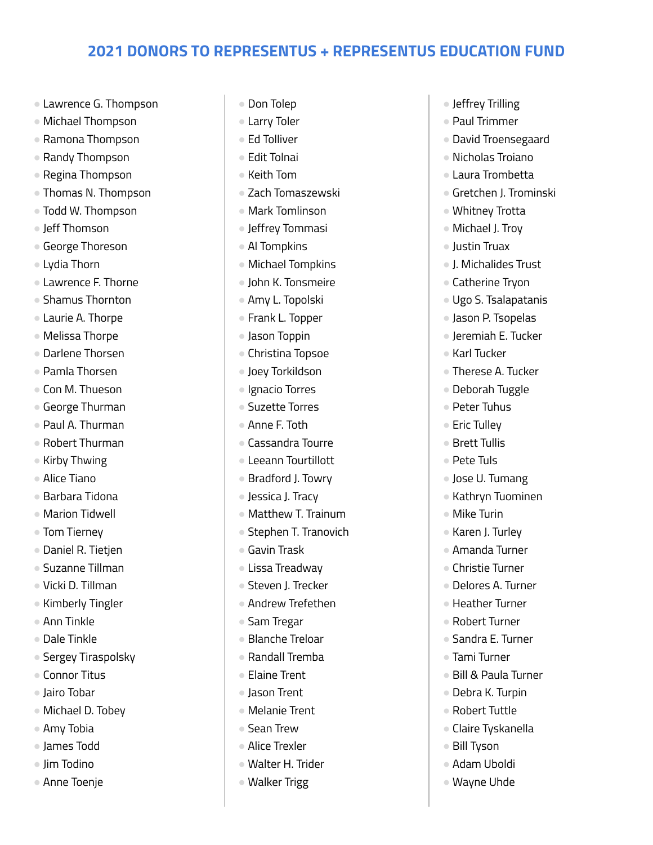- Lawrence G. Thompson
- Michael Thompson
- Ramona Thompson
- Randy Thompson
- Regina Thompson
- Thomas N. Thompson
- Todd W. Thompson
- leff Thomson
- George Thoreson
- Lydia Thorn
- Lawrence F. Thorne
- Shamus Thornton
- Laurie A. Thorpe
- Melissa Thorpe
- Darlene Thorsen
- Pamla Thorsen
- Con M. Thueson
- George Thurman
- Paul A. Thurman
- Robert Thurman
- Kirby Thwing
- Alice Tiano
- $\bullet$  Barbara Tidona
- Marion Tidwell
- Tom Tierney
- Daniel R. Tietjen
- Suzanne Tillman
- Vicki D. Tillman
- Kimberly Tingler
- Ann Tinkle
- Dale Tinkle
- Sergey Tiraspolsky
- Connor Titus
- Jairo Tobar
- Michael D. Tobey
- Amy Tobia
- James Todd
- Jim Todino
- Anne Toenje
- Don Tolep
- Larry Toler
- Ed Tolliver
- Edit Tolnai
- Keith Tom
- Zach Tomaszewski
- Mark Tomlinson
- Jeffrey Tommasi
- Al Tompkins
- Michael Tompkins
- John K. Tonsmeire
- Amy L. Topolski
- Frank L. Topper
- Jason Toppin
- Christina Topsoe
- Joey Torkildson
- Ignacio Torres
- Suzette Torres
- Anne F. Toth
- Cassandra Tourre
- Leeann Tourtillott
- Bradford J. Towry
- Jessica J. Tracy
- Matthew T. Trainum
- Stephen T. Tranovich
- Gavin Trask
- Lissa Treadway
- Steven J. Trecker
- Andrew Trefethen
- Sam Tregar
- Blanche Treloar
- Randall Tremba
- Elaine Trent
- Jason Trent
- Melanie Trent
- Sean Trew
- Alice Trexler
- Walter H. Trider
- Walker Trigg
- Jeffrey Trilling
- Paul Trimmer
- David Troensegaard
- Nicholas Troiano
- Laura Trombetta
- Gretchen J. Trominski
- Whitney Trotta
- Michael J. Troy
- Justin Truax
- J. Michalides Trust
- Catherine Tryon
- Ugo S. Tsalapatanis
- Jason P. Tsopelas
- Jeremiah E. Tucker
- Karl Tucker
- Therese A. Tucker
- Deborah Tuggle

● Jose U. Tumang ● Kathryn Tuominen

● Bill & Paula Turner ● Debra K. Turpin ● Robert Tuttle ● Claire Tyskanella

● Bill Tyson ● Adam Uboldi ● Wayne Uhde

- Peter Tuhus
- Eric Tullev
- Brett Tullis

● Mike Turin ● Karen J. Turlev ● Amanda Turner ● Christie Turner ● Delores A. Turner ● Heather Turner ● Robert Turner ● Sandra E. Turner ● Tami Turner

● Pete Tuls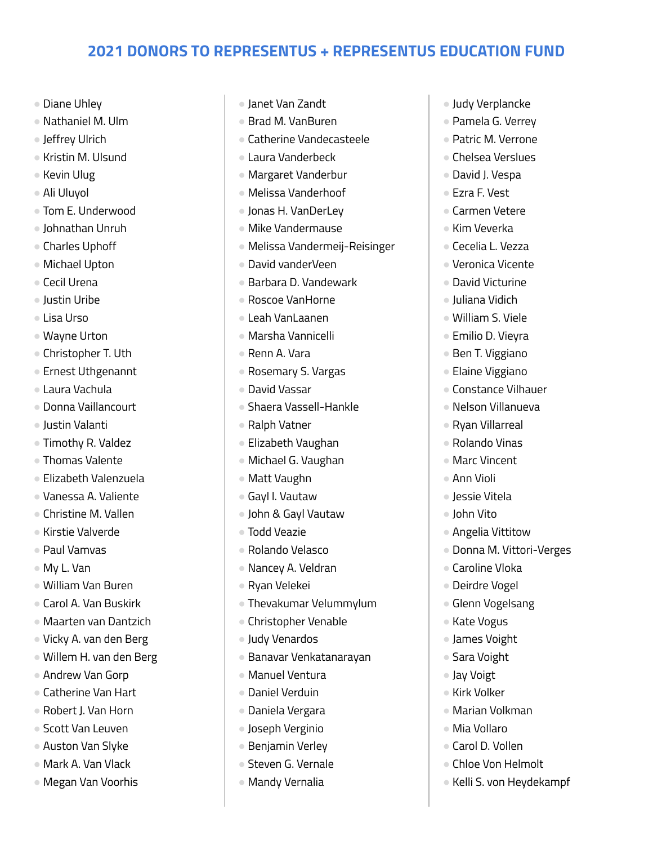- Diane Uhley
- Nathaniel M. Ulm
- Jeffrey Ulrich
- Kristin M. Ulsund
- Kevin Ulug
- Ali Uluyol
- Tom E. Underwood
- Johnathan Unruh
- Charles Uphoff
- Michael Upton
- Cecil Urena
- Justin Uribe
- Lisa Urso
- Wayne Urton
- Christopher T. Uth
- Ernest Uthgenannt
- Laura Vachula
- Donna Vaillancourt
- Justin Valanti
- Timothy R. Valdez
- Thomas Valente
- Elizabeth Valenzuela
- Vanessa A. Valiente
- Christine M. Vallen
- Kirstie Valverde
- Paul Vamvas
- My L. Van
- William Van Buren
- Carol A. Van Buskirk
- Maarten van Dantzich
- Vicky A. van den Berg
- Willem H. van den Berg
- Andrew Van Gorp
- Catherine Van Hart
- Robert J. Van Horn
- Scott Van Leuven
- Auston Van Slyke
- Mark A. Van Vlack
- Megan Van Voorhis
- Janet Van Zandt
- Brad M. VanBuren
- Catherine Vandecasteele
- Laura Vanderbeck
- Margaret Vanderbur
- Melissa Vanderhoof
- Jonas H. VanDerLey
- Mike Vandermause
- Melissa Vandermeij-Reisinger
- David vanderVeen
- Barbara D. Vandewark
- Roscoe VanHorne
- Leah VanLaanen
- Marsha Vannicelli
- Renn A. Vara
- Rosemary S. Vargas
- David Vassar
- Shaera Vassell-Hankle
- Ralph Vatner
- Elizabeth Vaughan
- Michael G. Vaughan
- Matt Vaughn
- Gayl l. Vautaw
- John & Gayl Vautaw
- Todd Veazie
- Rolando Velasco
- Nancey A. Veldran
- Ryan Velekei
- Thevakumar Velummylum
- Christopher Venable
- Judy Venardos
- Banavar Venkatanarayan
- Manuel Ventura
- Daniel Verduin
- Daniela Vergara
- Joseph Verginio
- Benjamin Verley
- Steven G. Vernale
- Mandy Vernalia
- Judy Verplancke
- Pamela G. Verrey
- Patric M. Verrone
- Chelsea Verslues
- David J. Vespa
- Ezra F. Vest
- Carmen Vetere
- Kim Veverka
- Cecelia L. Vezza
- Veronica Vicente
- David Victurine
- Juliana Vidich
- William S. Viele
- Emilio D. Vieyra
- Ben T. Viggiano
- Elaine Viggiano
- Constance Vilhauer
- Nelson Villanueva
- Ryan Villarreal
- Rolando Vinas
- Marc Vincent

● Angelia Vittitow

● Caroline Vloka ● Deirdre Vogel ● Glenn Vogelsang

● Kate Vogus ● James Voight ● Sara Voight ● Jay Voigt ● Kirk Volker

● Marian Volkman

● Kelli S. von Heydekampf

● Mia Vollaro ● Carol D. Vollen ● Chloe Von Helmolt

● Donna M. Vittori-Verges

● Ann Violi ● Jessie Vitela ● John Vito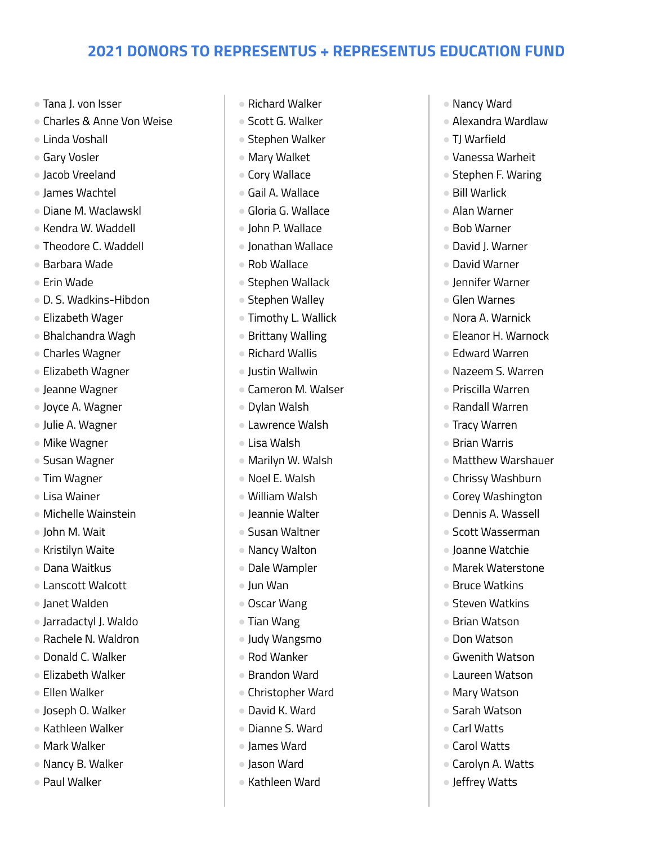- Tana J. von Isser
- Charles & Anne Von Weise
- Linda Voshall
- Gary Vosler
- Jacob Vreeland
- James Wachtel
- Diane M. Waclawskl
- Kendra W. Waddell
- Theodore C. Waddell
- Barbara Wade
- Erin Wade
- D. S. Wadkins-Hibdon
- Elizabeth Wager
- Bhalchandra Wagh
- Charles Wagner
- Elizabeth Wagner
- Jeanne Wagner
- Joyce A. Wagner
- Julie A. Wagner
- Mike Wagner
- Susan Wagner
- Tim Wagner
- Lisa Wainer
- Michelle Wainstein
- John M. Wait
- Kristilyn Waite
- Dana Waitkus
- Lanscott Walcott
- Janet Walden
- Jarradactyl J. Waldo
- Rachele N. Waldron
- Donald C. Walker
- Elizabeth Walker
- Ellen Walker
- Joseph O. Walker
- Kathleen Walker
- Mark Walker
- Nancy B. Walker
- Paul Walker
- Richard Walker
- Scott G. Walker
- Stephen Walker
- Mary Walket
- Cory Wallace
- Gail A. Wallace
- Gloria G. Wallace
- John P. Wallace
- Jonathan Wallace
- Rob Wallace
- Stephen Wallack
- Stephen Walley
- Timothy L. Wallick
- Brittany Walling
- Richard Wallis
- Justin Wallwin
- Cameron M. Walser
- Dylan Walsh
- Lawrence Walsh
- Lisa Walsh
- Marilyn W. Walsh
- Noel E. Walsh
- William Walsh
- Jeannie Walter
- Susan Waltner
- Nancy Walton
- Dale Wampler
- Jun Wan
- Oscar Wang
- Tian Wang
- Judy Wangsmo
- Rod Wanker
- Brandon Ward
- Christopher Ward
- David K. Ward
- Dianne S. Ward
- James Ward
- Jason Ward
- Kathleen Ward
- Nancy Ward
- Alexandra Wardlaw
- TJ Warfield
- Vanessa Warheit
- Stephen F. Waring
- Bill Warlick
- Alan Warner
- Bob Warner
- David J. Warner
- David Warner
- Jennifer Warner
- Glen Warnes
- Nora A. Warnick
- Eleanor H. Warnock
- Edward Warren
- Nazeem S. Warren
- Priscilla Warren
- Randall Warren
- Tracy Warren
- Brian Warris
- Matthew Warshauer ● Chrissy Washburn

● Corey Washington ● Dennis A. Wassell ● Scott Wasserman ● Joanne Watchie ● Marek Waterstone ● Bruce Watkins ● Steven Watkins ● Brian Watson ● Don Watson ● Gwenith Watson ● Laureen Watson ● Mary Watson ● Sarah Watson ● Carl Watts ● Carol Watts

● Carolyn A. Watts ● Jeffrey Watts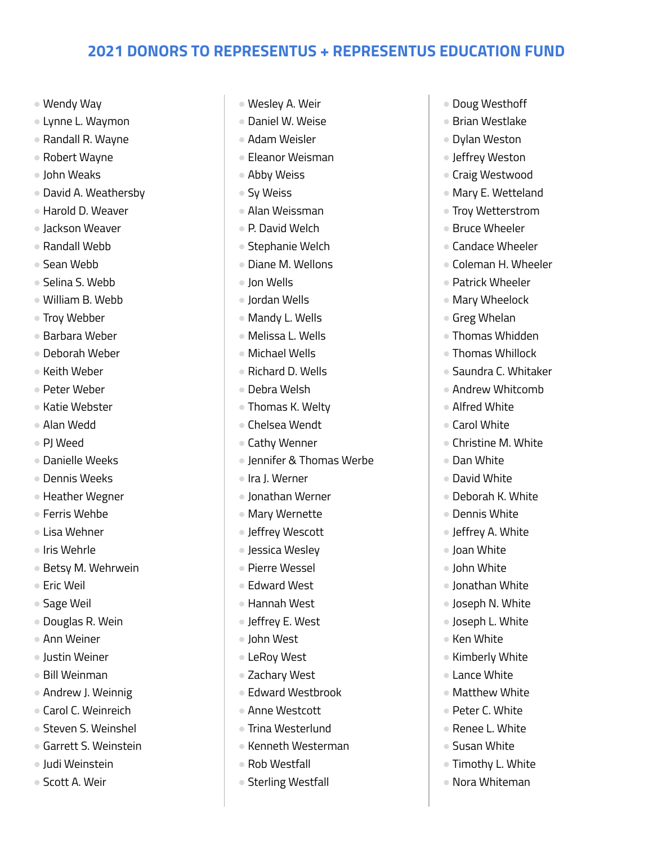- Wendy Way
- Lynne L. Waymon
- Randall R. Wayne
- Robert Wayne
- John Weaks
- David A. Weathersby
- Harold D. Weaver
- Jackson Weaver
- Randall Webb
- Sean Webb
- Selina S. Webb
- William B. Webb
- Troy Webber
- Barbara Weber
- Deborah Weber
- Keith Weber
- Peter Weber
- Katie Webster
- Alan Wedd
- PJ Weed
- Danielle Weeks
- Dennis Weeks
- Heather Wegner
- Ferris Wehbe
- Lisa Wehner
- Iris Wehrle
- Betsy M. Wehrwein
- Eric Weil
- Sage Weil
- Douglas R. Wein
- Ann Weiner
- Justin Weiner
- Bill Weinman
- Andrew J. Weinnig
- Carol C. Weinreich
- Steven S. Weinshel
- Garrett S. Weinstein
- Judi Weinstein
- Scott A. Weir
- Wesley A. Weir
- Daniel W. Weise
- Adam Weisler
- Eleanor Weisman
- Abby Weiss
- Sy Weiss
- Alan Weissman
- P. David Welch
- Stephanie Welch
- Diane M. Wellons
- Jon Wells
- Jordan Wells
- Mandy L. Wells
- Melissa L. Wells
- Michael Wells
- Richard D. Wells
- Debra Welsh
- Thomas K. Welty
- Chelsea Wendt
- Cathy Wenner
- Jennifer & Thomas Werbe
- Ira J. Werner
- Jonathan Werner
- Mary Wernette
- Jeffrey Wescott
- Jessica Wesley
- Pierre Wessel
- Edward West
- Hannah West
- Jeffrey E. West
- John West
- LeRoy West
- Zachary West
- Edward Westbrook
- Anne Westcott
- Trina Westerlund
- Kenneth Westerman
- Rob Westfall
- Sterling Westfall
- Doug Westhoff
- Brian Westlake
- Dylan Weston
- Jeffrey Weston
- Craig Westwood
- Mary E. Wetteland
- Troy Wetterstrom
- Bruce Wheeler
- Candace Wheeler
- Coleman H. Wheeler
- Patrick Wheeler
- Mary Wheelock
- Greg Whelan
- Thomas Whidden
- Thomas Whillock
- Saundra C. Whitaker
- Andrew Whitcomb
- Alfred White
- Carol White
- Christine M. White

● Deborah K. White ● Dennis White ● Jeffrey A. White ● Joan White ● John White ● Jonathan White ● Joseph N. White ● Joseph L. White ● Ken White

● Kimberly White ● Lance White ● Matthew White ● Peter C. White ● Renee L. White ● Susan White ● Timothy L. White ● Nora Whiteman

● Dan White ● David White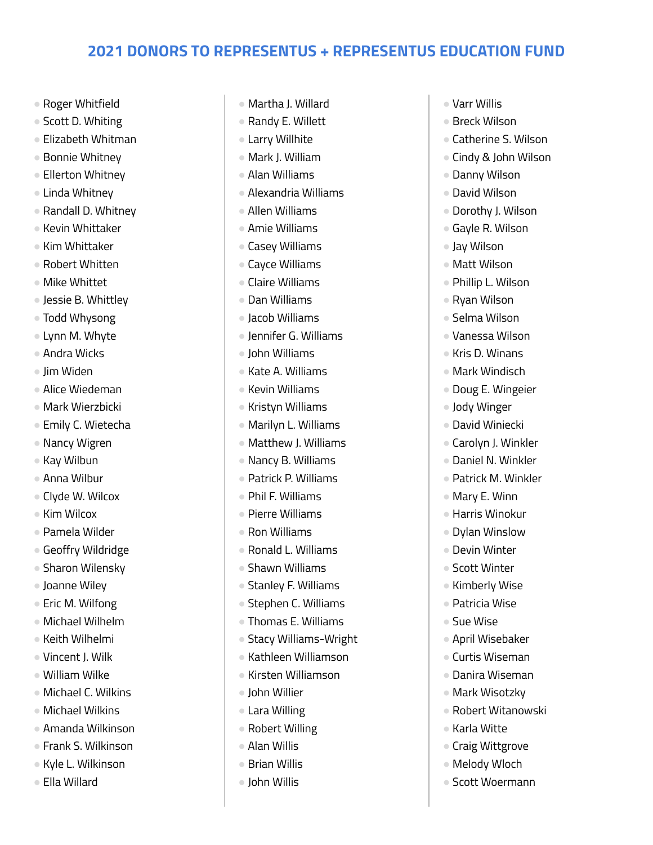- Roger Whitfield
- Scott D. Whiting
- Elizabeth Whitman
- Bonnie Whitney
- Ellerton Whitney
- Linda Whitney
- Randall D. Whitney
- Kevin Whittaker
- Kim Whittaker
- Robert Whitten
- Mike Whittet
- Jessie B. Whittley
- Todd Whysong
- Lynn M. Whyte
- Andra Wicks
- Jim Widen
- Alice Wiedeman
- Mark Wierzbicki
- Emily C. Wietecha
- Nancy Wigren
- Kay Wilbun
- Anna Wilbur
- Clyde W. Wilcox
- Kim Wilcox
- Pamela Wilder
- Geoffry Wildridge
- Sharon Wilensky
- Joanne Wiley
- Eric M. Wilfong
- Michael Wilhelm
- Keith Wilhelmi
- Vincent J. Wilk
- William Wilke
- Michael C. Wilkins
- Michael Wilkins
- Amanda Wilkinson
- Frank S. Wilkinson
- Kyle L. Wilkinson
- Ella Willard
- Martha J. Willard
- Randy E. Willett
- Larry Willhite
- Mark J. William
- Alan Williams
- Alexandria Williams
- Allen Williams
- Amie Williams
- Casey Williams
- Cayce Williams
- Claire Williams
- Dan Williams
- Jacob Williams
- Jennifer G. Williams
- John Williams
- Kate A. Williams
- Kevin Williams
- Kristyn Williams
- Marilyn L. Williams
- Matthew J. Williams
- Nancy B. Williams
- Patrick P. Williams
- Phil F. Williams
- Pierre Williams
- Ron Williams
- Ronald L. Williams
- Shawn Williams
- Stanley F. Williams
- Stephen C. Williams
- Thomas E. Williams
- Stacy Williams-Wright
- Kathleen Williamson
- Kirsten Williamson
- John Willier
- Lara Willing
- Robert Willing
- Alan Willis
- Brian Willis
- John Willis
- Varr Willis
- Breck Wilson
- Catherine S. Wilson
- Cindy & John Wilson
- Danny Wilson
- David Wilson
- Dorothy J. Wilson
- Gayle R. Wilson
- Jay Wilson
- Matt Wilson
- Phillip L. Wilson
- Ryan Wilson
- Selma Wilson
- Vanessa Wilson
- Kris D. Winans
- Mark Windisch
- Doug E. Wingeier
- Jody Winger
- David Winiecki

● Mary E. Winn ● Harris Winokur ● Dylan Winslow ● Devin Winter ● Scott Winter ● Kimberly Wise ● Patricia Wise ● Sue Wise

● April Wisebaker ● Curtis Wiseman ● Danira Wiseman ● Mark Wisotzky ● Robert Witanowski

● Karla Witte

● Craig Wittgrove ● Melody Wloch ● Scott Woermann

- Carolyn J. Winkler
- Daniel N. Winkler ● Patrick M. Winkler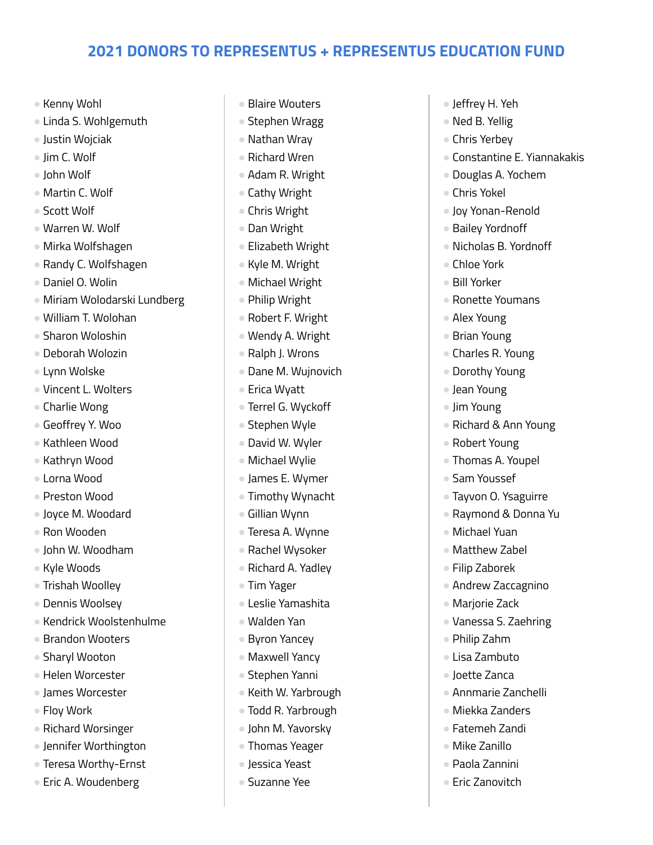- Kenny Wohl
- Linda S. Wohlgemuth
- Justin Wojciak
- Jim C. Wolf
- John Wolf
- Martin C. Wolf
- Scott Wolf
- Warren W. Wolf
- Mirka Wolfshagen
- Randy C. Wolfshagen
- Daniel O. Wolin
- Miriam Wolodarski Lundberg
- William T. Wolohan
- Sharon Woloshin
- Deborah Wolozin
- Lynn Wolske
- Vincent L. Wolters
- Charlie Wong
- Geoffrey Y. Woo
- Kathleen Wood
- Kathryn Wood
- Lorna Wood
- Preston Wood
- Joyce M. Woodard
- Ron Wooden
- John W. Woodham
- Kyle Woods
- Trishah Woolley
- Dennis Woolsey
- Kendrick Woolstenhulme
- Brandon Wooters
- Sharyl Wooton
- Helen Worcester
- James Worcester
- Floy Work
- Richard Worsinger
- Jennifer Worthington
- Teresa Worthy-Ernst
- Eric A. Woudenberg
- Blaire Wouters
- Stephen Wragg
- Nathan Wray
- Richard Wren
- Adam R. Wright
- Cathy Wright
- Chris Wright
- Dan Wright
- Elizabeth Wright
- Kyle M. Wright
- Michael Wright
- Philip Wright
- Robert F. Wright
- Wendy A. Wright
- Ralph J. Wrons
- Dane M. Wujnovich
- Erica Wyatt
- Terrel G. Wyckoff
- Stephen Wyle
- David W. Wyler
- Michael Wylie
- James E. Wymer
- Timothy Wynacht
- Gillian Wynn
- Teresa A. Wynne
- Rachel Wysoker
- Richard A. Yadley
- Tim Yager
- Leslie Yamashita
- Walden Yan
- Byron Yancey
- Maxwell Yancy
- Stephen Yanni
- Keith W. Yarbrough
- Todd R. Yarbrough
- John M. Yavorsky
- Thomas Yeager
- Jessica Yeast
- Suzanne Yee
- Jeffrey H. Yeh
- Ned B. Yellig
- Chris Yerbey
- Constantine E. Yiannakakis
- Douglas A. Yochem
- Chris Yokel
- Joy Yonan-Renold
- Bailey Yordnoff
- Nicholas B. Yordnoff
- Chloe York
- Bill Yorker
- Ronette Youmans
- Alex Young
- Brian Young
- Charles R. Young
- Dorothy Young
- Jean Young
- Jim Young
- Richard & Ann Young
- Robert Young

● Sam Youssef

● Michael Yuan ● Matthew Zabel ● Filip Zaborek

● Marjorie Zack

● Philip Zahm ● Lisa Zambuto ● Joette Zanca

● Thomas A. Youpel

● Tayvon O. Ysaguirre ● Raymond & Donna Yu

● Andrew Zaccagnino

● Vanessa S. Zaehring

● Annmarie Zanchelli ● Miekka Zanders ● Fatemeh Zandi ● Mike Zanillo ● Paola Zannini ● Eric Zanovitch